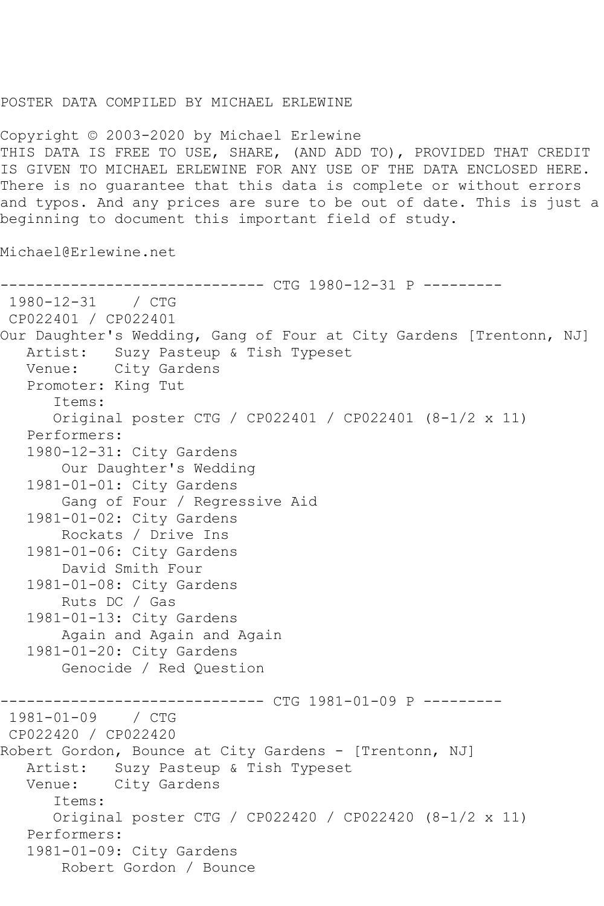## POSTER DATA COMPILED BY MICHAEL ERLEWINE

Copyright © 2003-2020 by Michael Erlewine THIS DATA IS FREE TO USE, SHARE, (AND ADD TO), PROVIDED THAT CREDIT IS GIVEN TO MICHAEL ERLEWINE FOR ANY USE OF THE DATA ENCLOSED HERE. There is no guarantee that this data is complete or without errors and typos. And any prices are sure to be out of date. This is just a beginning to document this important field of study.

Michael@Erlewine.net

```
------------------------------ CTG 1980-12-31 P ---------
1980-12-31 / CTG 
CP022401 / CP022401
Our Daughter's Wedding, Gang of Four at City Gardens [Trentonn, NJ]
   Artist: Suzy Pasteup & Tish Typeset
   Venue: City Gardens
   Promoter: King Tut
       Items:
       Original poster CTG / CP022401 / CP022401 (8-1/2 x 11)
    Performers:
    1980-12-31: City Gardens
        Our Daughter's Wedding
    1981-01-01: City Gardens
        Gang of Four / Regressive Aid
    1981-01-02: City Gardens
        Rockats / Drive Ins
    1981-01-06: City Gardens
        David Smith Four
    1981-01-08: City Gardens
        Ruts DC / Gas
    1981-01-13: City Gardens
        Again and Again and Again
    1981-01-20: City Gardens
        Genocide / Red Question
                   ------------ CTG 1981-01-09 P ---------
1981-01-09 / CTG 
CP022420 / CP022420
Robert Gordon, Bounce at City Gardens - [Trentonn, NJ]<br>Artist: Suzy Pasteup & Tish Typeset
            Suzy Pasteup & Tish Typeset
   Venue: City Gardens
       Items:
       Original poster CTG / CP022420 / CP022420 (8-1/2 x 11)
    Performers:
    1981-01-09: City Gardens
        Robert Gordon / Bounce
```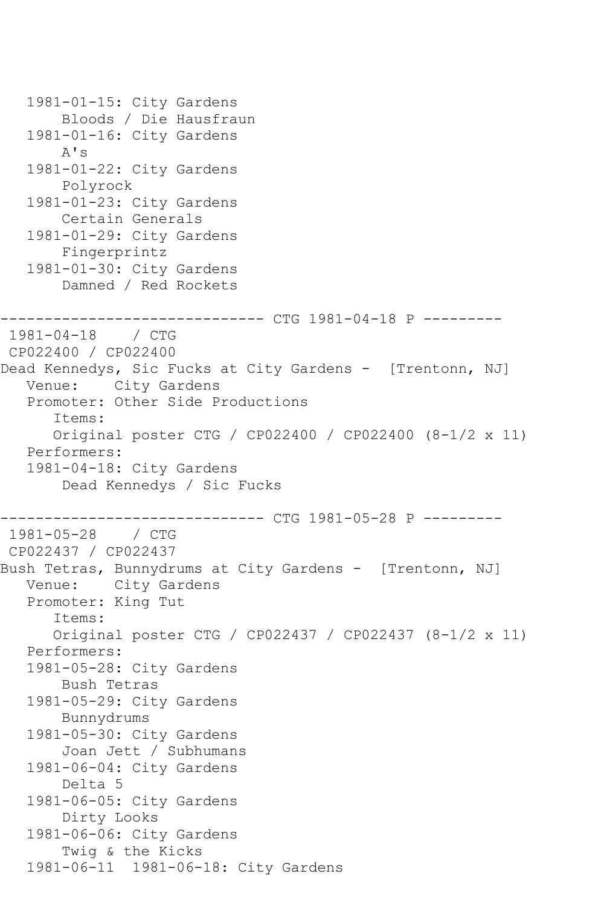```
 1981-01-15: City Gardens
        Bloods / Die Hausfraun
    1981-01-16: City Gardens
        A's
    1981-01-22: City Gardens
        Polyrock
    1981-01-23: City Gardens
        Certain Generals
    1981-01-29: City Gardens
        Fingerprintz
   1981-01-30: City Gardens
        Damned / Red Rockets
------------------------------ CTG 1981-04-18 P ---------
1981-04-18 / CTG 
CP022400 / CP022400
Dead Kennedys, Sic Fucks at City Gardens - [Trentonn, NJ]
   Venue: City Gardens
    Promoter: Other Side Productions
       Items:
       Original poster CTG / CP022400 / CP022400 (8-1/2 x 11)
    Performers:
    1981-04-18: City Gardens
        Dead Kennedys / Sic Fucks
                  ------------ CTG 1981-05-28 P ---------
1981-05-28 / CTG 
CP022437 / CP022437
Bush Tetras, Bunnydrums at City Gardens - [Trentonn, NJ]
   Venue: City Gardens
   Promoter: King Tut
       Items:
       Original poster CTG / CP022437 / CP022437 (8-1/2 x 11)
    Performers:
    1981-05-28: City Gardens
        Bush Tetras
    1981-05-29: City Gardens
        Bunnydrums
    1981-05-30: City Gardens
        Joan Jett / Subhumans
    1981-06-04: City Gardens
        Delta 5
    1981-06-05: City Gardens
        Dirty Looks
    1981-06-06: City Gardens
        Twig & the Kicks
    1981-06-11 1981-06-18: City Gardens
```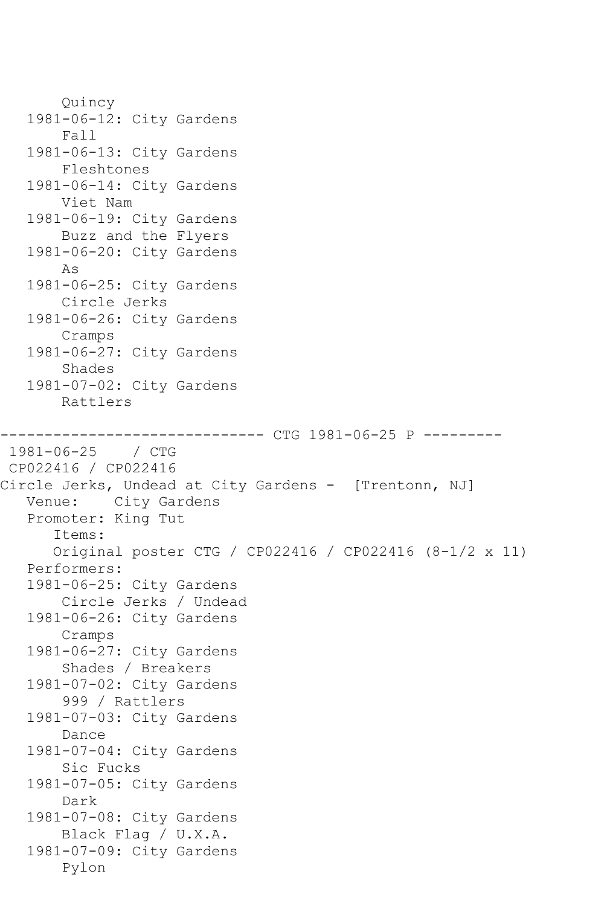Quincy 1981-06-12: City Gardens Fall 1981-06-13: City Gardens Fleshtones 1981-06-14: City Gardens Viet Nam 1981-06-19: City Gardens Buzz and the Flyers 1981-06-20: City Gardens As 1981-06-25: City Gardens Circle Jerks 1981-06-26: City Gardens Cramps 1981-06-27: City Gardens Shades 1981-07-02: City Gardens Rattlers ------------------------------ CTG 1981-06-25 P --------- 1981-06-25 / CTG CP022416 / CP022416 Circle Jerks, Undead at City Gardens - [Trentonn, NJ]<br>Venue: City Gardens City Gardens Promoter: King Tut Items: Original poster CTG / CP022416 / CP022416 (8-1/2 x 11) Performers: 1981-06-25: City Gardens Circle Jerks / Undead 1981-06-26: City Gardens Cramps 1981-06-27: City Gardens Shades / Breakers 1981-07-02: City Gardens 999 / Rattlers 1981-07-03: City Gardens Dance 1981-07-04: City Gardens Sic Fucks 1981-07-05: City Gardens Dark 1981-07-08: City Gardens Black Flag / U.X.A. 1981-07-09: City Gardens Pylon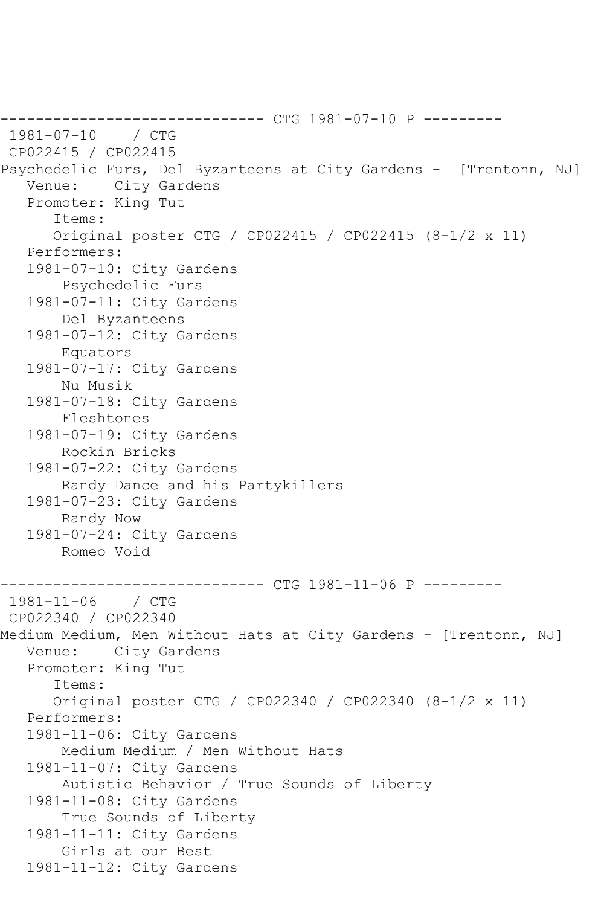------------------------------ CTG 1981-07-10 P --------- 1981-07-10 / CTG CP022415 / CP022415 Psychedelic Furs, Del Byzanteens at City Gardens - [Trentonn, NJ] Venue: City Gardens Promoter: King Tut Items: Original poster CTG / CP022415 / CP022415 (8-1/2 x 11) Performers: 1981-07-10: City Gardens Psychedelic Furs 1981-07-11: City Gardens Del Byzanteens 1981-07-12: City Gardens Equators 1981-07-17: City Gardens Nu Musik 1981-07-18: City Gardens Fleshtones 1981-07-19: City Gardens Rockin Bricks 1981-07-22: City Gardens Randy Dance and his Partykillers 1981-07-23: City Gardens Randy Now 1981-07-24: City Gardens Romeo Void ------------------------------ CTG 1981-11-06 P ---------  $1981 - 11 - 06$ CP022340 / CP022340 Medium Medium, Men Without Hats at City Gardens - [Trentonn, NJ] Venue: City Gardens Promoter: King Tut Items: Original poster CTG / CP022340 / CP022340 (8-1/2 x 11) Performers: 1981-11-06: City Gardens Medium Medium / Men Without Hats 1981-11-07: City Gardens Autistic Behavior / True Sounds of Liberty 1981-11-08: City Gardens True Sounds of Liberty 1981-11-11: City Gardens Girls at our Best 1981-11-12: City Gardens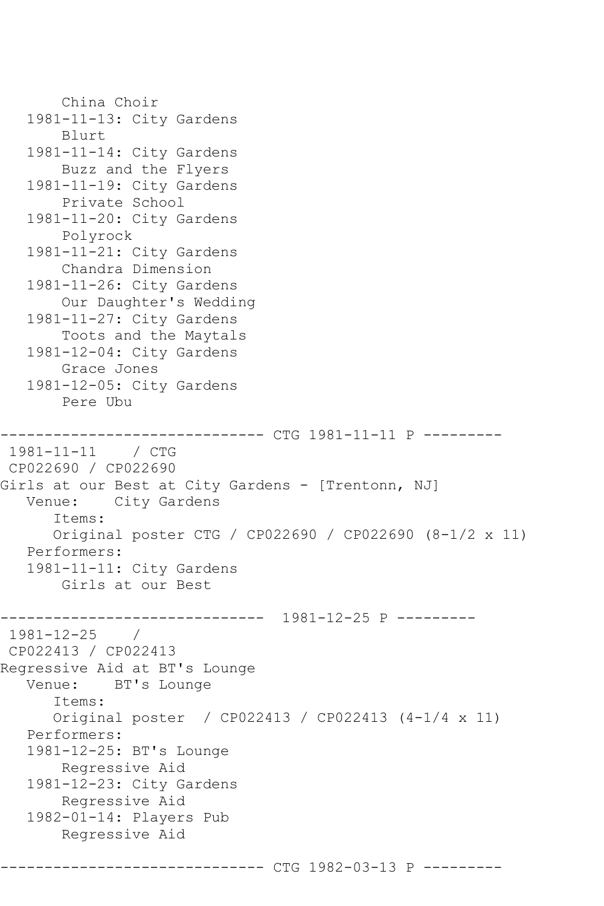```
 China Choir
    1981-11-13: City Gardens
        Blurt
    1981-11-14: City Gardens
        Buzz and the Flyers
    1981-11-19: City Gardens
        Private School
    1981-11-20: City Gardens
        Polyrock
   1981-11-21: City Gardens
        Chandra Dimension
    1981-11-26: City Gardens
        Our Daughter's Wedding
    1981-11-27: City Gardens
        Toots and the Maytals
    1981-12-04: City Gardens
        Grace Jones
    1981-12-05: City Gardens
        Pere Ubu
------------------------------ CTG 1981-11-11 P ---------
1981-11-11 / CTG 
CP022690 / CP022690
Girls at our Best at City Gardens - [Trentonn, NJ]
   Venue: City Gardens
       Items:
       Original poster CTG / CP022690 / CP022690 (8-1/2 x 11)
    Performers:
    1981-11-11: City Gardens
        Girls at our Best
         ------------------------------ 1981-12-25 P ---------
1981-12-25 / 
CP022413 / CP022413
Regressive Aid at BT's Lounge
   Venue: BT's Lounge
       Items:
       Original poster / CP022413 / CP022413 (4-1/4 x 11)
    Performers:
    1981-12-25: BT's Lounge
        Regressive Aid
    1981-12-23: City Gardens
        Regressive Aid
    1982-01-14: Players Pub
        Regressive Aid
                  ------------- CTG 1982-03-13 P -------
```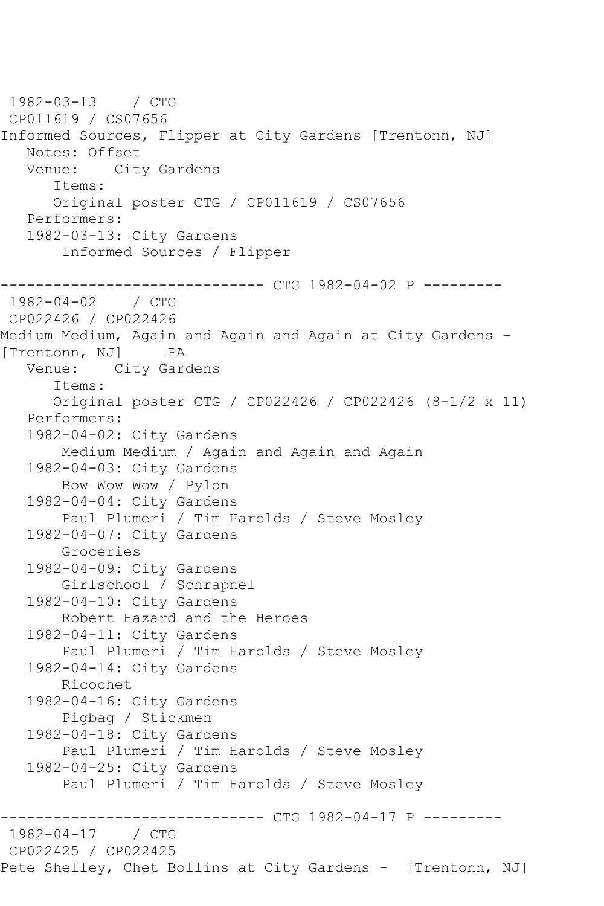1982-03-13 / CTG CP011619 / CS07656 Informed Sources, Flipper at City Gardens [Trentonn, NJ] Notes: Offset<br>Venue: Cit City Gardens Items: Original poster CTG / CP011619 / CS07656 Performers: 1982-03-13: City Gardens Informed Sources / Flipper ----------------- CTG 1982-04-02 P ----------<br>/ CTG  $1982 - 04 - 02$ CP022426 / CP022426 Medium Medium, Again and Again and Again at City Gardens - [Trentonn, NJ] PA Venue: City Gardens Items: Original poster CTG / CP022426 / CP022426 (8-1/2 x 11) Performers: 1982-04-02: City Gardens Medium Medium / Again and Again and Again 1982-04-03: City Gardens Bow Wow Wow / Pylon 1982-04-04: City Gardens Paul Plumeri / Tim Harolds / Steve Mosley 1982-04-07: City Gardens Groceries 1982-04-09: City Gardens Girlschool / Schrapnel 1982-04-10: City Gardens Robert Hazard and the Heroes 1982-04-11: City Gardens Paul Plumeri / Tim Harolds / Steve Mosley 1982-04-14: City Gardens Ricochet 1982-04-16: City Gardens Pigbag / Stickmen 1982-04-18: City Gardens Paul Plumeri / Tim Harolds / Steve Mosley 1982-04-25: City Gardens Paul Plumeri / Tim Harolds / Steve Mosley ------------------------------ CTG 1982-04-17 P --------- 1982-04-17 / CTG CP022425 / CP022425 Pete Shelley, Chet Bollins at City Gardens - [Trentonn, NJ]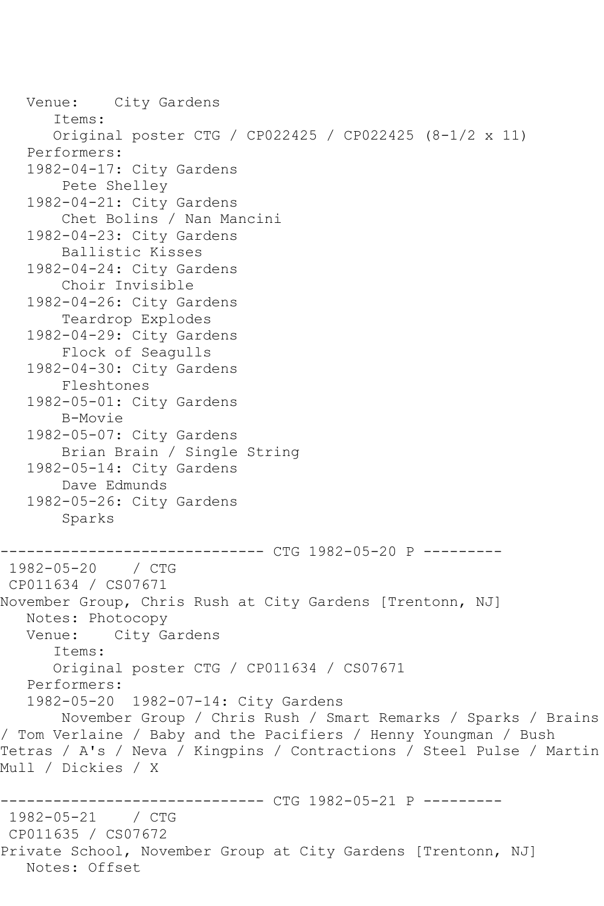Venue: City Gardens Items: Original poster CTG / CP022425 / CP022425 (8-1/2 x 11) Performers: 1982-04-17: City Gardens Pete Shelley 1982-04-21: City Gardens Chet Bolins / Nan Mancini 1982-04-23: City Gardens Ballistic Kisses 1982-04-24: City Gardens Choir Invisible 1982-04-26: City Gardens Teardrop Explodes 1982-04-29: City Gardens Flock of Seagulls 1982-04-30: City Gardens Fleshtones 1982-05-01: City Gardens B-Movie 1982-05-07: City Gardens Brian Brain / Single String 1982-05-14: City Gardens Dave Edmunds 1982-05-26: City Gardens Sparks ------------------------------ CTG 1982-05-20 P --------- 1982-05-20 / CTG CP011634 / CS07671 November Group, Chris Rush at City Gardens [Trentonn, NJ] Notes: Photocopy<br>Venue: City Ga City Gardens Items: Original poster CTG / CP011634 / CS07671 Performers: 1982-05-20 1982-07-14: City Gardens November Group / Chris Rush / Smart Remarks / Sparks / Brains / Tom Verlaine / Baby and the Pacifiers / Henny Youngman / Bush Tetras / A's / Neva / Kingpins / Contractions / Steel Pulse / Martin Mull / Dickies / X ------------------------------ CTG 1982-05-21 P --------- 1982-05-21 CP011635 / CS07672 Private School, November Group at City Gardens [Trentonn, NJ] Notes: Offset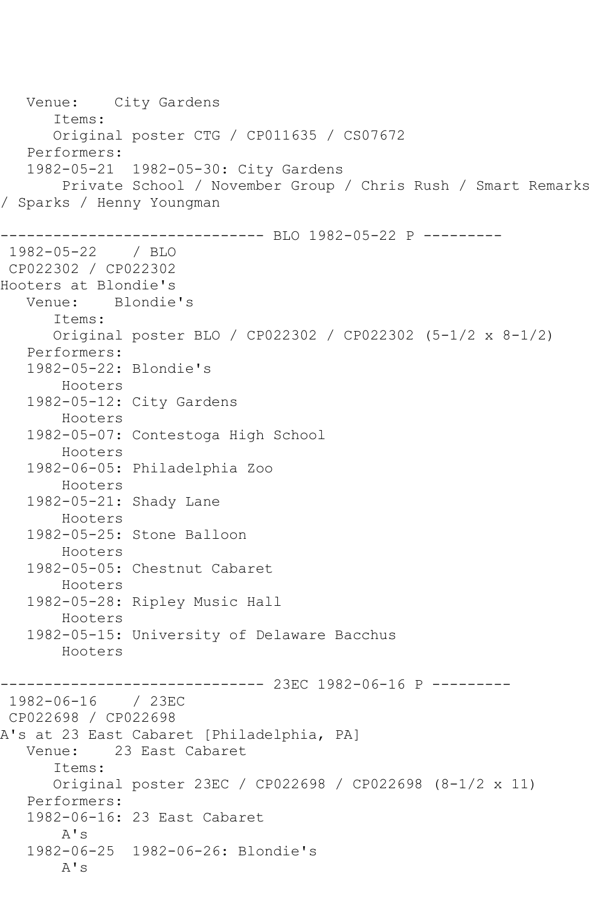Venue: City Gardens Items: Original poster CTG / CP011635 / CS07672 Performers: 1982-05-21 1982-05-30: City Gardens Private School / November Group / Chris Rush / Smart Remarks / Sparks / Henny Youngman ------------------------------ BLO 1982-05-22 P --------- 1982-05-22 CP022302 / CP022302 Hooters at Blondie's Venue: Blondie's Items: Original poster BLO / CP022302 / CP022302 (5-1/2 x 8-1/2) Performers: 1982-05-22: Blondie's Hooters 1982-05-12: City Gardens Hooters 1982-05-07: Contestoga High School Hooters 1982-06-05: Philadelphia Zoo Hooters 1982-05-21: Shady Lane Hooters 1982-05-25: Stone Balloon Hooters 1982-05-05: Chestnut Cabaret Hooters 1982-05-28: Ripley Music Hall Hooters 1982-05-15: University of Delaware Bacchus Hooters ------------------------------ 23EC 1982-06-16 P --------- 1982-06-16 / 23EC CP022698 / CP022698 A's at 23 East Cabaret [Philadelphia, PA]<br>Venue: 23 East Cabaret 23 East Cabaret Items: Original poster 23EC / CP022698 / CP022698 (8-1/2 x 11) Performers: 1982-06-16: 23 East Cabaret A's 1982-06-25 1982-06-26: Blondie's A's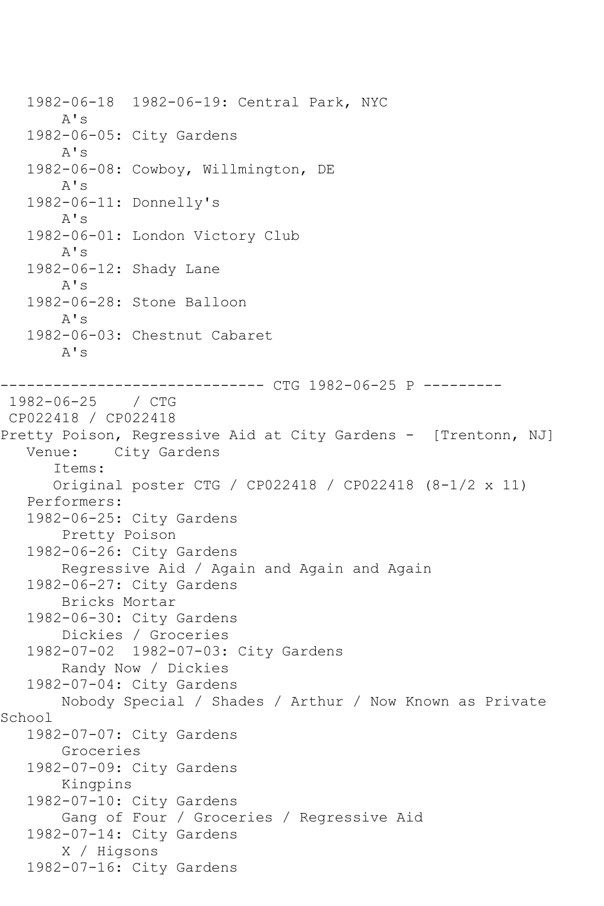1982-06-18 1982-06-19: Central Park, NYC A's 1982-06-05: City Gardens A's 1982-06-08: Cowboy, Willmington, DE A's 1982-06-11: Donnelly's A's 1982-06-01: London Victory Club A's 1982-06-12: Shady Lane A's 1982-06-28: Stone Balloon A's 1982-06-03: Chestnut Cabaret A's ------------------------------ CTG 1982-06-25 P --------- 1982-06-25 / CTG CP022418 / CP022418 Pretty Poison, Regressive Aid at City Gardens - [Trentonn, NJ]<br>Venue: City Gardens City Gardens Items: Original poster CTG / CP022418 / CP022418 (8-1/2 x 11) Performers: 1982-06-25: City Gardens Pretty Poison 1982-06-26: City Gardens Regressive Aid / Again and Again and Again 1982-06-27: City Gardens Bricks Mortar 1982-06-30: City Gardens Dickies / Groceries 1982-07-02 1982-07-03: City Gardens Randy Now / Dickies 1982-07-04: City Gardens Nobody Special / Shades / Arthur / Now Known as Private School 1982-07-07: City Gardens Groceries 1982-07-09: City Gardens Kingpins 1982-07-10: City Gardens Gang of Four / Groceries / Regressive Aid 1982-07-14: City Gardens X / Higsons 1982-07-16: City Gardens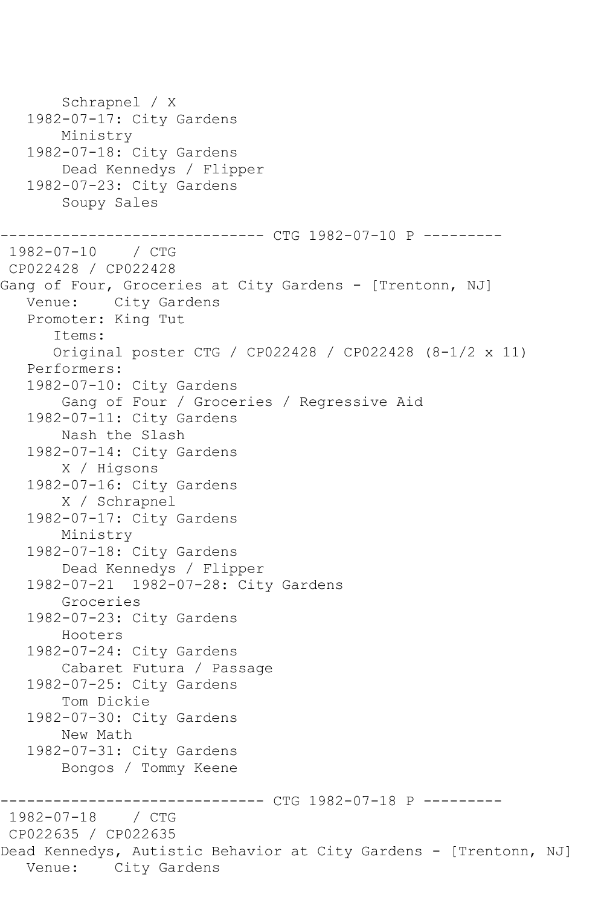Schrapnel / X 1982-07-17: City Gardens Ministry 1982-07-18: City Gardens Dead Kennedys / Flipper 1982-07-23: City Gardens Soupy Sales ----------- CTG 1982-07-10 P ---------1982-07-10 / CTG CP022428 / CP022428 Gang of Four, Groceries at City Gardens - [Trentonn, NJ] Venue: City Gardens Promoter: King Tut Items: Original poster CTG / CP022428 / CP022428 (8-1/2 x 11) Performers: 1982-07-10: City Gardens Gang of Four / Groceries / Regressive Aid 1982-07-11: City Gardens Nash the Slash 1982-07-14: City Gardens X / Higsons 1982-07-16: City Gardens X / Schrapnel 1982-07-17: City Gardens Ministry 1982-07-18: City Gardens Dead Kennedys / Flipper 1982-07-21 1982-07-28: City Gardens Groceries 1982-07-23: City Gardens Hooters 1982-07-24: City Gardens Cabaret Futura / Passage 1982-07-25: City Gardens Tom Dickie 1982-07-30: City Gardens New Math 1982-07-31: City Gardens Bongos / Tommy Keene ------------------------------ CTG 1982-07-18 P --------- 1982-07-18 CP022635 / CP022635 Dead Kennedys, Autistic Behavior at City Gardens - [Trentonn, NJ] Venue: City Gardens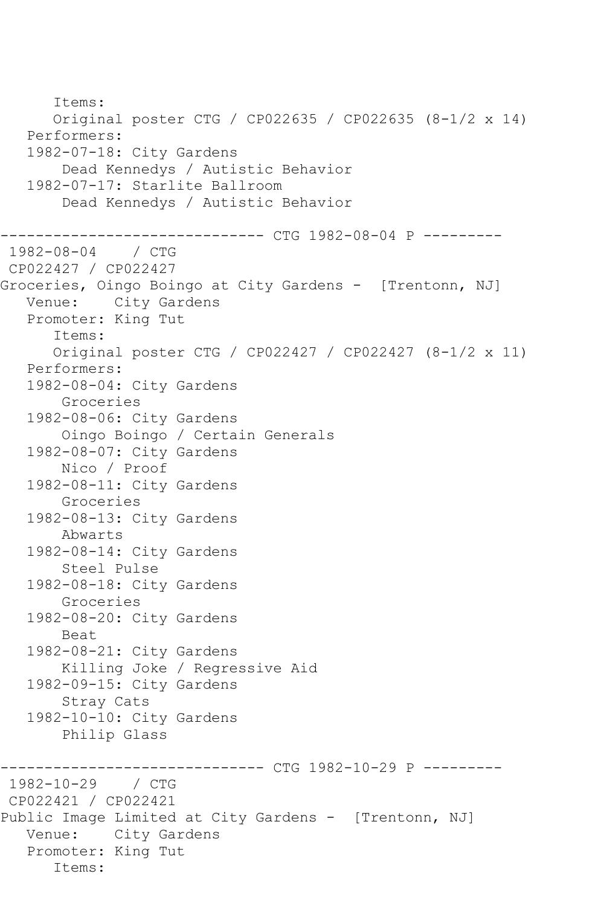Items: Original poster CTG / CP022635 / CP022635 (8-1/2 x 14) Performers: 1982-07-18: City Gardens Dead Kennedys / Autistic Behavior 1982-07-17: Starlite Ballroom Dead Kennedys / Autistic Behavior ------------------------------ CTG 1982-08-04 P ---------  $1982 - 08 - 04$ CP022427 / CP022427 Groceries, Oingo Boingo at City Gardens - [Trentonn, NJ] Venue: City Gardens Promoter: King Tut Items: Original poster CTG / CP022427 / CP022427 (8-1/2 x 11) Performers: 1982-08-04: City Gardens Groceries 1982-08-06: City Gardens Oingo Boingo / Certain Generals 1982-08-07: City Gardens Nico / Proof 1982-08-11: City Gardens Groceries 1982-08-13: City Gardens Abwarts 1982-08-14: City Gardens Steel Pulse 1982-08-18: City Gardens Groceries 1982-08-20: City Gardens Beat 1982-08-21: City Gardens Killing Joke / Regressive Aid 1982-09-15: City Gardens Stray Cats 1982-10-10: City Gardens Philip Glass ------------ CTG 1982-10-29 P ----------1982-10-29 / CTG CP022421 / CP022421 Public Image Limited at City Gardens - [Trentonn, NJ] Venue: City Gardens Promoter: King Tut Items: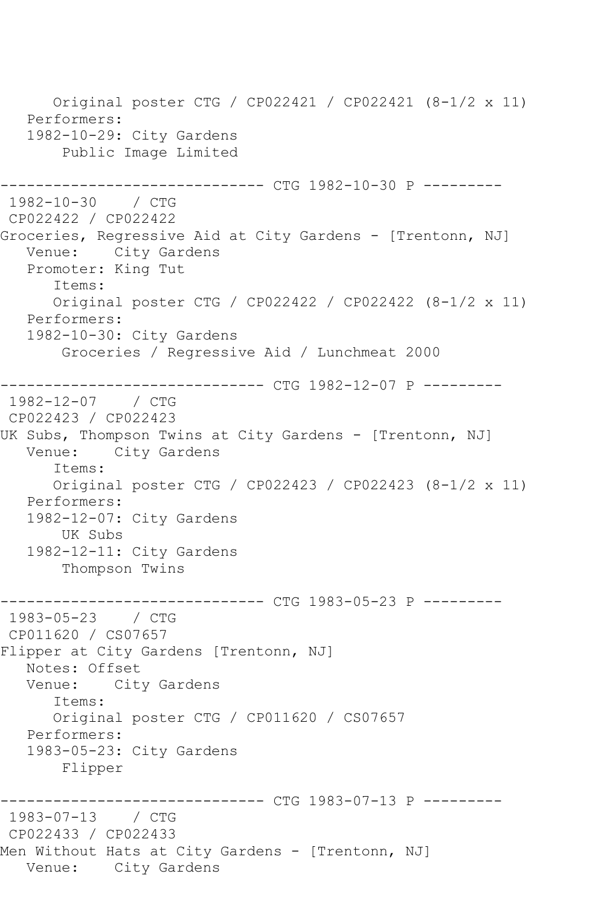Original poster CTG / CP022421 / CP022421 (8-1/2 x 11) Performers: 1982-10-29: City Gardens Public Image Limited ------------ CTG 1982-10-30 P ---------1982-10-30 / CTG CP022422 / CP022422 Groceries, Regressive Aid at City Gardens - [Trentonn, NJ] Venue: City Gardens Promoter: King Tut Items: Original poster CTG / CP022422 / CP022422 (8-1/2 x 11) Performers: 1982-10-30: City Gardens Groceries / Regressive Aid / Lunchmeat 2000 ------------------------------ CTG 1982-12-07 P --------- 1982-12-07 / CTG CP022423 / CP022423 UK Subs, Thompson Twins at City Gardens - [Trentonn, NJ] Venue: City Gardens Items: Original poster CTG / CP022423 / CP022423 (8-1/2 x 11) Performers: 1982-12-07: City Gardens UK Subs 1982-12-11: City Gardens Thompson Twins ---------- CTG 1983-05-23 P ----------1983-05-23 / CTG CP011620 / CS07657 Flipper at City Gardens [Trentonn, NJ] Notes: Offset Venue: City Gardens Items: Original poster CTG / CP011620 / CS07657 Performers: 1983-05-23: City Gardens Flipper ------------- CTG 1983-07-13 P ---------1983-07-13 / CTG CP022433 / CP022433 Men Without Hats at City Gardens - [Trentonn, NJ] Venue: City Gardens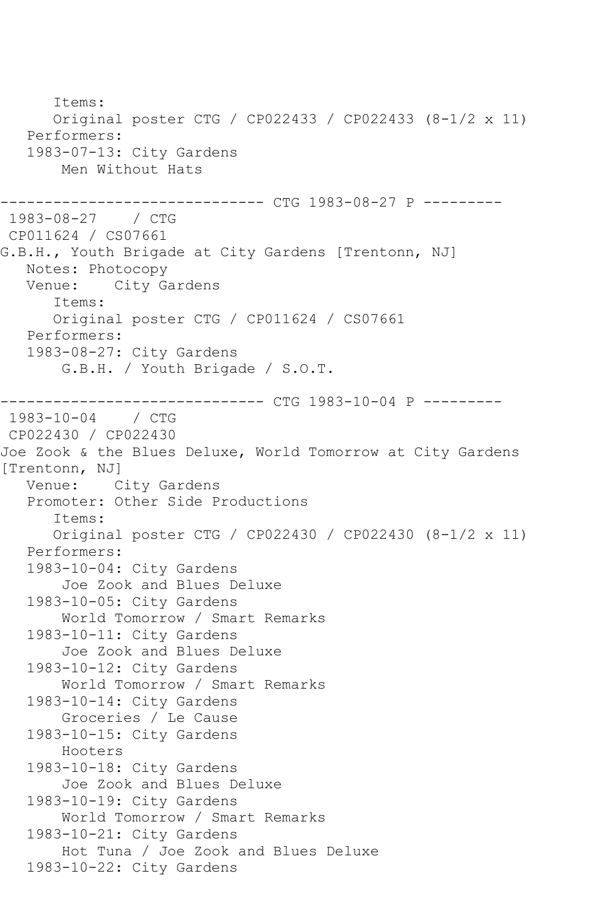Items: Original poster CTG / CP022433 / CP022433 (8-1/2 x 11) Performers: 1983-07-13: City Gardens Men Without Hats --------------- CTG 1983-08-27 P ----------1983-08-27 / CTG CP011624 / CS07661 G.B.H., Youth Brigade at City Gardens [Trentonn, NJ] Notes: Photocopy<br>Venue: City Ga City Gardens Items: Original poster CTG / CP011624 / CS07661 Performers: 1983-08-27: City Gardens G.B.H. / Youth Brigade / S.O.T. ------------------------------ CTG 1983-10-04 P --------- 1983-10-04 / CTG CP022430 / CP022430 Joe Zook & the Blues Deluxe, World Tomorrow at City Gardens [Trentonn, NJ] Venue: City Gardens Promoter: Other Side Productions Items: Original poster CTG / CP022430 / CP022430 (8-1/2 x 11) Performers: 1983-10-04: City Gardens Joe Zook and Blues Deluxe 1983-10-05: City Gardens World Tomorrow / Smart Remarks 1983-10-11: City Gardens Joe Zook and Blues Deluxe 1983-10-12: City Gardens World Tomorrow / Smart Remarks 1983-10-14: City Gardens Groceries / Le Cause 1983-10-15: City Gardens Hooters 1983-10-18: City Gardens Joe Zook and Blues Deluxe 1983-10-19: City Gardens World Tomorrow / Smart Remarks 1983-10-21: City Gardens Hot Tuna / Joe Zook and Blues Deluxe 1983-10-22: City Gardens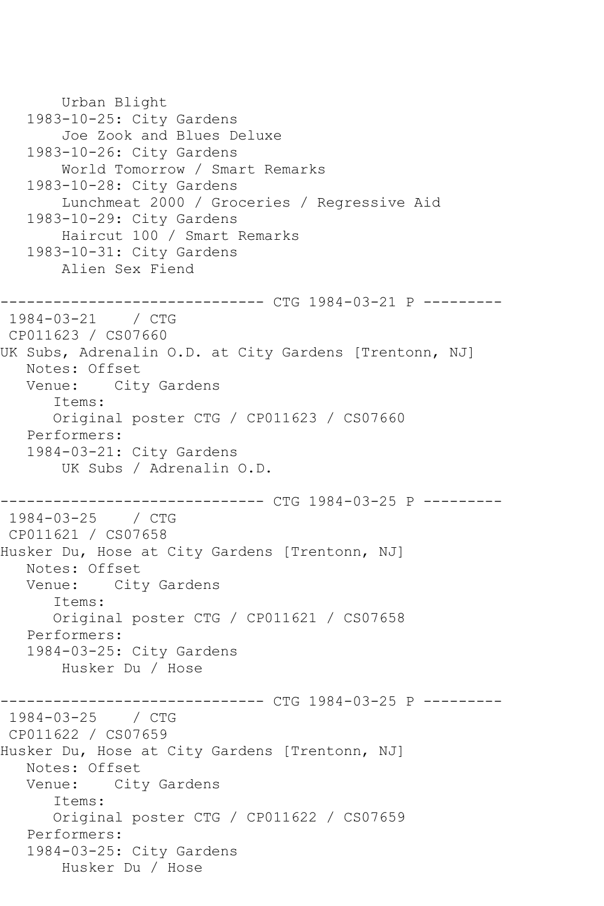```
 Urban Blight
   1983-10-25: City Gardens
        Joe Zook and Blues Deluxe
    1983-10-26: City Gardens
        World Tomorrow / Smart Remarks
    1983-10-28: City Gardens
        Lunchmeat 2000 / Groceries / Regressive Aid
    1983-10-29: City Gardens
        Haircut 100 / Smart Remarks
    1983-10-31: City Gardens
        Alien Sex Fiend
                --------------- CTG 1984-03-21 P ---------
1984-03-21 / CTG 
CP011623 / CS07660
UK Subs, Adrenalin O.D. at City Gardens [Trentonn, NJ]
   Notes: Offset
   Venue: City Gardens
       Items:
       Original poster CTG / CP011623 / CS07660
   Performers:
    1984-03-21: City Gardens
        UK Subs / Adrenalin O.D.
              ------------------------------ CTG 1984-03-25 P ---------
1984 - 03 - 25CP011621 / CS07658
Husker Du, Hose at City Gardens [Trentonn, NJ]
   Notes: Offset
   Venue: City Gardens
       Items:
       Original poster CTG / CP011621 / CS07658
   Performers:
    1984-03-25: City Gardens
        Husker Du / Hose
------------------------------ CTG 1984-03-25 P ---------
1984-03-25 / CTG 
CP011622 / CS07659
Husker Du, Hose at City Gardens [Trentonn, NJ]
  Notes: Offset<br>Venue: Cit
           City Gardens
       Items:
       Original poster CTG / CP011622 / CS07659
    Performers:
    1984-03-25: City Gardens
        Husker Du / Hose
```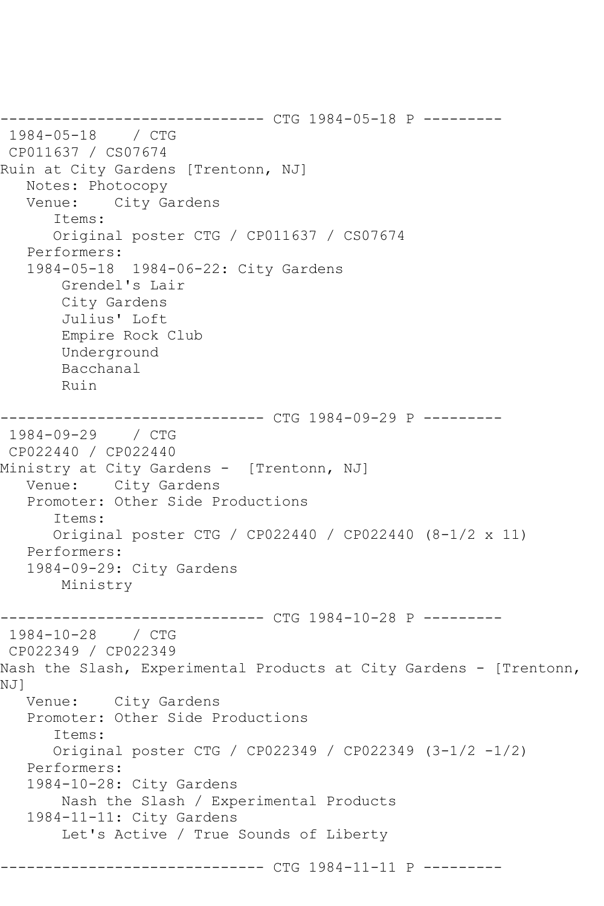------------------------------ CTG 1984-05-18 P --------- 1984-05-18 / CTG CP011637 / CS07674 Ruin at City Gardens [Trentonn, NJ] Notes: Photocopy Venue: City Gardens Items: Original poster CTG / CP011637 / CS07674 Performers: 1984-05-18 1984-06-22: City Gardens Grendel's Lair City Gardens Julius' Loft Empire Rock Club Underground Bacchanal Ruin ------------------------------ CTG 1984-09-29 P --------- 1984-09-29 / CTG CP022440 / CP022440 Ministry at City Gardens - [Trentonn, NJ] Venue: City Gardens Promoter: Other Side Productions Items: Original poster CTG / CP022440 / CP022440 (8-1/2 x 11) Performers: 1984-09-29: City Gardens Ministry ------------------------------ CTG 1984-10-28 P --------- 1984-10-28 / CTG CP022349 / CP022349 Nash the Slash, Experimental Products at City Gardens - [Trentonn, NJ] Venue: City Gardens Promoter: Other Side Productions Items: Original poster CTG / CP022349 / CP022349 (3-1/2 -1/2) Performers: 1984-10-28: City Gardens Nash the Slash / Experimental Products 1984-11-11: City Gardens Let's Active / True Sounds of Liberty ------------- CTG 1984-11-11 P ---------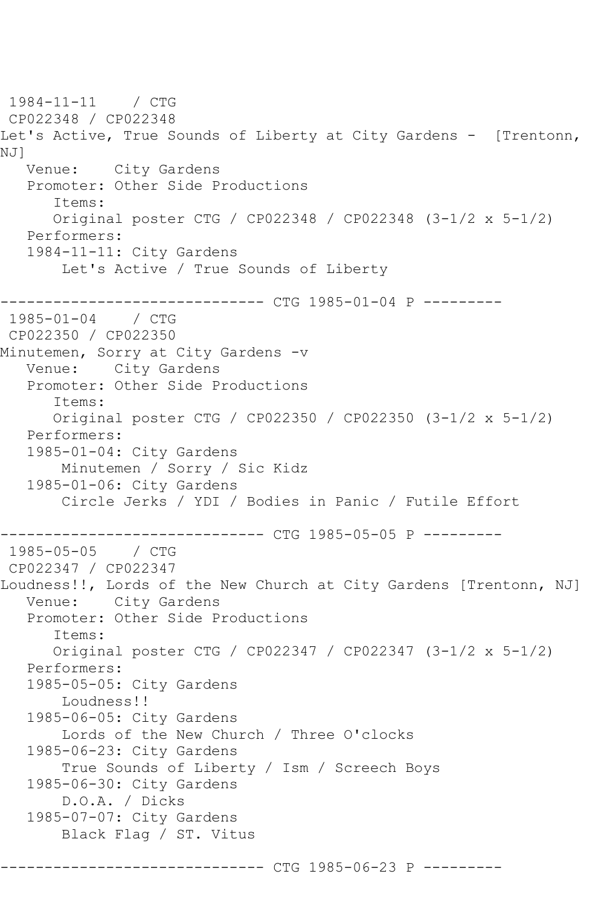1984-11-11 / CTG CP022348 / CP022348 Let's Active, True Sounds of Liberty at City Gardens - [Trentonn, NJ] Venue: City Gardens Promoter: Other Side Productions Items: Original poster CTG / CP022348 / CP022348 (3-1/2 x 5-1/2) Performers: 1984-11-11: City Gardens Let's Active / True Sounds of Liberty ------------------------------ CTG 1985-01-04 P --------- 1985-01-04 / CTG CP022350 / CP022350 Minutemen, Sorry at City Gardens -v Venue: City Gardens Promoter: Other Side Productions Items: Original poster CTG / CP022350 / CP022350 (3-1/2 x 5-1/2) Performers: 1985-01-04: City Gardens Minutemen / Sorry / Sic Kidz 1985-01-06: City Gardens Circle Jerks / YDI / Bodies in Panic / Futile Effort ------------------------------ CTG 1985-05-05 P --------- 1985-05-05 / CTG CP022347 / CP022347 Loudness!!, Lords of the New Church at City Gardens [Trentonn, NJ] Venue: City Gardens Promoter: Other Side Productions Items: Original poster CTG / CP022347 / CP022347 (3-1/2 x 5-1/2) Performers: 1985-05-05: City Gardens Loudness!! 1985-06-05: City Gardens Lords of the New Church / Three O'clocks 1985-06-23: City Gardens True Sounds of Liberty / Ism / Screech Boys 1985-06-30: City Gardens D.O.A. / Dicks 1985-07-07: City Gardens Black Flag / ST. Vitus --------- CTG 1985-06-23 P ---------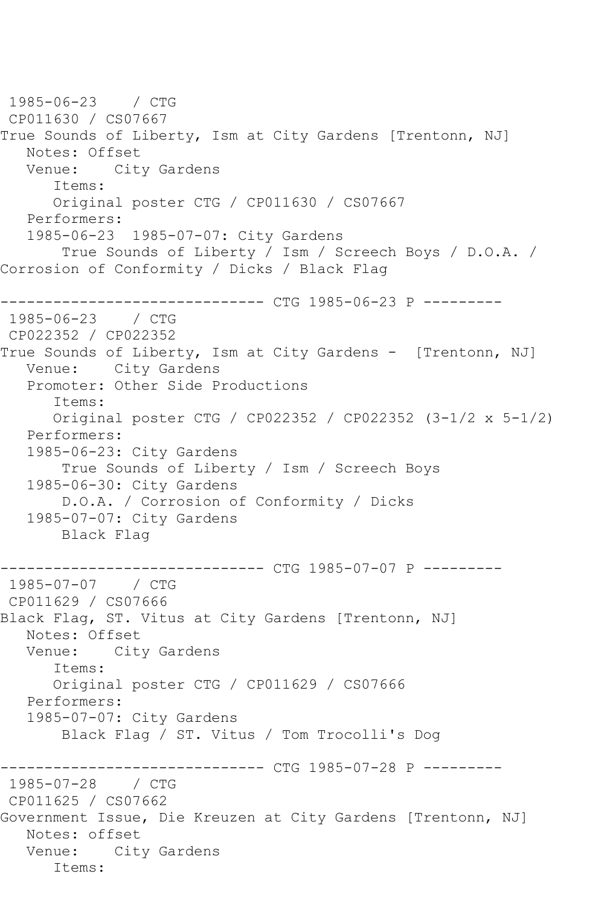1985-06-23 / CTG CP011630 / CS07667 True Sounds of Liberty, Ism at City Gardens [Trentonn, NJ] Notes: Offset<br>Venue: Cit City Gardens Items: Original poster CTG / CP011630 / CS07667 Performers: 1985-06-23 1985-07-07: City Gardens True Sounds of Liberty / Ism / Screech Boys / D.O.A. / Corrosion of Conformity / Dicks / Black Flag ------------------------------ CTG 1985-06-23 P --------- 1985-06-23 / CTG CP022352 / CP022352 True Sounds of Liberty, Ism at City Gardens - [Trentonn, NJ] Venue: City Gardens Promoter: Other Side Productions Items: Original poster CTG / CP022352 / CP022352 (3-1/2 x 5-1/2) Performers: 1985-06-23: City Gardens True Sounds of Liberty / Ism / Screech Boys 1985-06-30: City Gardens D.O.A. / Corrosion of Conformity / Dicks 1985-07-07: City Gardens Black Flag -------------- CTG 1985-07-07 P ----------1985-07-07 / CTG CP011629 / CS07666 Black Flag, ST. Vitus at City Gardens [Trentonn, NJ] Notes: Offset<br>Venue: Cit City Gardens Items: Original poster CTG / CP011629 / CS07666 Performers: 1985-07-07: City Gardens Black Flag / ST. Vitus / Tom Trocolli's Dog ------------------------------ CTG 1985-07-28 P --------- 1985-07-28 / CTG CP011625 / CS07662 Government Issue, Die Kreuzen at City Gardens [Trentonn, NJ] Notes: offset Venue: City Gardens Items: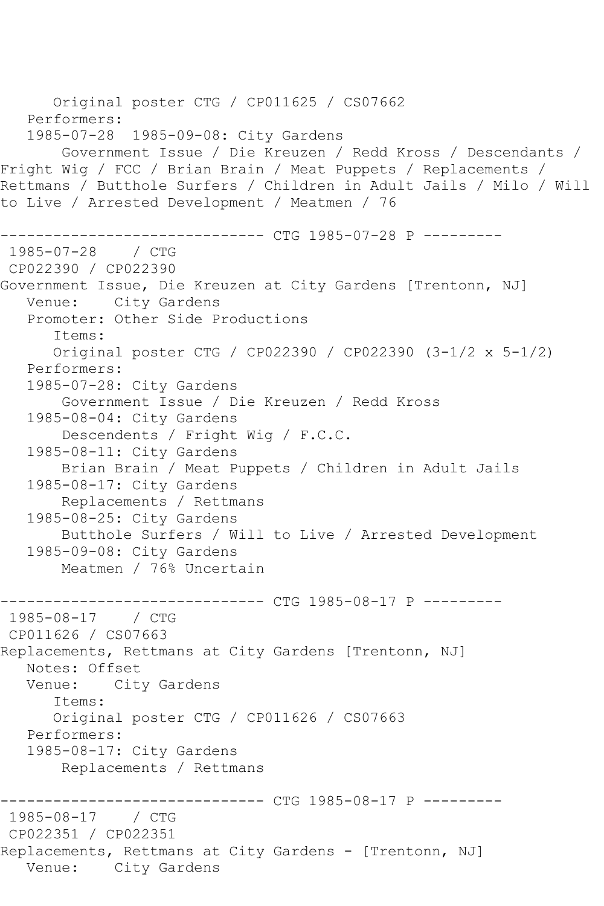Original poster CTG / CP011625 / CS07662 Performers: 1985-07-28 1985-09-08: City Gardens Government Issue / Die Kreuzen / Redd Kross / Descendants / Fright Wig / FCC / Brian Brain / Meat Puppets / Replacements / Rettmans / Butthole Surfers / Children in Adult Jails / Milo / Will to Live / Arrested Development / Meatmen / 76 ------------------------------ CTG 1985-07-28 P ---------  $1985 - 07 - 28$ CP022390 / CP022390 Government Issue, Die Kreuzen at City Gardens [Trentonn, NJ] Venue: City Gardens Promoter: Other Side Productions Items: Original poster CTG / CP022390 / CP022390 (3-1/2 x 5-1/2) Performers: 1985-07-28: City Gardens Government Issue / Die Kreuzen / Redd Kross 1985-08-04: City Gardens Descendents / Fright Wig / F.C.C. 1985-08-11: City Gardens Brian Brain / Meat Puppets / Children in Adult Jails 1985-08-17: City Gardens Replacements / Rettmans 1985-08-25: City Gardens Butthole Surfers / Will to Live / Arrested Development 1985-09-08: City Gardens Meatmen / 76% Uncertain ------------------------------ CTG 1985-08-17 P --------- 1985-08-17 / CTG CP011626 / CS07663 Replacements, Rettmans at City Gardens [Trentonn, NJ] Notes: Offset Venue: City Gardens Items: Original poster CTG / CP011626 / CS07663 Performers: 1985-08-17: City Gardens Replacements / Rettmans ------------ CTG 1985-08-17 P ---------1985-08-17 / CTG CP022351 / CP022351 Replacements, Rettmans at City Gardens - [Trentonn, NJ] Venue: City Gardens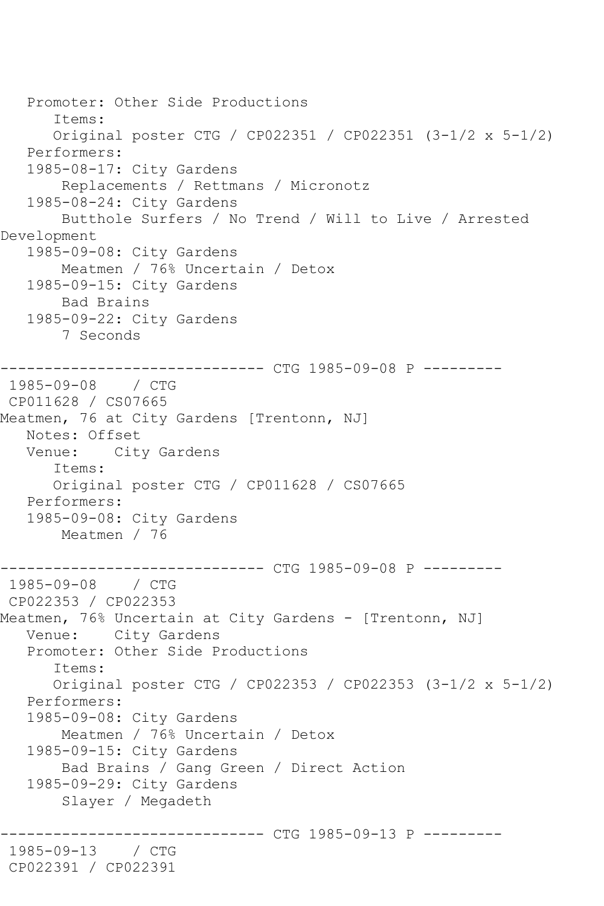```
 Promoter: Other Side Productions
       Items:
       Original poster CTG / CP022351 / CP022351 (3-1/2 x 5-1/2)
    Performers:
    1985-08-17: City Gardens
        Replacements / Rettmans / Micronotz
    1985-08-24: City Gardens
        Butthole Surfers / No Trend / Will to Live / Arrested 
Development
    1985-09-08: City Gardens
        Meatmen / 76% Uncertain / Detox
    1985-09-15: City Gardens
        Bad Brains
    1985-09-22: City Gardens
        7 Seconds
              ------------------------------ CTG 1985-09-08 P ---------
1985-09-08 / CTG 
CP011628 / CS07665
Meatmen, 76 at City Gardens [Trentonn, NJ]
   Notes: Offset
   Venue: City Gardens
       Items:
       Original poster CTG / CP011628 / CS07665
    Performers:
    1985-09-08: City Gardens
        Meatmen / 76
                    ----------- CTG 1985-09-08 P ---------
1985-09-08 / CTG 
CP022353 / CP022353
Meatmen, 76% Uncertain at City Gardens - [Trentonn, NJ]
   Venue: City Gardens
    Promoter: Other Side Productions
       Items:
       Original poster CTG / CP022353 / CP022353 (3-1/2 x 5-1/2)
    Performers:
    1985-09-08: City Gardens
        Meatmen / 76% Uncertain / Detox
    1985-09-15: City Gardens
        Bad Brains / Gang Green / Direct Action
    1985-09-29: City Gardens
        Slayer / Megadeth
                   ------------------------------ CTG 1985-09-13 P ---------
1985-09-13 / CTG 
CP022391 / CP022391
```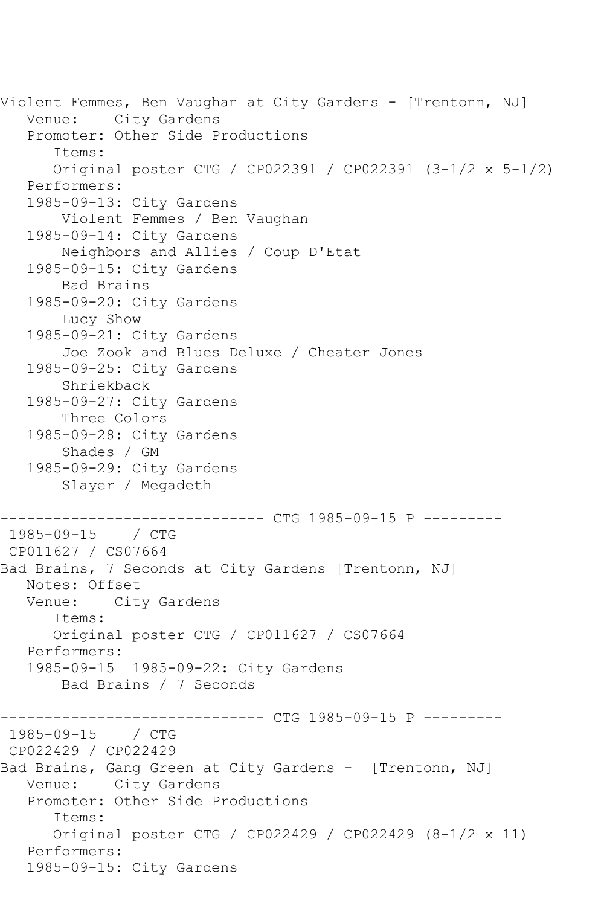Violent Femmes, Ben Vaughan at City Gardens - [Trentonn, NJ] Venue: City Gardens Promoter: Other Side Productions Items: Original poster CTG / CP022391 / CP022391 (3-1/2 x 5-1/2) Performers: 1985-09-13: City Gardens Violent Femmes / Ben Vaughan 1985-09-14: City Gardens Neighbors and Allies / Coup D'Etat 1985-09-15: City Gardens Bad Brains 1985-09-20: City Gardens Lucy Show 1985-09-21: City Gardens Joe Zook and Blues Deluxe / Cheater Jones 1985-09-25: City Gardens Shriekback 1985-09-27: City Gardens Three Colors 1985-09-28: City Gardens Shades / GM 1985-09-29: City Gardens Slayer / Megadeth ------------------------------ CTG 1985-09-15 P --------- 1985-09-15 / CTG CP011627 / CS07664 Bad Brains, 7 Seconds at City Gardens [Trentonn, NJ] Notes: Offset<br>Venue: City City Gardens Items: Original poster CTG / CP011627 / CS07664 Performers: 1985-09-15 1985-09-22: City Gardens Bad Brains / 7 Seconds ----------- CTG 1985-09-15 P ----------1985-09-15 / CTG CP022429 / CP022429 Bad Brains, Gang Green at City Gardens - [Trentonn, NJ] Venue: City Gardens Promoter: Other Side Productions Items: Original poster CTG / CP022429 / CP022429 (8-1/2 x 11) Performers: 1985-09-15: City Gardens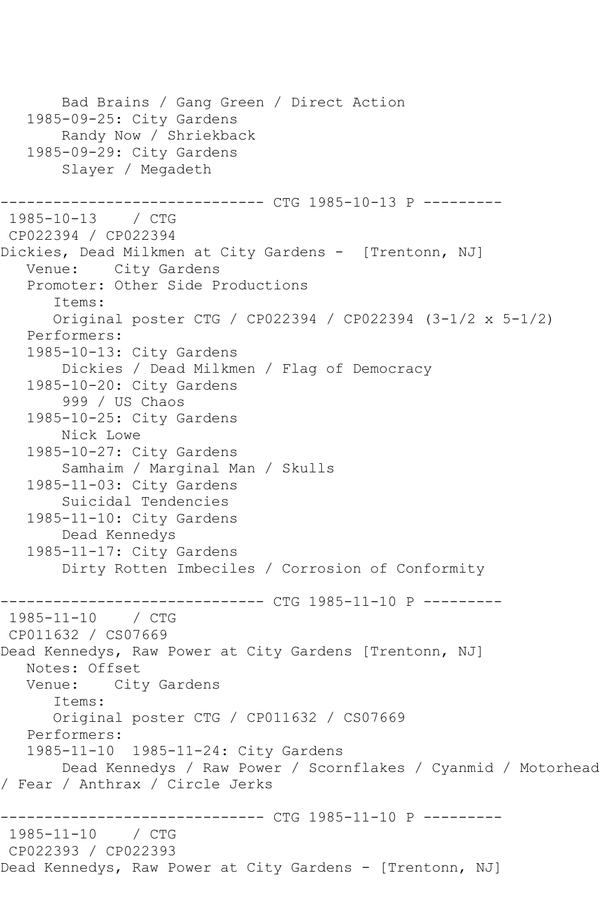```
 Bad Brains / Gang Green / Direct Action
   1985-09-25: City Gardens
        Randy Now / Shriekback
    1985-09-29: City Gardens
        Slayer / Megadeth
                  ------------ CTG 1985-10-13 P ----------
1985-10-13 / CTG 
CP022394 / CP022394
Dickies, Dead Milkmen at City Gardens - [Trentonn, NJ]
   Venue: City Gardens
    Promoter: Other Side Productions
       Items:
       Original poster CTG / CP022394 / CP022394 (3-1/2 x 5-1/2)
    Performers:
   1985-10-13: City Gardens
        Dickies / Dead Milkmen / Flag of Democracy
    1985-10-20: City Gardens
        999 / US Chaos
    1985-10-25: City Gardens
        Nick Lowe
    1985-10-27: City Gardens
        Samhaim / Marginal Man / Skulls
    1985-11-03: City Gardens
        Suicidal Tendencies
    1985-11-10: City Gardens
        Dead Kennedys
    1985-11-17: City Gardens
        Dirty Rotten Imbeciles / Corrosion of Conformity
                     ---------- CTG 1985-11-10 P ---------
1985-11-10 / CTG 
CP011632 / CS07669
Dead Kennedys, Raw Power at City Gardens [Trentonn, NJ]
   Notes: Offset
   Venue: City Gardens
       Items:
       Original poster CTG / CP011632 / CS07669
   Performers:
    1985-11-10 1985-11-24: City Gardens
        Dead Kennedys / Raw Power / Scornflakes / Cyanmid / Motorhead 
/ Fear / Anthrax / Circle Jerks
              ------------------------------ CTG 1985-11-10 P ---------
1985 - 11 - 10CP022393 / CP022393
Dead Kennedys, Raw Power at City Gardens - [Trentonn, NJ]
```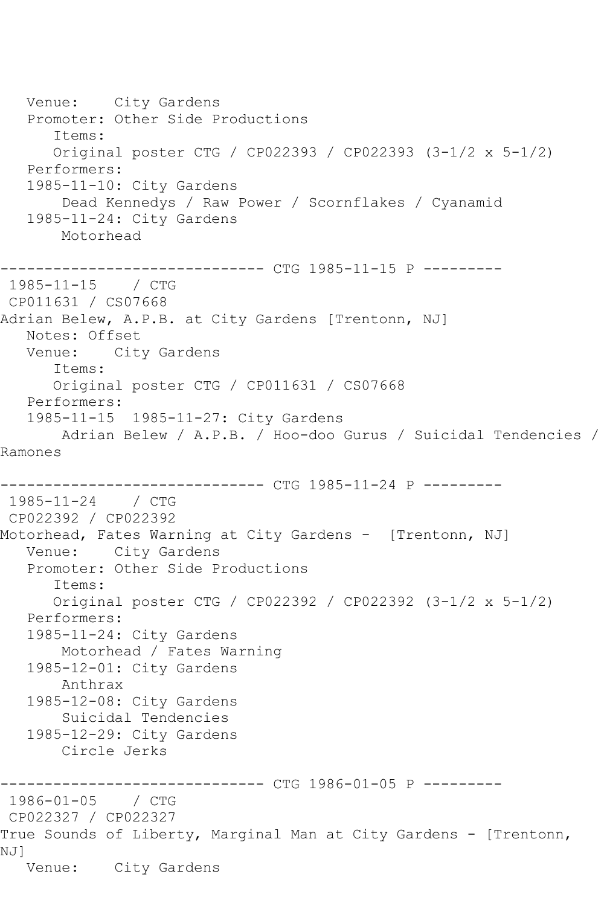Venue: City Gardens Promoter: Other Side Productions Items: Original poster CTG / CP022393 / CP022393 (3-1/2 x 5-1/2) Performers: 1985-11-10: City Gardens Dead Kennedys / Raw Power / Scornflakes / Cyanamid 1985-11-24: City Gardens Motorhead ------------------------------ CTG 1985-11-15 P --------- 1985-11-15 / CTG CP011631 / CS07668 Adrian Belew, A.P.B. at City Gardens [Trentonn, NJ] Notes: Offset Venue: City Gardens Items: Original poster CTG / CP011631 / CS07668 Performers: 1985-11-15 1985-11-27: City Gardens Adrian Belew / A.P.B. / Hoo-doo Gurus / Suicidal Tendencies / Ramones ------------------------------ CTG 1985-11-24 P --------- 1985-11-24 / CTG CP022392 / CP022392 Motorhead, Fates Warning at City Gardens - [Trentonn, NJ] Venue: City Gardens Promoter: Other Side Productions Items: Original poster CTG / CP022392 / CP022392 (3-1/2 x 5-1/2) Performers: 1985-11-24: City Gardens Motorhead / Fates Warning 1985-12-01: City Gardens Anthrax 1985-12-08: City Gardens Suicidal Tendencies 1985-12-29: City Gardens Circle Jerks ------------------------------ CTG 1986-01-05 P --------- 1986-01-05 / CTG CP022327 / CP022327 True Sounds of Liberty, Marginal Man at City Gardens - [Trentonn, NJ] Venue: City Gardens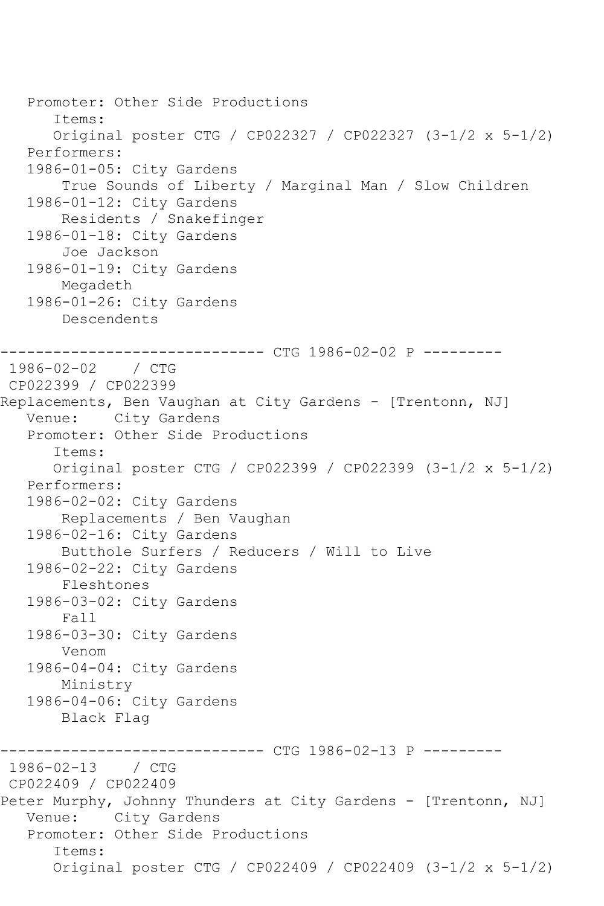```
 Promoter: Other Side Productions
       Items:
       Original poster CTG / CP022327 / CP022327 (3-1/2 x 5-1/2)
    Performers:
    1986-01-05: City Gardens
        True Sounds of Liberty / Marginal Man / Slow Children
    1986-01-12: City Gardens
        Residents / Snakefinger
    1986-01-18: City Gardens
        Joe Jackson
    1986-01-19: City Gardens
        Megadeth
   1986-01-26: City Gardens
        Descendents
         ------------------------------ CTG 1986-02-02 P ---------
1986-02-02 / CTG 
CP022399 / CP022399
Replacements, Ben Vaughan at City Gardens - [Trentonn, NJ]
   Venue: City Gardens
    Promoter: Other Side Productions
       Items:
       Original poster CTG / CP022399 / CP022399 (3-1/2 x 5-1/2)
    Performers:
    1986-02-02: City Gardens
        Replacements / Ben Vaughan
    1986-02-16: City Gardens
        Butthole Surfers / Reducers / Will to Live
    1986-02-22: City Gardens
        Fleshtones
    1986-03-02: City Gardens
        Fall
    1986-03-30: City Gardens
        Venom
    1986-04-04: City Gardens
        Ministry
    1986-04-06: City Gardens
        Black Flag
------------------------------ CTG 1986-02-13 P ---------
1986-02-13 / CTG 
CP022409 / CP022409
Peter Murphy, Johnny Thunders at City Gardens - [Trentonn, NJ]
   Venue: City Gardens
    Promoter: Other Side Productions
       Items:
       Original poster CTG / CP022409 / CP022409 (3-1/2 x 5-1/2)
```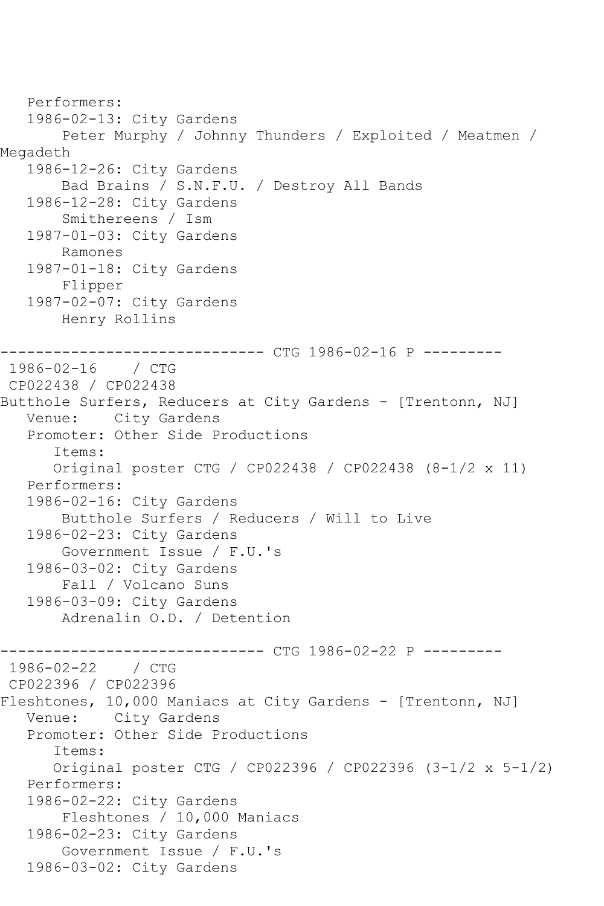```
 Performers:
   1986-02-13: City Gardens
        Peter Murphy / Johnny Thunders / Exploited / Meatmen / 
Megadeth
   1986-12-26: City Gardens
        Bad Brains / S.N.F.U. / Destroy All Bands
   1986-12-28: City Gardens
        Smithereens / Ism
   1987-01-03: City Gardens
        Ramones
   1987-01-18: City Gardens
        Flipper
   1987-02-07: City Gardens
        Henry Rollins
------------------------------ CTG 1986-02-16 P ---------
1986-02-16 / CTG 
CP022438 / CP022438
Butthole Surfers, Reducers at City Gardens - [Trentonn, NJ]
   Venue: City Gardens
   Promoter: Other Side Productions
       Items:
       Original poster CTG / CP022438 / CP022438 (8-1/2 x 11)
   Performers:
   1986-02-16: City Gardens
        Butthole Surfers / Reducers / Will to Live
   1986-02-23: City Gardens
        Government Issue / F.U.'s
   1986-03-02: City Gardens
        Fall / Volcano Suns
   1986-03-09: City Gardens
        Adrenalin O.D. / Detention
------------------------------ CTG 1986-02-22 P ---------
1986-02-22 / CTG
CP022396 / CP022396
Fleshtones, 10,000 Maniacs at City Gardens - [Trentonn, NJ]
   Venue: City Gardens
   Promoter: Other Side Productions
       Items:
      Original poster CTG / CP022396 / CP022396 (3-1/2 x 5-1/2)
   Performers:
   1986-02-22: City Gardens
        Fleshtones / 10,000 Maniacs
   1986-02-23: City Gardens
        Government Issue / F.U.'s
   1986-03-02: City Gardens
```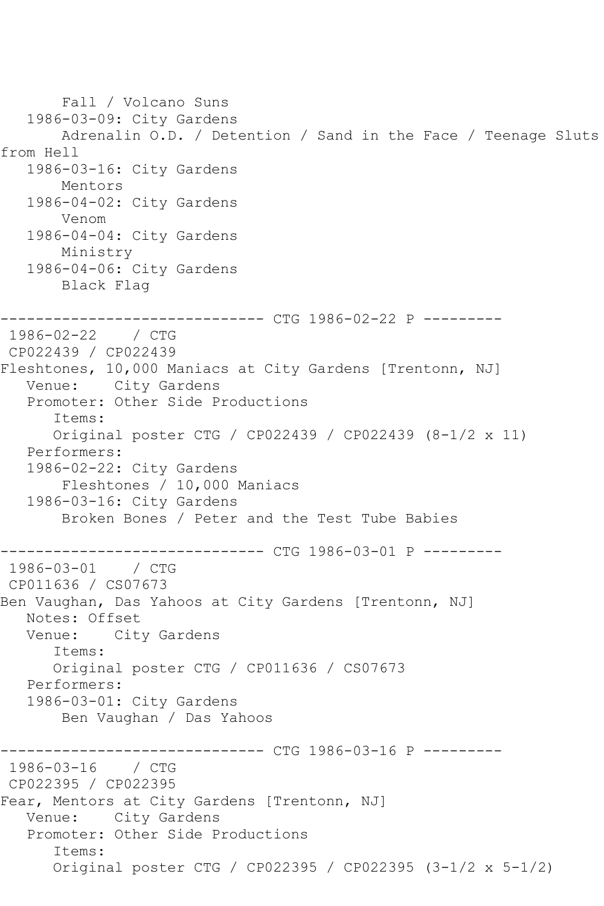Fall / Volcano Suns 1986-03-09: City Gardens Adrenalin O.D. / Detention / Sand in the Face / Teenage Sluts from Hell 1986-03-16: City Gardens Mentors 1986-04-02: City Gardens Venom 1986-04-04: City Gardens Ministry 1986-04-06: City Gardens Black Flag ------------------------------ CTG 1986-02-22 P --------- 1986-02-22 / CTG CP022439 / CP022439 Fleshtones, 10,000 Maniacs at City Gardens [Trentonn, NJ] Venue: City Gardens Promoter: Other Side Productions Items: Original poster CTG / CP022439 / CP022439 (8-1/2 x 11) Performers: 1986-02-22: City Gardens Fleshtones / 10,000 Maniacs 1986-03-16: City Gardens Broken Bones / Peter and the Test Tube Babies ----------------- CTG 1986-03-01 P ----------<br>/ CTG  $1986 - 03 - 01$ CP011636 / CS07673 Ben Vaughan, Das Yahoos at City Gardens [Trentonn, NJ] Notes: Offset<br>Venue: City City Gardens Items: Original poster CTG / CP011636 / CS07673 Performers: 1986-03-01: City Gardens Ben Vaughan / Das Yahoos ------------------------------ CTG 1986-03-16 P --------- 1986-03-16 / CTG CP022395 / CP022395 Fear, Mentors at City Gardens [Trentonn, NJ] Venue: City Gardens Promoter: Other Side Productions Items: Original poster CTG / CP022395 / CP022395 (3-1/2 x 5-1/2)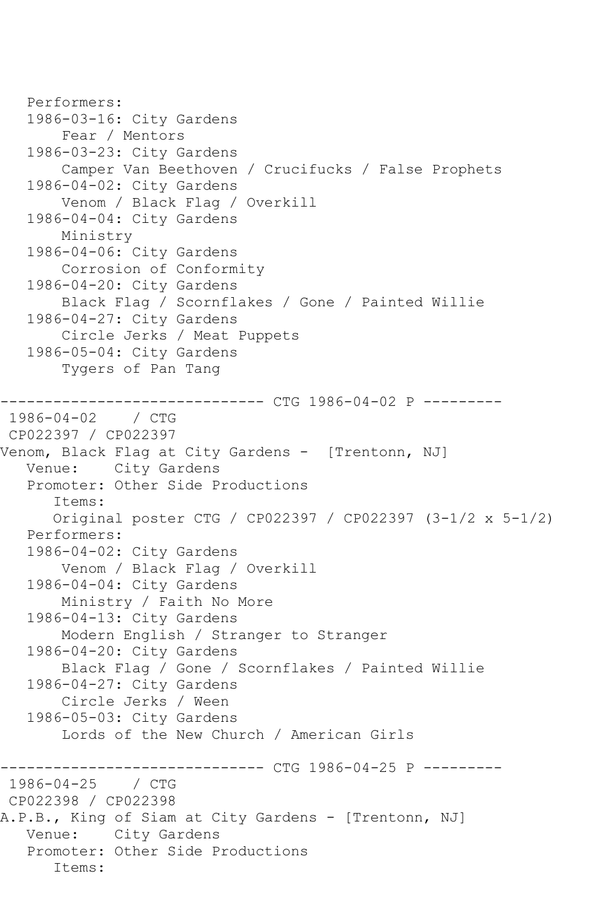```
 Performers:
    1986-03-16: City Gardens
        Fear / Mentors
    1986-03-23: City Gardens
        Camper Van Beethoven / Crucifucks / False Prophets
    1986-04-02: City Gardens
        Venom / Black Flag / Overkill
    1986-04-04: City Gardens
        Ministry
    1986-04-06: City Gardens
        Corrosion of Conformity
    1986-04-20: City Gardens
        Black Flag / Scornflakes / Gone / Painted Willie
    1986-04-27: City Gardens
        Circle Jerks / Meat Puppets
    1986-05-04: City Gardens
        Tygers of Pan Tang
         ------------------------------ CTG 1986-04-02 P ---------
1986-04-02 / CTG 
CP022397 / CP022397
Venom, Black Flag at City Gardens - [Trentonn, NJ]
   Venue: City Gardens
    Promoter: Other Side Productions
       Items:
       Original poster CTG / CP022397 / CP022397 (3-1/2 x 5-1/2)
   Performers:
    1986-04-02: City Gardens
        Venom / Black Flag / Overkill
    1986-04-04: City Gardens
        Ministry / Faith No More
    1986-04-13: City Gardens
        Modern English / Stranger to Stranger
    1986-04-20: City Gardens
        Black Flag / Gone / Scornflakes / Painted Willie
    1986-04-27: City Gardens
        Circle Jerks / Ween
    1986-05-03: City Gardens
        Lords of the New Church / American Girls
                    ----------- CTG 1986-04-25 P ----------
1986-04-25 / CTG 
CP022398 / CP022398
A.P.B., King of Siam at City Gardens - [Trentonn, NJ]
   Venue: City Gardens
    Promoter: Other Side Productions
       Items:
```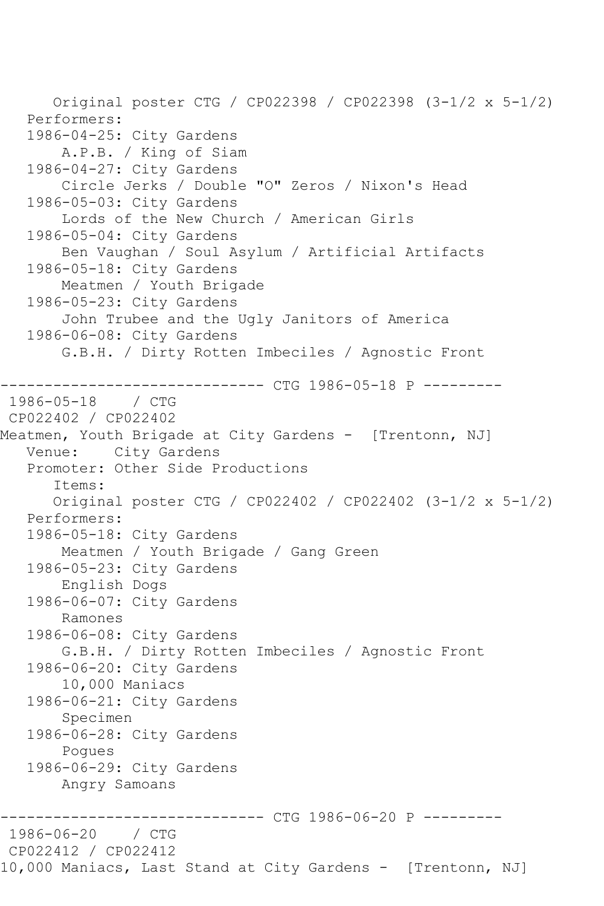Original poster CTG / CP022398 / CP022398 (3-1/2 x 5-1/2) Performers: 1986-04-25: City Gardens A.P.B. / King of Siam 1986-04-27: City Gardens Circle Jerks / Double "O" Zeros / Nixon's Head 1986-05-03: City Gardens Lords of the New Church / American Girls 1986-05-04: City Gardens Ben Vaughan / Soul Asylum / Artificial Artifacts 1986-05-18: City Gardens Meatmen / Youth Brigade 1986-05-23: City Gardens John Trubee and the Ugly Janitors of America 1986-06-08: City Gardens G.B.H. / Dirty Rotten Imbeciles / Agnostic Front ----------- CTG 1986-05-18 P ---------1986-05-18 / CTG CP022402 / CP022402 Meatmen, Youth Brigade at City Gardens - [Trentonn, NJ] Venue: City Gardens Promoter: Other Side Productions Items: Original poster CTG / CP022402 / CP022402 (3-1/2 x 5-1/2) Performers: 1986-05-18: City Gardens Meatmen / Youth Brigade / Gang Green 1986-05-23: City Gardens English Dogs 1986-06-07: City Gardens Ramones 1986-06-08: City Gardens G.B.H. / Dirty Rotten Imbeciles / Agnostic Front 1986-06-20: City Gardens 10,000 Maniacs 1986-06-21: City Gardens Specimen 1986-06-28: City Gardens Pogues 1986-06-29: City Gardens Angry Samoans ------------------------------ CTG 1986-06-20 P ---------  $1986 - 06 - 20$ CP022412 / CP022412 10,000 Maniacs, Last Stand at City Gardens - [Trentonn, NJ]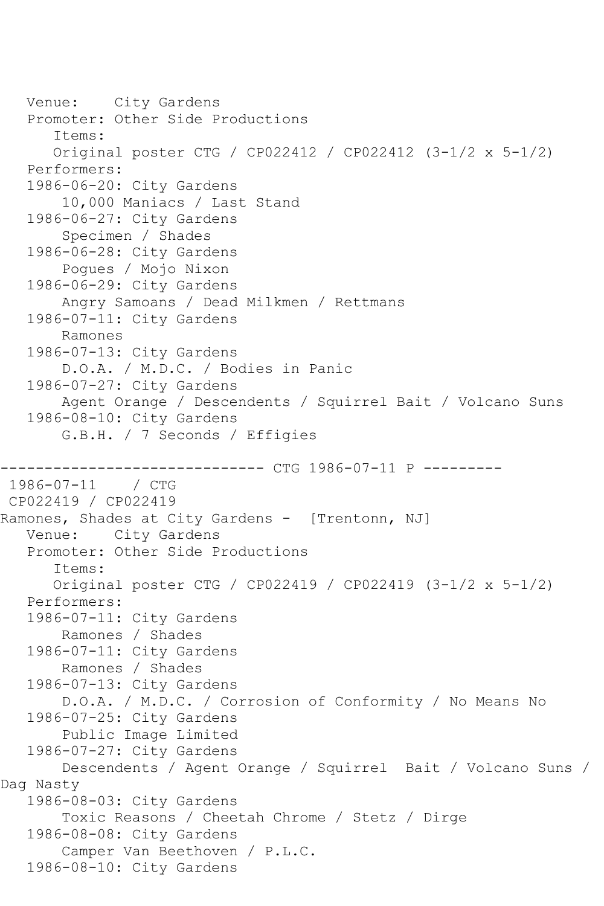```
 Venue: City Gardens
    Promoter: Other Side Productions
       Items:
       Original poster CTG / CP022412 / CP022412 (3-1/2 x 5-1/2)
    Performers:
    1986-06-20: City Gardens
        10,000 Maniacs / Last Stand
    1986-06-27: City Gardens
        Specimen / Shades
    1986-06-28: City Gardens
        Pogues / Mojo Nixon
    1986-06-29: City Gardens
        Angry Samoans / Dead Milkmen / Rettmans
    1986-07-11: City Gardens
        Ramones
    1986-07-13: City Gardens
        D.O.A. / M.D.C. / Bodies in Panic
    1986-07-27: City Gardens
        Agent Orange / Descendents / Squirrel Bait / Volcano Suns
    1986-08-10: City Gardens
        G.B.H. / 7 Seconds / Effigies
                  ------------ CTG 1986-07-11 P ---------
1986-07-11 / CTG 
CP022419 / CP022419
Ramones, Shades at City Gardens - [Trentonn, NJ]
   Venue: City Gardens
    Promoter: Other Side Productions
       Items:
       Original poster CTG / CP022419 / CP022419 (3-1/2 x 5-1/2)
    Performers:
    1986-07-11: City Gardens
        Ramones / Shades
    1986-07-11: City Gardens
        Ramones / Shades
    1986-07-13: City Gardens
        D.O.A. / M.D.C. / Corrosion of Conformity / No Means No
    1986-07-25: City Gardens
        Public Image Limited
    1986-07-27: City Gardens
        Descendents / Agent Orange / Squirrel Bait / Volcano Suns / 
Dag Nasty
    1986-08-03: City Gardens
        Toxic Reasons / Cheetah Chrome / Stetz / Dirge
    1986-08-08: City Gardens
        Camper Van Beethoven / P.L.C.
    1986-08-10: City Gardens
```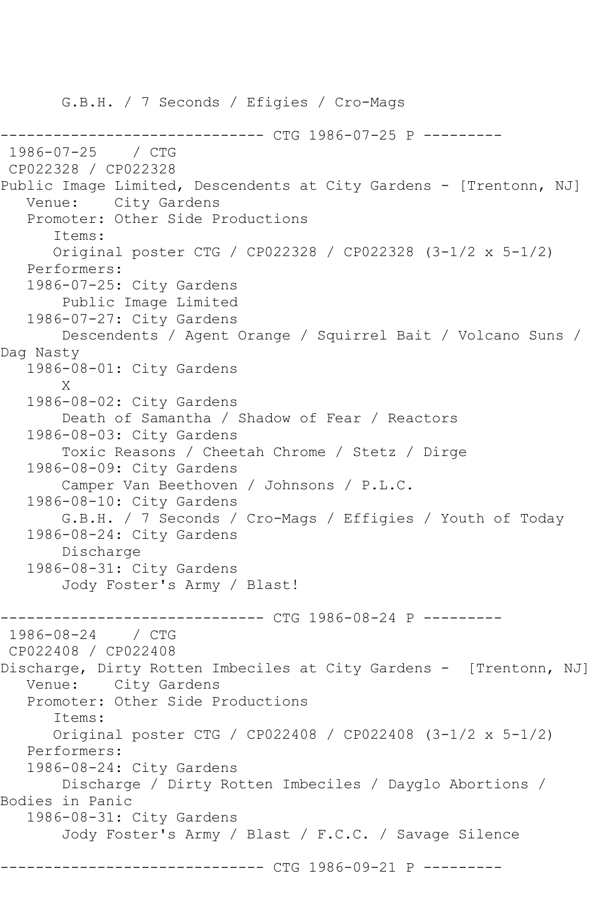G.B.H. / 7 Seconds / Efigies / Cro-Mags ------------------------------ CTG 1986-07-25 P --------- 1986-07-25 / CTG CP022328 / CP022328 Public Image Limited, Descendents at City Gardens - [Trentonn, NJ] Venue: City Gardens Promoter: Other Side Productions Items: Original poster CTG / CP022328 / CP022328 (3-1/2 x 5-1/2) Performers: 1986-07-25: City Gardens Public Image Limited 1986-07-27: City Gardens Descendents / Agent Orange / Squirrel Bait / Volcano Suns / Dag Nasty 1986-08-01: City Gardens X 1986-08-02: City Gardens Death of Samantha / Shadow of Fear / Reactors 1986-08-03: City Gardens Toxic Reasons / Cheetah Chrome / Stetz / Dirge 1986-08-09: City Gardens Camper Van Beethoven / Johnsons / P.L.C. 1986-08-10: City Gardens G.B.H. / 7 Seconds / Cro-Mags / Effigies / Youth of Today 1986-08-24: City Gardens Discharge 1986-08-31: City Gardens Jody Foster's Army / Blast! -------------- CTG 1986-08-24 P ----------1986-08-24 / CTG CP022408 / CP022408 Discharge, Dirty Rotten Imbeciles at City Gardens - [Trentonn, NJ] Venue: City Gardens Promoter: Other Side Productions Items: Original poster CTG / CP022408 / CP022408 (3-1/2 x 5-1/2) Performers: 1986-08-24: City Gardens Discharge / Dirty Rotten Imbeciles / Dayglo Abortions / Bodies in Panic 1986-08-31: City Gardens Jody Foster's Army / Blast / F.C.C. / Savage Silence ------------ CTG 1986-09-21 P ---------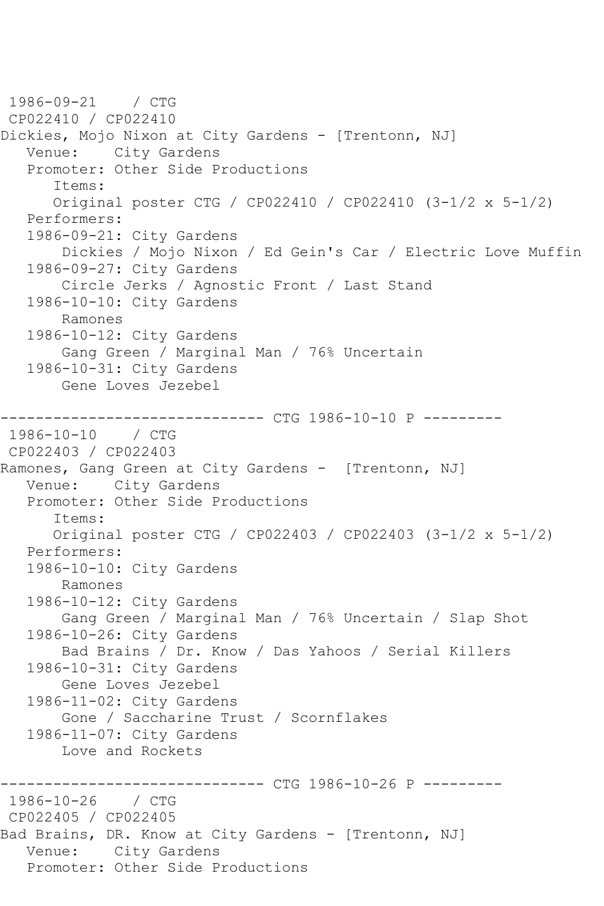1986-09-21 / CTG CP022410 / CP022410 Dickies, Mojo Nixon at City Gardens - [Trentonn, NJ] Venue: City Gardens Promoter: Other Side Productions Items: Original poster CTG / CP022410 / CP022410 (3-1/2 x 5-1/2) Performers: 1986-09-21: City Gardens Dickies / Mojo Nixon / Ed Gein's Car / Electric Love Muffin 1986-09-27: City Gardens Circle Jerks / Agnostic Front / Last Stand 1986-10-10: City Gardens Ramones 1986-10-12: City Gardens Gang Green / Marginal Man / 76% Uncertain 1986-10-31: City Gardens Gene Loves Jezebel ------------------------------ CTG 1986-10-10 P --------- 1986-10-10 / CTG CP022403 / CP022403 Ramones, Gang Green at City Gardens - [Trentonn, NJ] Venue: City Gardens Promoter: Other Side Productions Items: Original poster CTG / CP022403 / CP022403 (3-1/2 x 5-1/2) Performers: 1986-10-10: City Gardens Ramones 1986-10-12: City Gardens Gang Green / Marginal Man / 76% Uncertain / Slap Shot 1986-10-26: City Gardens Bad Brains / Dr. Know / Das Yahoos / Serial Killers 1986-10-31: City Gardens Gene Loves Jezebel 1986-11-02: City Gardens Gone / Saccharine Trust / Scornflakes 1986-11-07: City Gardens Love and Rockets -------------- CTG 1986-10-26 P ----------1986-10-26 / CTG CP022405 / CP022405 Bad Brains, DR. Know at City Gardens - [Trentonn, NJ] Venue: City Gardens Promoter: Other Side Productions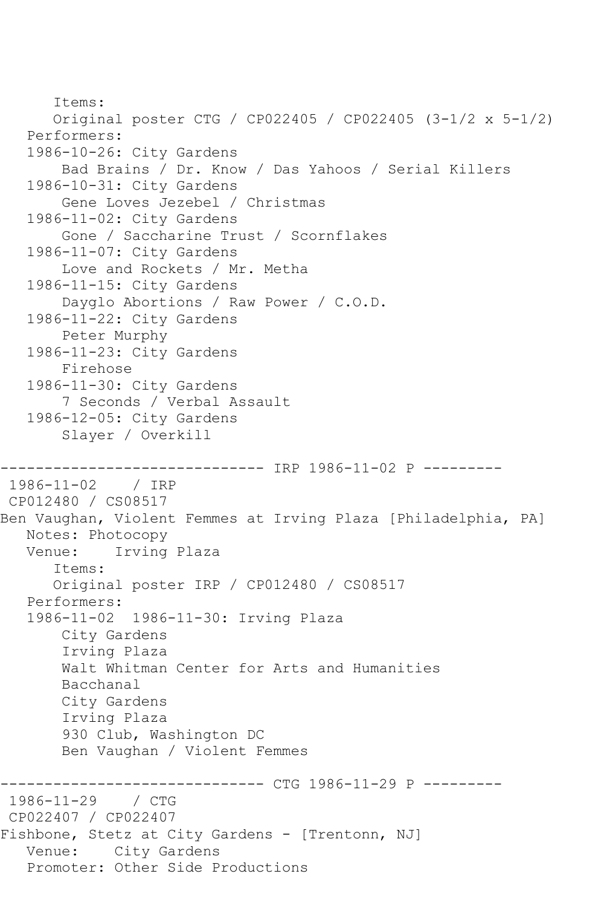```
 Items:
       Original poster CTG / CP022405 / CP022405 (3-1/2 x 5-1/2)
    Performers:
    1986-10-26: City Gardens
        Bad Brains / Dr. Know / Das Yahoos / Serial Killers
    1986-10-31: City Gardens
        Gene Loves Jezebel / Christmas
    1986-11-02: City Gardens
        Gone / Saccharine Trust / Scornflakes
    1986-11-07: City Gardens
        Love and Rockets / Mr. Metha
    1986-11-15: City Gardens
        Dayglo Abortions / Raw Power / C.O.D.
    1986-11-22: City Gardens
        Peter Murphy
    1986-11-23: City Gardens
        Firehose
    1986-11-30: City Gardens
        7 Seconds / Verbal Assault
    1986-12-05: City Gardens
        Slayer / Overkill
                      ------------------------------ IRP 1986-11-02 P ---------
1986-11-02 / IRP 
CP012480 / CS08517
Ben Vaughan, Violent Femmes at Irving Plaza [Philadelphia, PA]
   Notes: Photocopy
   Venue: Irving Plaza
       Items:
       Original poster IRP / CP012480 / CS08517
    Performers:
    1986-11-02 1986-11-30: Irving Plaza
        City Gardens
        Irving Plaza
        Walt Whitman Center for Arts and Humanities
        Bacchanal
        City Gardens
        Irving Plaza
        930 Club, Washington DC
        Ben Vaughan / Violent Femmes
                    ----------- CTG 1986-11-29 P ----------
1986-11-29 / CTG 
CP022407 / CP022407
Fishbone, Stetz at City Gardens - [Trentonn, NJ]
   Venue: City Gardens
   Promoter: Other Side Productions
```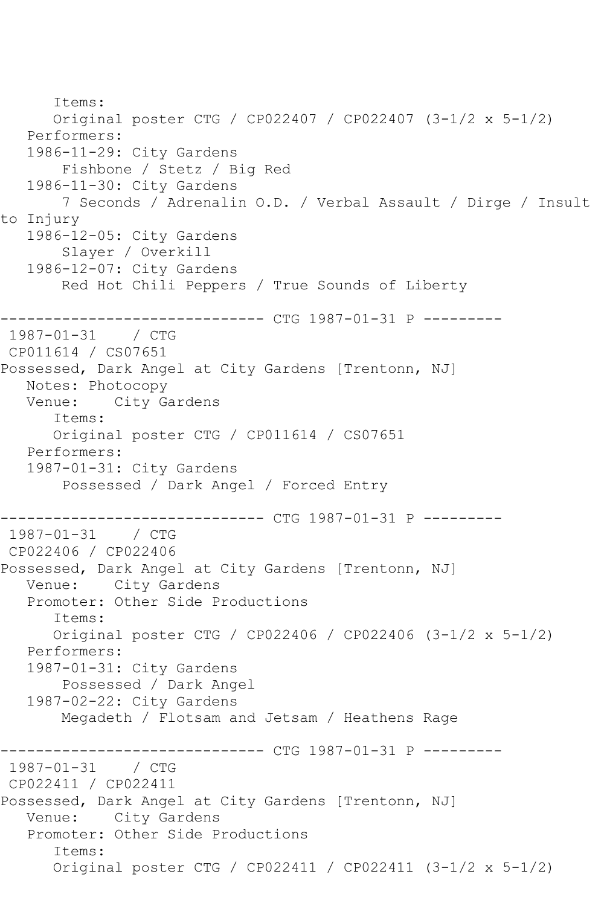```
 Items:
       Original poster CTG / CP022407 / CP022407 (3-1/2 x 5-1/2)
   Performers:
    1986-11-29: City Gardens
        Fishbone / Stetz / Big Red
    1986-11-30: City Gardens
        7 Seconds / Adrenalin O.D. / Verbal Assault / Dirge / Insult 
to Injury
   1986-12-05: City Gardens
        Slayer / Overkill
    1986-12-07: City Gardens
        Red Hot Chili Peppers / True Sounds of Liberty
               ------------------------------ CTG 1987-01-31 P ---------
1987 - 01 - 31CP011614 / CS07651
Possessed, Dark Angel at City Gardens [Trentonn, NJ]
  Notes: Photocopy<br>Venue: City G
             City Gardens
       Items:
       Original poster CTG / CP011614 / CS07651
    Performers:
    1987-01-31: City Gardens
        Possessed / Dark Angel / Forced Entry
                   ------------ CTG 1987-01-31 P ---------
1987-01-31 / CTG 
CP022406 / CP022406
Possessed, Dark Angel at City Gardens [Trentonn, NJ]
   Venue: City Gardens
    Promoter: Other Side Productions
       Items:
       Original poster CTG / CP022406 / CP022406 (3-1/2 x 5-1/2)
    Performers:
    1987-01-31: City Gardens
        Possessed / Dark Angel
    1987-02-22: City Gardens
        Megadeth / Flotsam and Jetsam / Heathens Rage
------------------------------ CTG 1987-01-31 P ---------
1987 - 01 - 31CP022411 / CP022411
Possessed, Dark Angel at City Gardens [Trentonn, NJ]
   Venue: City Gardens
    Promoter: Other Side Productions
       Items:
       Original poster CTG / CP022411 / CP022411 (3-1/2 x 5-1/2)
```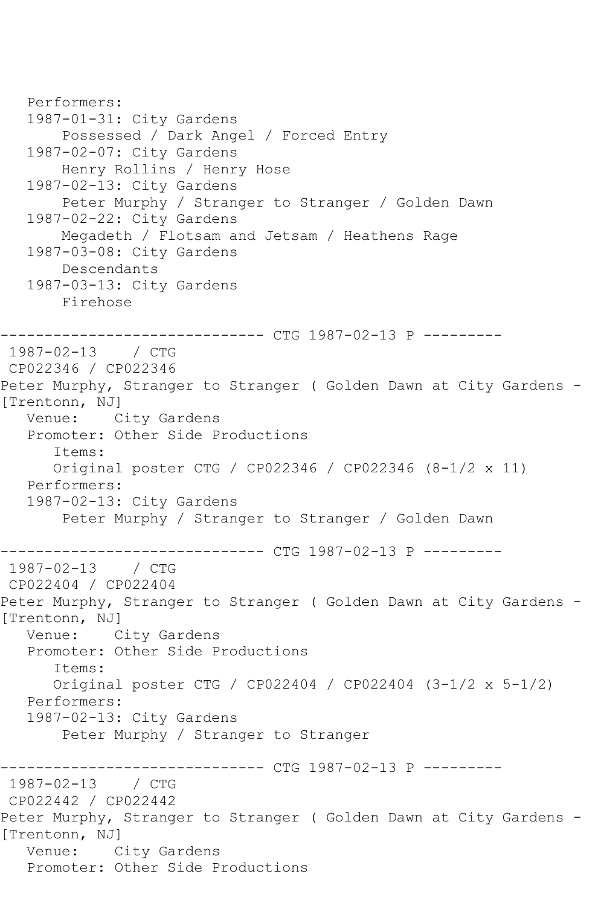```
 Performers:
    1987-01-31: City Gardens
        Possessed / Dark Angel / Forced Entry
    1987-02-07: City Gardens
        Henry Rollins / Henry Hose
    1987-02-13: City Gardens
        Peter Murphy / Stranger to Stranger / Golden Dawn
    1987-02-22: City Gardens
        Megadeth / Flotsam and Jetsam / Heathens Rage
    1987-03-08: City Gardens
        Descendants
    1987-03-13: City Gardens
        Firehose
       ------------------------------ CTG 1987-02-13 P ---------
1987-02-13 / CTG 
CP022346 / CP022346
Peter Murphy, Stranger to Stranger ( Golden Dawn at City Gardens -
[Trentonn, NJ]
   Venue: City Gardens
    Promoter: Other Side Productions
       Items:
       Original poster CTG / CP022346 / CP022346 (8-1/2 x 11)
   Performers:
    1987-02-13: City Gardens
        Peter Murphy / Stranger to Stranger / Golden Dawn
              ------------------------------ CTG 1987-02-13 P ---------
1987 - 02 - 13CP022404 / CP022404
Peter Murphy, Stranger to Stranger ( Golden Dawn at City Gardens - 
[Trentonn, NJ]
   Venue: City Gardens
    Promoter: Other Side Productions
       Items:
       Original poster CTG / CP022404 / CP022404 (3-1/2 x 5-1/2)
   Performers:
    1987-02-13: City Gardens
        Peter Murphy / Stranger to Stranger
                    ----------- CTG 1987-02-13 P ---------
1987-02-13 / CTG 
CP022442 / CP022442
Peter Murphy, Stranger to Stranger ( Golden Dawn at City Gardens - 
[Trentonn, NJ]
   Venue: City Gardens
   Promoter: Other Side Productions
```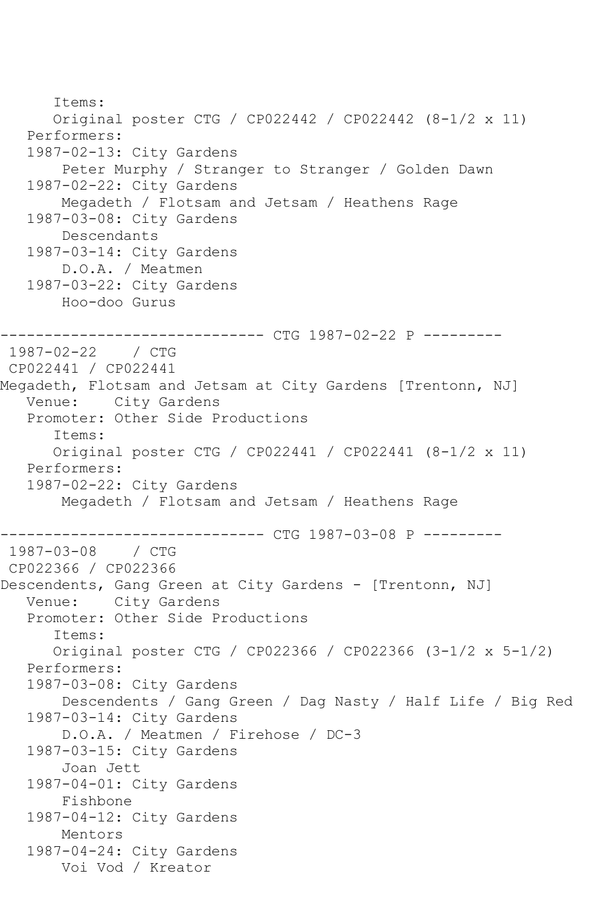```
 Items:
       Original poster CTG / CP022442 / CP022442 (8-1/2 x 11)
    Performers:
    1987-02-13: City Gardens
        Peter Murphy / Stranger to Stranger / Golden Dawn
    1987-02-22: City Gardens
        Megadeth / Flotsam and Jetsam / Heathens Rage
    1987-03-08: City Gardens
        Descendants
    1987-03-14: City Gardens
        D.O.A. / Meatmen
    1987-03-22: City Gardens
        Hoo-doo Gurus
       ------------------------------ CTG 1987-02-22 P ---------
1987-02-22 / CTG 
CP022441 / CP022441
Megadeth, Flotsam and Jetsam at City Gardens [Trentonn, NJ]
   Venue: City Gardens
    Promoter: Other Side Productions
       Items:
       Original poster CTG / CP022441 / CP022441 (8-1/2 x 11)
   Performers:
    1987-02-22: City Gardens
        Megadeth / Flotsam and Jetsam / Heathens Rage
------------------------------ CTG 1987-03-08 P ---------
1987-03-08 / CTG 
CP022366 / CP022366
Descendents, Gang Green at City Gardens - [Trentonn, NJ]
   Venue: City Gardens
    Promoter: Other Side Productions
       Items:
       Original poster CTG / CP022366 / CP022366 (3-1/2 x 5-1/2)
    Performers:
   1987-03-08: City Gardens
        Descendents / Gang Green / Dag Nasty / Half Life / Big Red
   1987-03-14: City Gardens
        D.O.A. / Meatmen / Firehose / DC-3
    1987-03-15: City Gardens
        Joan Jett
    1987-04-01: City Gardens
        Fishbone
    1987-04-12: City Gardens
        Mentors
    1987-04-24: City Gardens
        Voi Vod / Kreator
```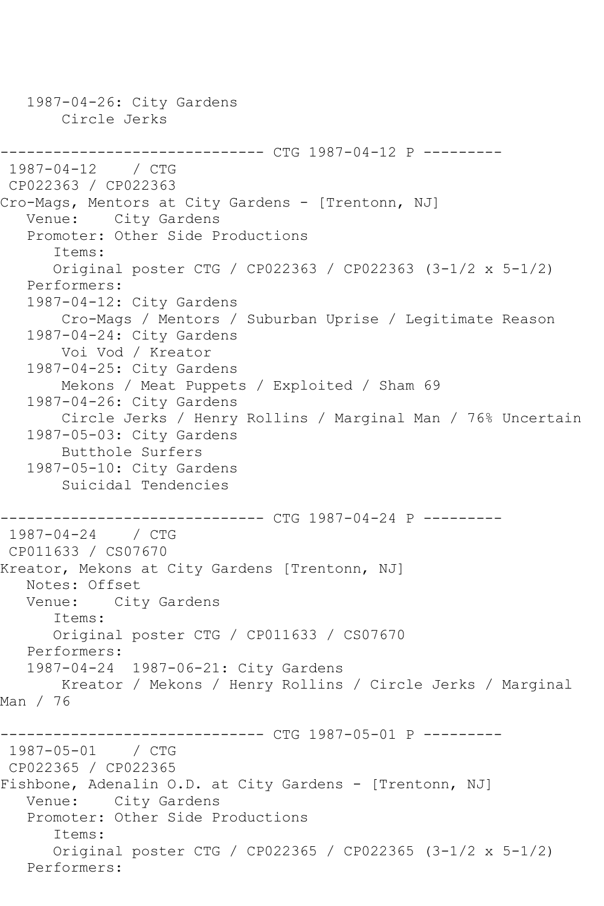1987-04-26: City Gardens Circle Jerks ------------------------------ CTG 1987-04-12 P --------- 1987-04-12 / CTG CP022363 / CP022363 Cro-Mags, Mentors at City Gardens - [Trentonn, NJ] Venue: City Gardens Promoter: Other Side Productions Items: Original poster CTG / CP022363 / CP022363 (3-1/2 x 5-1/2) Performers: 1987-04-12: City Gardens Cro-Mags / Mentors / Suburban Uprise / Legitimate Reason 1987-04-24: City Gardens Voi Vod / Kreator 1987-04-25: City Gardens Mekons / Meat Puppets / Exploited / Sham 69 1987-04-26: City Gardens Circle Jerks / Henry Rollins / Marginal Man / 76% Uncertain 1987-05-03: City Gardens Butthole Surfers 1987-05-10: City Gardens Suicidal Tendencies ------------------------------ CTG 1987-04-24 P --------- 1987-04-24 / CTG CP011633 / CS07670 Kreator, Mekons at City Gardens [Trentonn, NJ] Notes: Offset<br>Venue: Cit City Gardens Items: Original poster CTG / CP011633 / CS07670 Performers: 1987-04-24 1987-06-21: City Gardens Kreator / Mekons / Henry Rollins / Circle Jerks / Marginal Man / 76 ------------------------------ CTG 1987-05-01 P --------- 1987-05-01 / CTG CP022365 / CP022365 Fishbone, Adenalin O.D. at City Gardens - [Trentonn, NJ] Venue: City Gardens Promoter: Other Side Productions Items: Original poster CTG / CP022365 / CP022365 (3-1/2 x 5-1/2) Performers: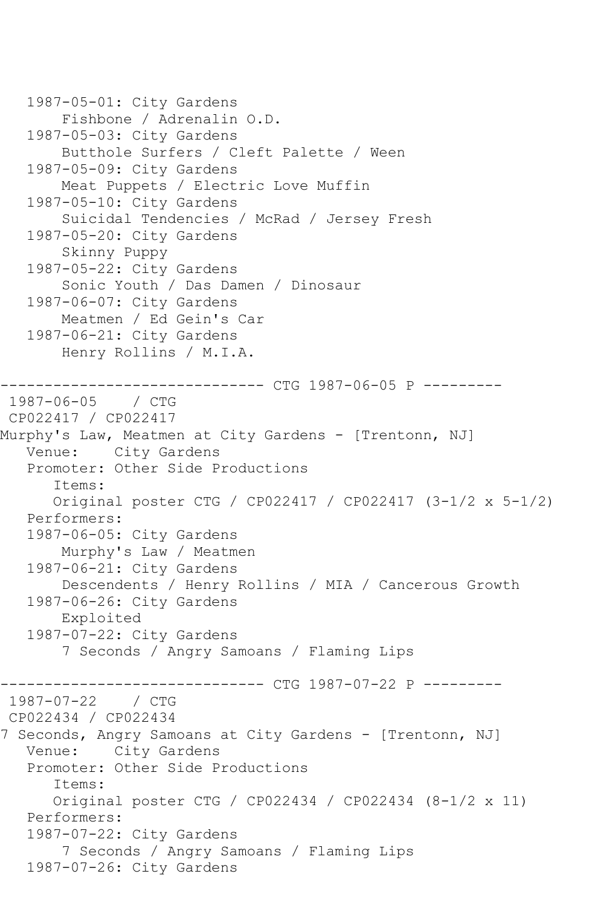```
 1987-05-01: City Gardens
        Fishbone / Adrenalin O.D.
    1987-05-03: City Gardens
        Butthole Surfers / Cleft Palette / Ween
    1987-05-09: City Gardens
        Meat Puppets / Electric Love Muffin
    1987-05-10: City Gardens
        Suicidal Tendencies / McRad / Jersey Fresh
    1987-05-20: City Gardens
        Skinny Puppy
   1987-05-22: City Gardens
        Sonic Youth / Das Damen / Dinosaur
    1987-06-07: City Gardens
        Meatmen / Ed Gein's Car
   1987-06-21: City Gardens
        Henry Rollins / M.I.A.
                    ----------- CTG 1987-06-05 P ---------
1987-06-05 / CTG 
CP022417 / CP022417
Murphy's Law, Meatmen at City Gardens - [Trentonn, NJ]
   Venue: City Gardens
   Promoter: Other Side Productions
       Items:
       Original poster CTG / CP022417 / CP022417 (3-1/2 x 5-1/2)
    Performers:
    1987-06-05: City Gardens
        Murphy's Law / Meatmen
    1987-06-21: City Gardens
        Descendents / Henry Rollins / MIA / Cancerous Growth
    1987-06-26: City Gardens
        Exploited
    1987-07-22: City Gardens
        7 Seconds / Angry Samoans / Flaming Lips
              ----------------- CTG 1987-07-22 P ----------<br>/ CTG
1987 - 07 - 22CP022434 / CP022434
7 Seconds, Angry Samoans at City Gardens - [Trentonn, NJ]
   Venue: City Gardens
   Promoter: Other Side Productions
       Items:
       Original poster CTG / CP022434 / CP022434 (8-1/2 x 11)
    Performers:
    1987-07-22: City Gardens
        7 Seconds / Angry Samoans / Flaming Lips
    1987-07-26: City Gardens
```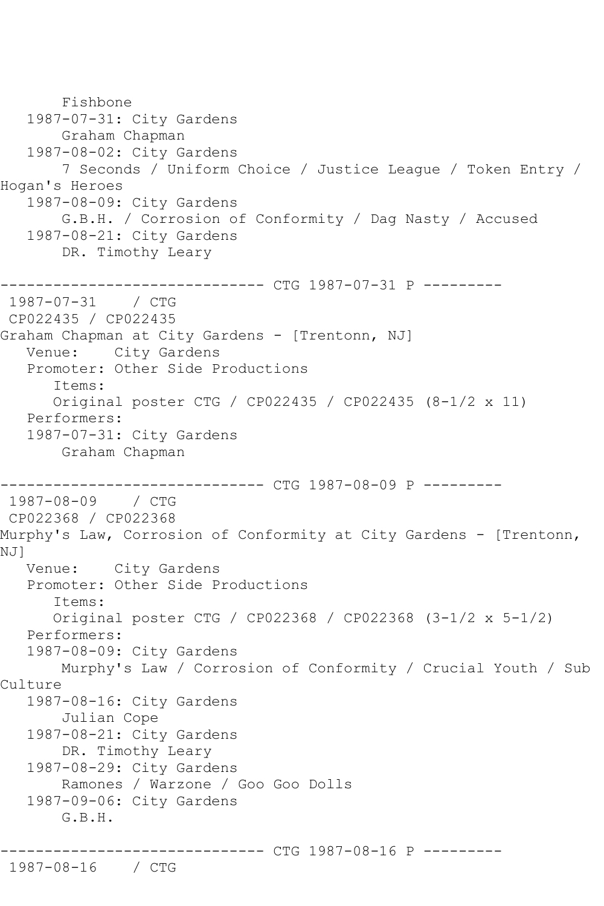```
 Fishbone
   1987-07-31: City Gardens
        Graham Chapman
   1987-08-02: City Gardens
        7 Seconds / Uniform Choice / Justice League / Token Entry / 
Hogan's Heroes
   1987-08-09: City Gardens
        G.B.H. / Corrosion of Conformity / Dag Nasty / Accused
   1987-08-21: City Gardens
        DR. Timothy Leary
                  ------------ CTG 1987-07-31 P ---------
1987-07-31 / CTG 
CP022435 / CP022435
Graham Chapman at City Gardens - [Trentonn, NJ]
   Venue: City Gardens
   Promoter: Other Side Productions
       Items:
       Original poster CTG / CP022435 / CP022435 (8-1/2 x 11)
   Performers:
   1987-07-31: City Gardens
        Graham Chapman
------------------------------ CTG 1987-08-09 P ---------
1987-08-09 / CTG 
CP022368 / CP022368
Murphy's Law, Corrosion of Conformity at City Gardens - [Trentonn, 
NJ]
   Venue: City Gardens
   Promoter: Other Side Productions
       Items:
       Original poster CTG / CP022368 / CP022368 (3-1/2 x 5-1/2)
   Performers:
   1987-08-09: City Gardens
       Murphy's Law / Corrosion of Conformity / Crucial Youth / Sub 
Culture
   1987-08-16: City Gardens
        Julian Cope
   1987-08-21: City Gardens
        DR. Timothy Leary
   1987-08-29: City Gardens
        Ramones / Warzone / Goo Goo Dolls
   1987-09-06: City Gardens
       G.B.H.
                   ------------ CTG 1987-08-16 P ---------
1987-08-16 / CTG
```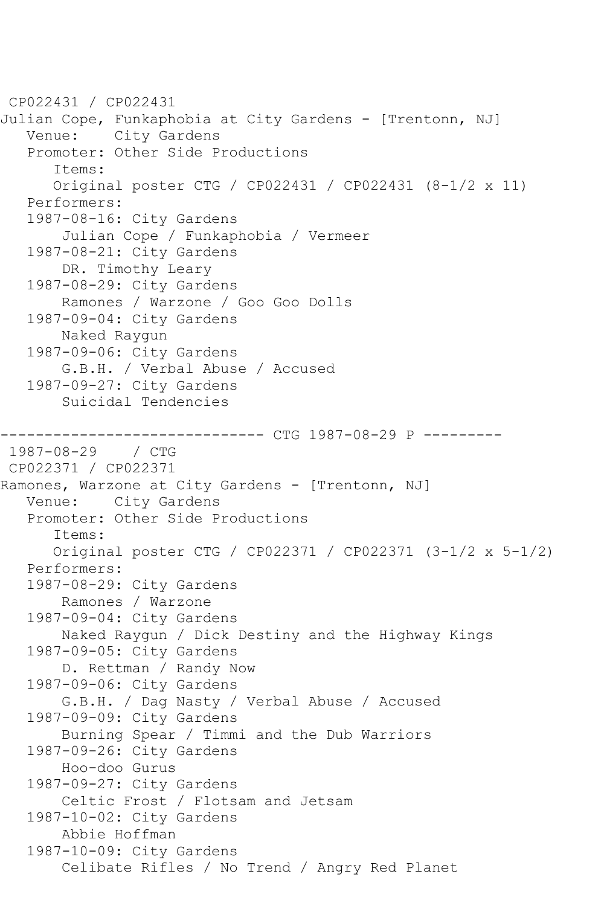```
CP022431 / CP022431
Julian Cope, Funkaphobia at City Gardens - [Trentonn, NJ]
   Venue: City Gardens
    Promoter: Other Side Productions
       Items:
       Original poster CTG / CP022431 / CP022431 (8-1/2 x 11)
    Performers:
    1987-08-16: City Gardens
        Julian Cope / Funkaphobia / Vermeer
    1987-08-21: City Gardens
        DR. Timothy Leary
    1987-08-29: City Gardens
        Ramones / Warzone / Goo Goo Dolls
    1987-09-04: City Gardens
        Naked Raygun
    1987-09-06: City Gardens
        G.B.H. / Verbal Abuse / Accused
    1987-09-27: City Gardens
        Suicidal Tendencies
------------------------------ CTG 1987-08-29 P ---------
1987-08-29 / CTG 
CP022371 / CP022371
Ramones, Warzone at City Gardens - [Trentonn, NJ]
   Venue: City Gardens
    Promoter: Other Side Productions
       Items:
       Original poster CTG / CP022371 / CP022371 (3-1/2 x 5-1/2)
    Performers:
    1987-08-29: City Gardens
        Ramones / Warzone
    1987-09-04: City Gardens
        Naked Raygun / Dick Destiny and the Highway Kings
    1987-09-05: City Gardens
        D. Rettman / Randy Now
    1987-09-06: City Gardens
        G.B.H. / Dag Nasty / Verbal Abuse / Accused
    1987-09-09: City Gardens
        Burning Spear / Timmi and the Dub Warriors
    1987-09-26: City Gardens
        Hoo-doo Gurus
    1987-09-27: City Gardens
        Celtic Frost / Flotsam and Jetsam
    1987-10-02: City Gardens
        Abbie Hoffman
    1987-10-09: City Gardens
        Celibate Rifles / No Trend / Angry Red Planet
```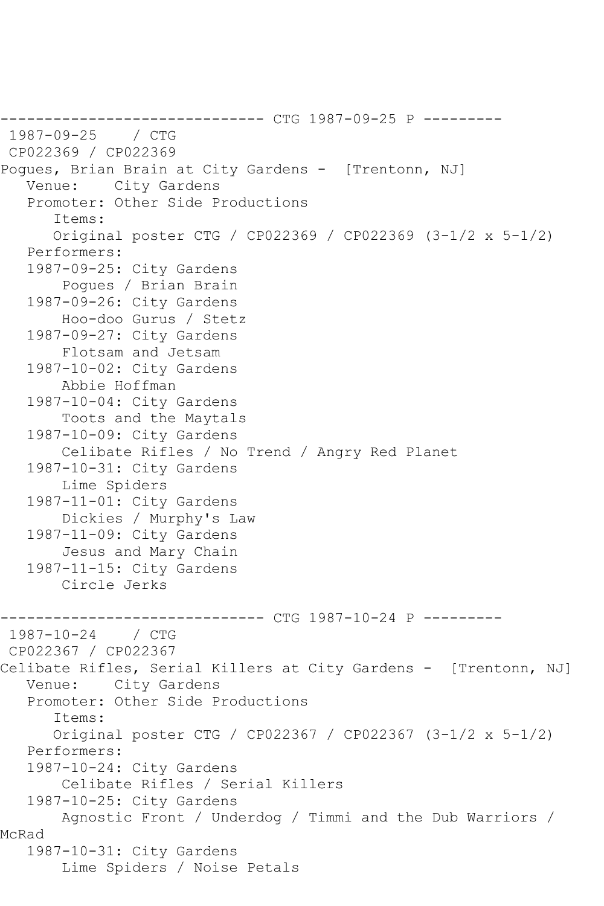------------------------------ CTG 1987-09-25 P --------- 1987-09-25 / CTG CP022369 / CP022369 Pogues, Brian Brain at City Gardens - [Trentonn, NJ] Venue: City Gardens Promoter: Other Side Productions Items: Original poster CTG / CP022369 / CP022369 (3-1/2 x 5-1/2) Performers: 1987-09-25: City Gardens Pogues / Brian Brain 1987-09-26: City Gardens Hoo-doo Gurus / Stetz 1987-09-27: City Gardens Flotsam and Jetsam 1987-10-02: City Gardens Abbie Hoffman 1987-10-04: City Gardens Toots and the Maytals 1987-10-09: City Gardens Celibate Rifles / No Trend / Angry Red Planet 1987-10-31: City Gardens Lime Spiders 1987-11-01: City Gardens Dickies / Murphy's Law 1987-11-09: City Gardens Jesus and Mary Chain 1987-11-15: City Gardens Circle Jerks ----------------- CTG 1987-10-24 P ----------<br>/ CTG  $1987 - 10 - 24$ CP022367 / CP022367 Celibate Rifles, Serial Killers at City Gardens - [Trentonn, NJ] Venue: City Gardens Promoter: Other Side Productions Items: Original poster CTG / CP022367 / CP022367 (3-1/2 x 5-1/2) Performers: 1987-10-24: City Gardens Celibate Rifles / Serial Killers 1987-10-25: City Gardens Agnostic Front / Underdog / Timmi and the Dub Warriors / McRad 1987-10-31: City Gardens Lime Spiders / Noise Petals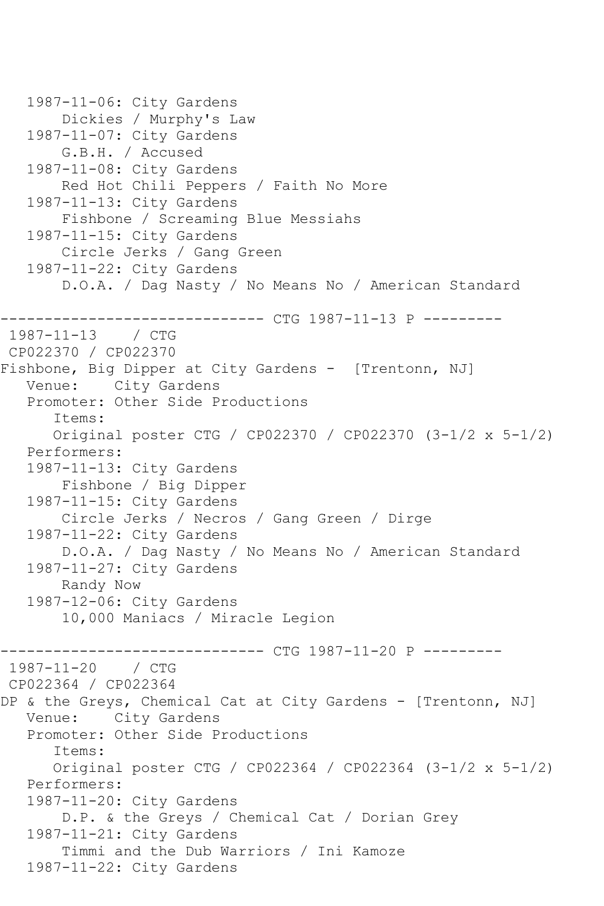```
 1987-11-06: City Gardens
        Dickies / Murphy's Law
   1987-11-07: City Gardens
        G.B.H. / Accused
   1987-11-08: City Gardens
        Red Hot Chili Peppers / Faith No More
   1987-11-13: City Gardens
        Fishbone / Screaming Blue Messiahs
   1987-11-15: City Gardens
        Circle Jerks / Gang Green
   1987-11-22: City Gardens
        D.O.A. / Dag Nasty / No Means No / American Standard
------------------------------ CTG 1987-11-13 P ---------
1987-11-13 / CTG 
CP022370 / CP022370
Fishbone, Big Dipper at City Gardens - [Trentonn, NJ]
   Venue: City Gardens
   Promoter: Other Side Productions
       Items:
      Original poster CTG / CP022370 / CP022370 (3-1/2 x 5-1/2)
   Performers:
   1987-11-13: City Gardens
        Fishbone / Big Dipper
   1987-11-15: City Gardens
        Circle Jerks / Necros / Gang Green / Dirge
   1987-11-22: City Gardens
        D.O.A. / Dag Nasty / No Means No / American Standard
   1987-11-27: City Gardens
        Randy Now
   1987-12-06: City Gardens
        10,000 Maniacs / Miracle Legion
      ------------------------------ CTG 1987-11-20 P ---------
1987-11-20 / CTG 
CP022364 / CP022364
DP & the Greys, Chemical Cat at City Gardens - [Trentonn, NJ]
   Venue: City Gardens
   Promoter: Other Side Productions
       Items:
      Original poster CTG / CP022364 / CP022364 (3-1/2 x 5-1/2)
   Performers:
   1987-11-20: City Gardens
        D.P. & the Greys / Chemical Cat / Dorian Grey
   1987-11-21: City Gardens
        Timmi and the Dub Warriors / Ini Kamoze
   1987-11-22: City Gardens
```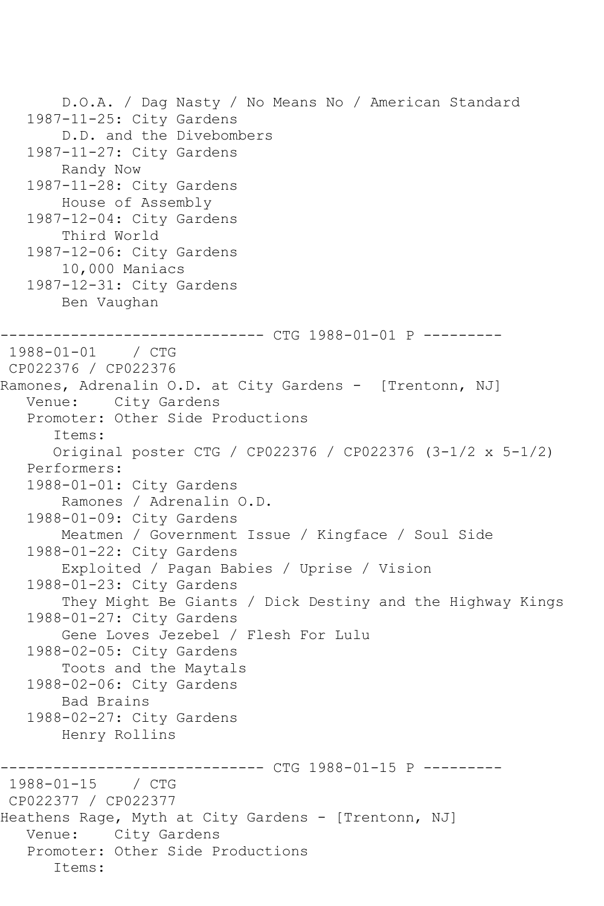```
 D.O.A. / Dag Nasty / No Means No / American Standard
    1987-11-25: City Gardens
        D.D. and the Divebombers
    1987-11-27: City Gardens
        Randy Now
    1987-11-28: City Gardens
        House of Assembly
    1987-12-04: City Gardens
        Third World
    1987-12-06: City Gardens
        10,000 Maniacs
    1987-12-31: City Gardens
        Ben Vaughan
         ------------------------------ CTG 1988-01-01 P ---------
1988-01-01 / CTG 
CP022376 / CP022376
Ramones, Adrenalin O.D. at City Gardens - [Trentonn, NJ]
   Venue: City Gardens
    Promoter: Other Side Productions
       Items:
       Original poster CTG / CP022376 / CP022376 (3-1/2 x 5-1/2)
   Performers:
    1988-01-01: City Gardens
        Ramones / Adrenalin O.D.
    1988-01-09: City Gardens
        Meatmen / Government Issue / Kingface / Soul Side
    1988-01-22: City Gardens
        Exploited / Pagan Babies / Uprise / Vision
    1988-01-23: City Gardens
        They Might Be Giants / Dick Destiny and the Highway Kings
    1988-01-27: City Gardens
        Gene Loves Jezebel / Flesh For Lulu
    1988-02-05: City Gardens
        Toots and the Maytals
    1988-02-06: City Gardens
        Bad Brains
    1988-02-27: City Gardens
        Henry Rollins
                   ------------ CTG 1988-01-15 P ---------
1988-01-15 / CTG 
CP022377 / CP022377
Heathens Rage, Myth at City Gardens - [Trentonn, NJ]
   Venue: City Gardens
    Promoter: Other Side Productions
       Items:
```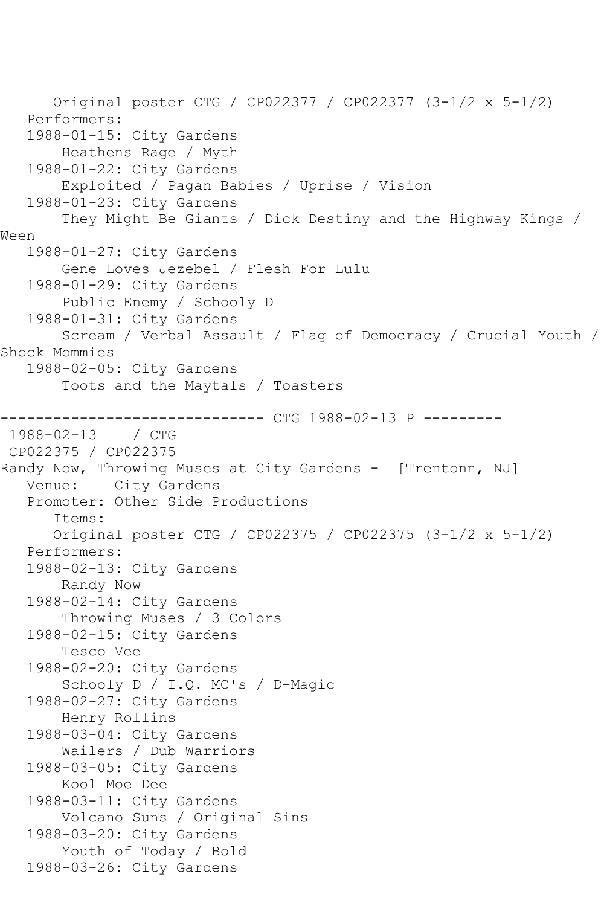Original poster CTG / CP022377 / CP022377 (3-1/2 x 5-1/2) Performers: 1988-01-15: City Gardens Heathens Rage / Myth 1988-01-22: City Gardens Exploited / Pagan Babies / Uprise / Vision 1988-01-23: City Gardens They Might Be Giants / Dick Destiny and the Highway Kings / Ween 1988-01-27: City Gardens Gene Loves Jezebel / Flesh For Lulu 1988-01-29: City Gardens Public Enemy / Schooly D 1988-01-31: City Gardens Scream / Verbal Assault / Flag of Democracy / Crucial Youth / Shock Mommies 1988-02-05: City Gardens Toots and the Maytals / Toasters ------------------------------ CTG 1988-02-13 P ---------  $1988 - 02 - 13$ CP022375 / CP022375 Randy Now, Throwing Muses at City Gardens - [Trentonn, NJ] Venue: City Gardens Promoter: Other Side Productions Items: Original poster CTG / CP022375 / CP022375 (3-1/2 x 5-1/2) Performers: 1988-02-13: City Gardens Randy Now 1988-02-14: City Gardens Throwing Muses / 3 Colors 1988-02-15: City Gardens Tesco Vee 1988-02-20: City Gardens Schooly D / I.Q. MC's / D-Magic 1988-02-27: City Gardens Henry Rollins 1988-03-04: City Gardens Wailers / Dub Warriors 1988-03-05: City Gardens Kool Moe Dee 1988-03-11: City Gardens Volcano Suns / Original Sins 1988-03-20: City Gardens Youth of Today / Bold 1988-03-26: City Gardens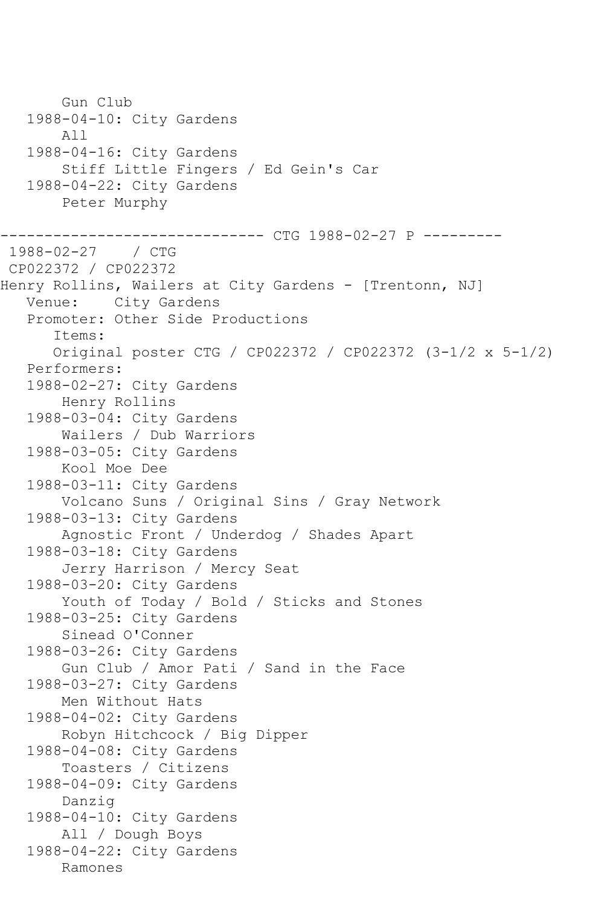Gun Club 1988-04-10: City Gardens All 1988-04-16: City Gardens Stiff Little Fingers / Ed Gein's Car 1988-04-22: City Gardens Peter Murphy ----------------- CTG 1988-02-27 P ----------<br>/ CTG  $1988 - 02 - 27$ CP022372 / CP022372 Henry Rollins, Wailers at City Gardens - [Trentonn, NJ] Venue: City Gardens Promoter: Other Side Productions Items: Original poster CTG / CP022372 / CP022372 (3-1/2 x 5-1/2) Performers: 1988-02-27: City Gardens Henry Rollins 1988-03-04: City Gardens Wailers / Dub Warriors 1988-03-05: City Gardens Kool Moe Dee 1988-03-11: City Gardens Volcano Suns / Original Sins / Gray Network 1988-03-13: City Gardens Agnostic Front / Underdog / Shades Apart 1988-03-18: City Gardens Jerry Harrison / Mercy Seat 1988-03-20: City Gardens Youth of Today / Bold / Sticks and Stones 1988-03-25: City Gardens Sinead O'Conner 1988-03-26: City Gardens Gun Club / Amor Pati / Sand in the Face 1988-03-27: City Gardens Men Without Hats 1988-04-02: City Gardens Robyn Hitchcock / Big Dipper 1988-04-08: City Gardens Toasters / Citizens 1988-04-09: City Gardens Danzig 1988-04-10: City Gardens All / Dough Boys 1988-04-22: City Gardens Ramones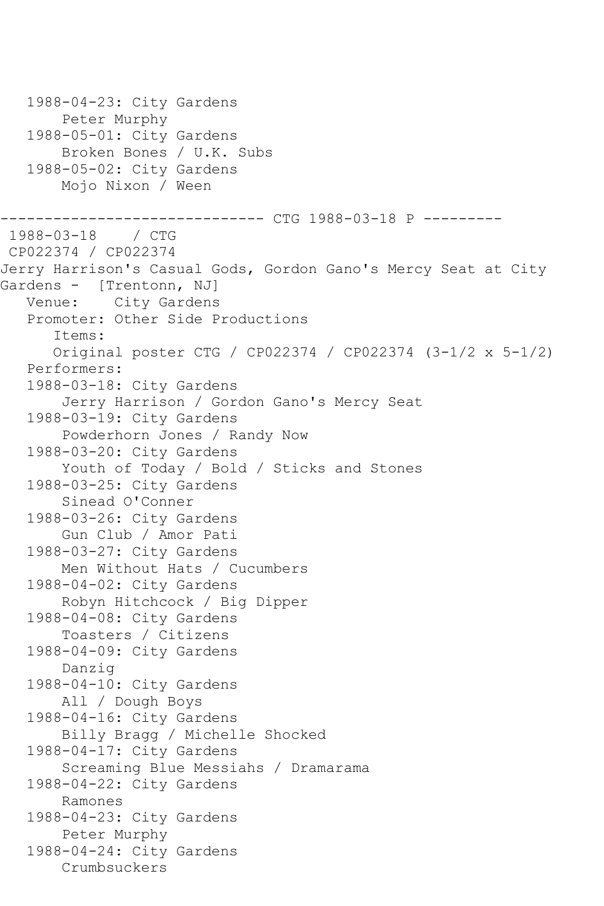1988-04-23: City Gardens Peter Murphy 1988-05-01: City Gardens Broken Bones / U.K. Subs 1988-05-02: City Gardens Mojo Nixon / Ween ------------------------------ CTG 1988-03-18 P --------- 1988-03-18 / CTG CP022374 / CP022374 Jerry Harrison's Casual Gods, Gordon Gano's Mercy Seat at City Gardens - [Trentonn, NJ]<br>Venue: City Gardens City Gardens Promoter: Other Side Productions Items: Original poster CTG / CP022374 / CP022374 (3-1/2 x 5-1/2) Performers: 1988-03-18: City Gardens Jerry Harrison / Gordon Gano's Mercy Seat 1988-03-19: City Gardens Powderhorn Jones / Randy Now 1988-03-20: City Gardens Youth of Today / Bold / Sticks and Stones 1988-03-25: City Gardens Sinead O'Conner 1988-03-26: City Gardens Gun Club / Amor Pati 1988-03-27: City Gardens Men Without Hats / Cucumbers 1988-04-02: City Gardens Robyn Hitchcock / Big Dipper 1988-04-08: City Gardens Toasters / Citizens 1988-04-09: City Gardens Danzig 1988-04-10: City Gardens All / Dough Boys 1988-04-16: City Gardens Billy Bragg / Michelle Shocked 1988-04-17: City Gardens Screaming Blue Messiahs / Dramarama 1988-04-22: City Gardens Ramones 1988-04-23: City Gardens Peter Murphy 1988-04-24: City Gardens Crumbsuckers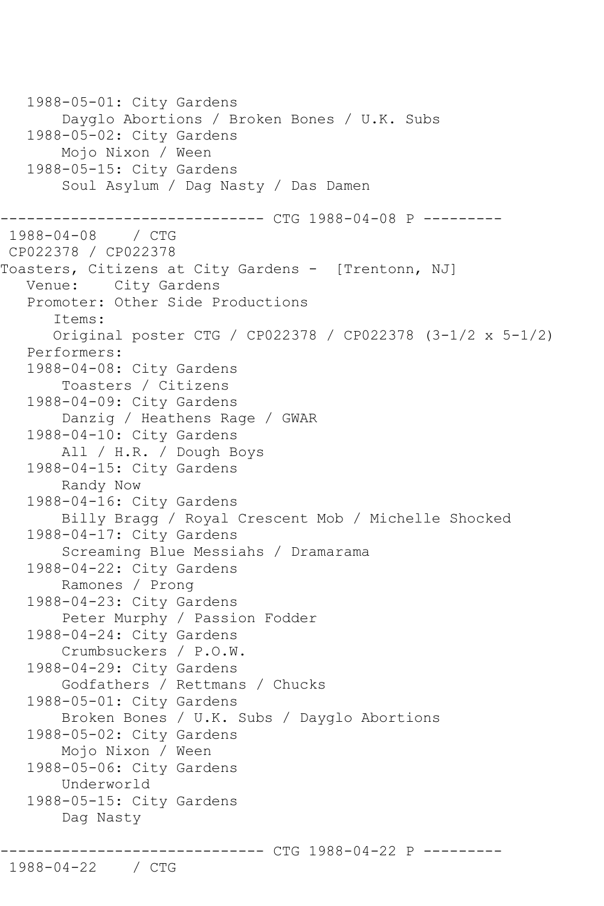```
 1988-05-01: City Gardens
        Dayglo Abortions / Broken Bones / U.K. Subs
    1988-05-02: City Gardens
        Mojo Nixon / Ween
    1988-05-15: City Gardens
        Soul Asylum / Dag Nasty / Das Damen
------------------------------ CTG 1988-04-08 P ---------
1988-04-08 / CTG 
CP022378 / CP022378
Toasters, Citizens at City Gardens - [Trentonn, NJ]
   Venue: City Gardens
    Promoter: Other Side Productions
       Items:
       Original poster CTG / CP022378 / CP022378 (3-1/2 x 5-1/2)
    Performers:
    1988-04-08: City Gardens
        Toasters / Citizens
    1988-04-09: City Gardens
        Danzig / Heathens Rage / GWAR
    1988-04-10: City Gardens
        All / H.R. / Dough Boys
    1988-04-15: City Gardens
        Randy Now
    1988-04-16: City Gardens
        Billy Bragg / Royal Crescent Mob / Michelle Shocked
    1988-04-17: City Gardens
        Screaming Blue Messiahs / Dramarama
    1988-04-22: City Gardens
        Ramones / Prong
    1988-04-23: City Gardens
        Peter Murphy / Passion Fodder
    1988-04-24: City Gardens
        Crumbsuckers / P.O.W.
    1988-04-29: City Gardens
        Godfathers / Rettmans / Chucks
    1988-05-01: City Gardens
        Broken Bones / U.K. Subs / Dayglo Abortions
    1988-05-02: City Gardens
        Mojo Nixon / Ween
    1988-05-06: City Gardens
        Underworld
    1988-05-15: City Gardens
        Dag Nasty
                     ---------- CTG 1988-04-22 P ----------
```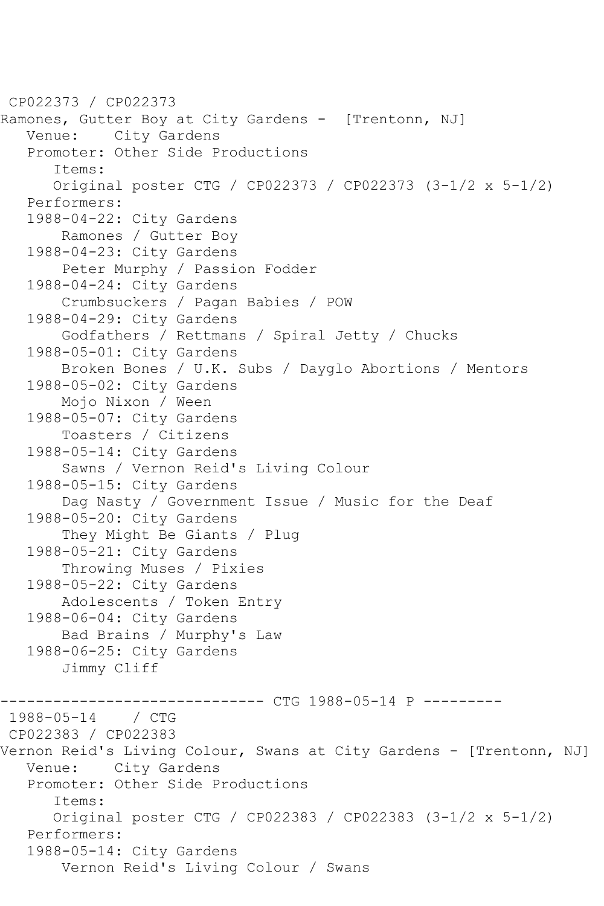CP022373 / CP022373 Ramones, Gutter Boy at City Gardens - [Trentonn, NJ] Venue: City Gardens Promoter: Other Side Productions Items: Original poster CTG / CP022373 / CP022373 (3-1/2 x 5-1/2) Performers: 1988-04-22: City Gardens Ramones / Gutter Boy 1988-04-23: City Gardens Peter Murphy / Passion Fodder 1988-04-24: City Gardens Crumbsuckers / Pagan Babies / POW 1988-04-29: City Gardens Godfathers / Rettmans / Spiral Jetty / Chucks 1988-05-01: City Gardens Broken Bones / U.K. Subs / Dayglo Abortions / Mentors 1988-05-02: City Gardens Mojo Nixon / Ween 1988-05-07: City Gardens Toasters / Citizens 1988-05-14: City Gardens Sawns / Vernon Reid's Living Colour 1988-05-15: City Gardens Dag Nasty / Government Issue / Music for the Deaf 1988-05-20: City Gardens They Might Be Giants / Plug 1988-05-21: City Gardens Throwing Muses / Pixies 1988-05-22: City Gardens Adolescents / Token Entry 1988-06-04: City Gardens Bad Brains / Murphy's Law 1988-06-25: City Gardens Jimmy Cliff ------------------------------ CTG 1988-05-14 P ---------  $1988 - 05 - 14$ CP022383 / CP022383 Vernon Reid's Living Colour, Swans at City Gardens - [Trentonn, NJ]<br>Venue: City Gardens City Gardens Promoter: Other Side Productions Items: Original poster CTG / CP022383 / CP022383 (3-1/2 x 5-1/2) Performers: 1988-05-14: City Gardens Vernon Reid's Living Colour / Swans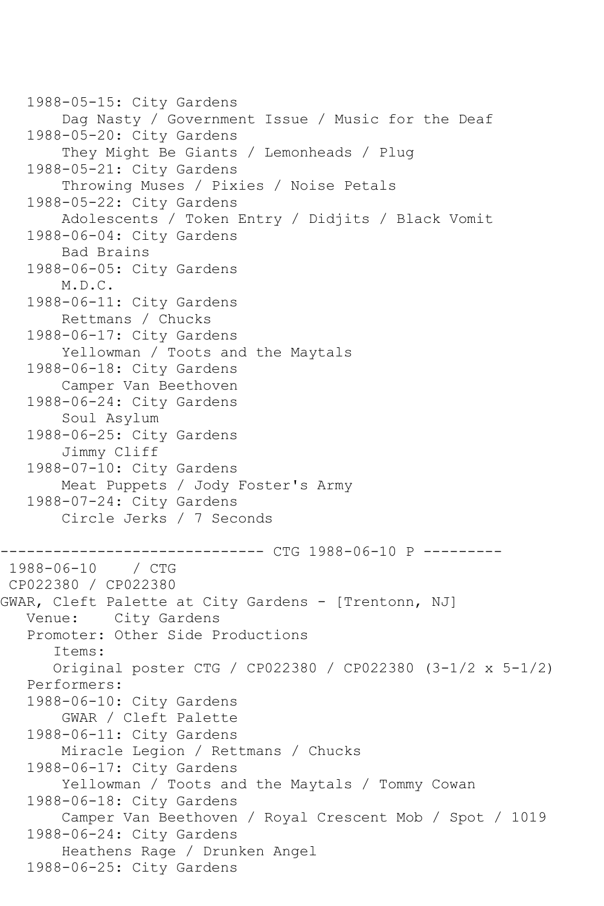```
 1988-05-15: City Gardens
        Dag Nasty / Government Issue / Music for the Deaf
    1988-05-20: City Gardens
        They Might Be Giants / Lemonheads / Plug
    1988-05-21: City Gardens
        Throwing Muses / Pixies / Noise Petals
   1988-05-22: City Gardens
        Adolescents / Token Entry / Didjits / Black Vomit
    1988-06-04: City Gardens
        Bad Brains
    1988-06-05: City Gardens
        M.D.C.
    1988-06-11: City Gardens
        Rettmans / Chucks
    1988-06-17: City Gardens
        Yellowman / Toots and the Maytals
    1988-06-18: City Gardens
        Camper Van Beethoven
   1988-06-24: City Gardens
        Soul Asylum
    1988-06-25: City Gardens
        Jimmy Cliff
   1988-07-10: City Gardens
        Meat Puppets / Jody Foster's Army
    1988-07-24: City Gardens
        Circle Jerks / 7 Seconds
               ------------------------------ CTG 1988-06-10 P ---------
1988 - 06 - 10CP022380 / CP022380
GWAR, Cleft Palette at City Gardens - [Trentonn, NJ]
   Venue: City Gardens
   Promoter: Other Side Productions
       Items:
       Original poster CTG / CP022380 / CP022380 (3-1/2 x 5-1/2)
    Performers:
    1988-06-10: City Gardens
        GWAR / Cleft Palette
    1988-06-11: City Gardens
        Miracle Legion / Rettmans / Chucks
    1988-06-17: City Gardens
        Yellowman / Toots and the Maytals / Tommy Cowan
    1988-06-18: City Gardens
        Camper Van Beethoven / Royal Crescent Mob / Spot / 1019
    1988-06-24: City Gardens
        Heathens Rage / Drunken Angel
    1988-06-25: City Gardens
```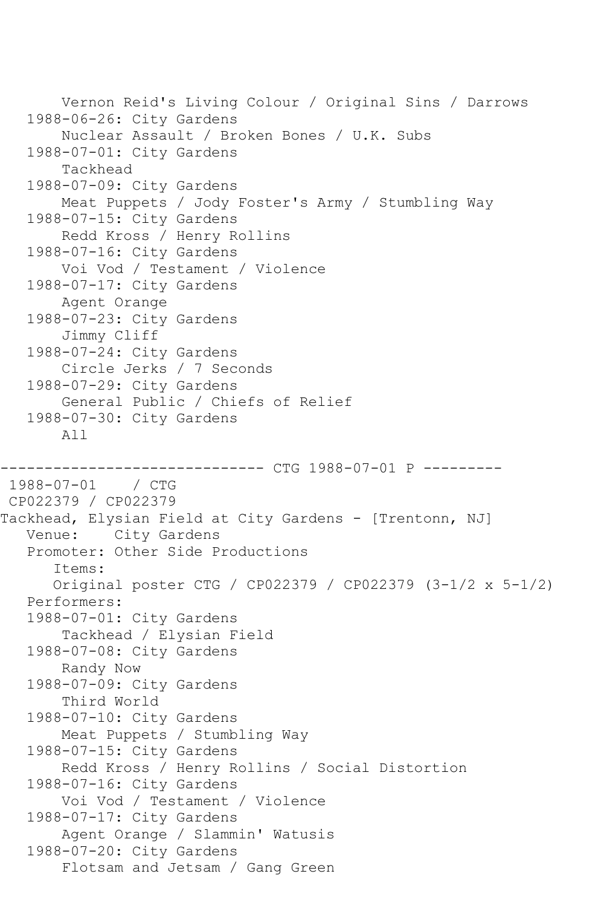```
 Vernon Reid's Living Colour / Original Sins / Darrows
    1988-06-26: City Gardens
        Nuclear Assault / Broken Bones / U.K. Subs
    1988-07-01: City Gardens
        Tackhead
    1988-07-09: City Gardens
        Meat Puppets / Jody Foster's Army / Stumbling Way
    1988-07-15: City Gardens
        Redd Kross / Henry Rollins
    1988-07-16: City Gardens
        Voi Vod / Testament / Violence
    1988-07-17: City Gardens
        Agent Orange
    1988-07-23: City Gardens
        Jimmy Cliff
    1988-07-24: City Gardens
        Circle Jerks / 7 Seconds
    1988-07-29: City Gardens
        General Public / Chiefs of Relief
    1988-07-30: City Gardens
        All
                  ------------ CTG 1988-07-01 P ---------
1988-07-01 / CTG 
CP022379 / CP022379
Tackhead, Elysian Field at City Gardens - [Trentonn, NJ]
   Venue: City Gardens
    Promoter: Other Side Productions
       Items:
       Original poster CTG / CP022379 / CP022379 (3-1/2 x 5-1/2)
    Performers:
    1988-07-01: City Gardens
        Tackhead / Elysian Field
    1988-07-08: City Gardens
        Randy Now
    1988-07-09: City Gardens
        Third World
    1988-07-10: City Gardens
        Meat Puppets / Stumbling Way
    1988-07-15: City Gardens
        Redd Kross / Henry Rollins / Social Distortion
    1988-07-16: City Gardens
        Voi Vod / Testament / Violence
   1988-07-17: City Gardens
        Agent Orange / Slammin' Watusis
    1988-07-20: City Gardens
        Flotsam and Jetsam / Gang Green
```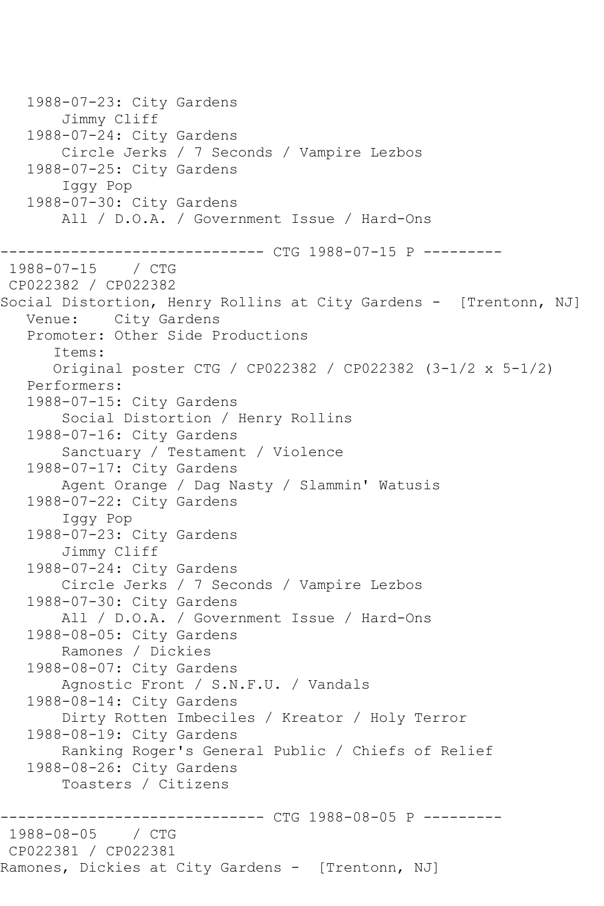1988-07-23: City Gardens Jimmy Cliff 1988-07-24: City Gardens Circle Jerks / 7 Seconds / Vampire Lezbos 1988-07-25: City Gardens Iggy Pop 1988-07-30: City Gardens All / D.O.A. / Government Issue / Hard-Ons ------------------------------ CTG 1988-07-15 P ---------  $1988 - 07 - 15$ CP022382 / CP022382 Social Distortion, Henry Rollins at City Gardens - [Trentonn, NJ] Venue: City Gardens Promoter: Other Side Productions Items: Original poster CTG / CP022382 / CP022382 (3-1/2 x 5-1/2) Performers: 1988-07-15: City Gardens Social Distortion / Henry Rollins 1988-07-16: City Gardens Sanctuary / Testament / Violence 1988-07-17: City Gardens Agent Orange / Dag Nasty / Slammin' Watusis 1988-07-22: City Gardens Iggy Pop 1988-07-23: City Gardens Jimmy Cliff 1988-07-24: City Gardens Circle Jerks / 7 Seconds / Vampire Lezbos 1988-07-30: City Gardens All / D.O.A. / Government Issue / Hard-Ons 1988-08-05: City Gardens Ramones / Dickies 1988-08-07: City Gardens Agnostic Front / S.N.F.U. / Vandals 1988-08-14: City Gardens Dirty Rotten Imbeciles / Kreator / Holy Terror 1988-08-19: City Gardens Ranking Roger's General Public / Chiefs of Relief 1988-08-26: City Gardens Toasters / Citizens ------------------------------ CTG 1988-08-05 P ---------  $1988 - 08 - 05$ CP022381 / CP022381 Ramones, Dickies at City Gardens - [Trentonn, NJ]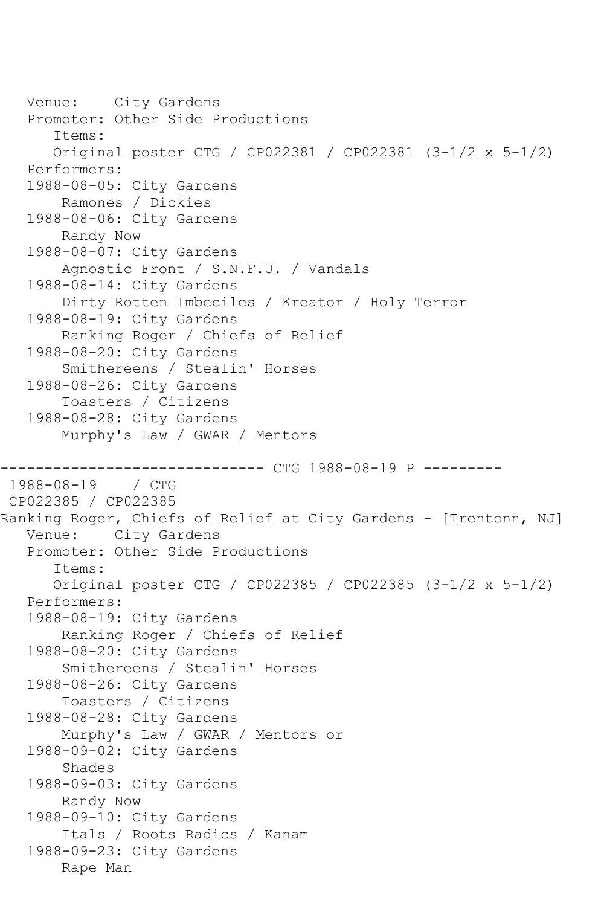```
 Venue: City Gardens
    Promoter: Other Side Productions
       Items:
       Original poster CTG / CP022381 / CP022381 (3-1/2 x 5-1/2)
    Performers:
    1988-08-05: City Gardens
        Ramones / Dickies
    1988-08-06: City Gardens
        Randy Now
    1988-08-07: City Gardens
        Agnostic Front / S.N.F.U. / Vandals
    1988-08-14: City Gardens
        Dirty Rotten Imbeciles / Kreator / Holy Terror
    1988-08-19: City Gardens
        Ranking Roger / Chiefs of Relief
    1988-08-20: City Gardens
        Smithereens / Stealin' Horses
    1988-08-26: City Gardens
        Toasters / Citizens
    1988-08-28: City Gardens
        Murphy's Law / GWAR / Mentors
                        ------- CTG 1988-08-19 P ---------
1988-08-19 / CTG 
CP022385 / CP022385
Ranking Roger, Chiefs of Relief at City Gardens - [Trentonn, NJ]
   Venue: City Gardens
    Promoter: Other Side Productions
       Items:
       Original poster CTG / CP022385 / CP022385 (3-1/2 x 5-1/2)
    Performers:
    1988-08-19: City Gardens
        Ranking Roger / Chiefs of Relief
   1988-08-20: City Gardens
        Smithereens / Stealin' Horses
    1988-08-26: City Gardens
        Toasters / Citizens
    1988-08-28: City Gardens
        Murphy's Law / GWAR / Mentors or
    1988-09-02: City Gardens
        Shades
    1988-09-03: City Gardens
        Randy Now
    1988-09-10: City Gardens
        Itals / Roots Radics / Kanam
    1988-09-23: City Gardens
        Rape Man
```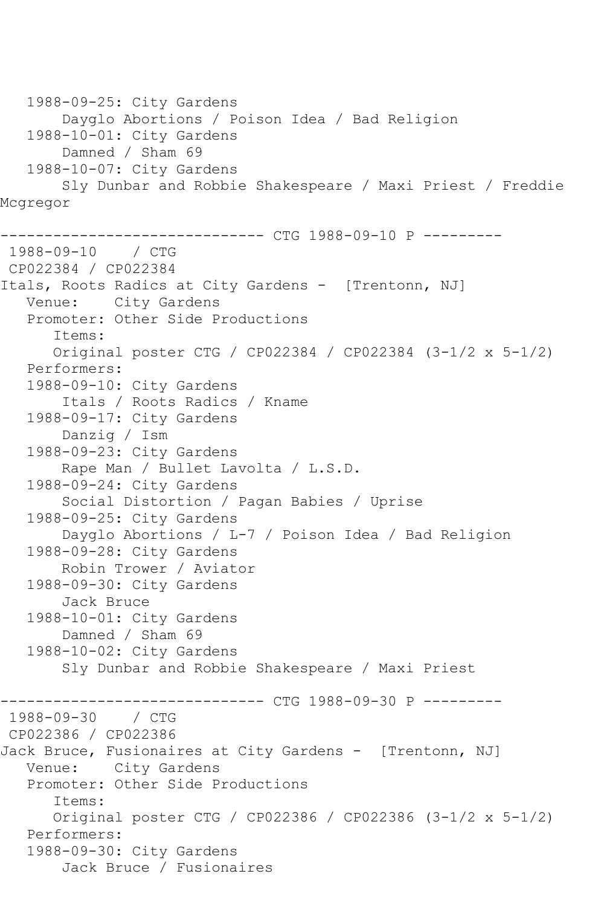1988-09-25: City Gardens Dayglo Abortions / Poison Idea / Bad Religion 1988-10-01: City Gardens Damned / Sham 69 1988-10-07: City Gardens Sly Dunbar and Robbie Shakespeare / Maxi Priest / Freddie Mcgregor ------------ CTG 1988-09-10 P ----------1988-09-10 / CTG CP022384 / CP022384 Itals, Roots Radics at City Gardens - [Trentonn, NJ] Venue: City Gardens Promoter: Other Side Productions Items: Original poster CTG / CP022384 / CP022384 (3-1/2 x 5-1/2) Performers: 1988-09-10: City Gardens Itals / Roots Radics / Kname 1988-09-17: City Gardens Danzig / Ism 1988-09-23: City Gardens Rape Man / Bullet Lavolta / L.S.D. 1988-09-24: City Gardens Social Distortion / Pagan Babies / Uprise 1988-09-25: City Gardens Dayglo Abortions / L-7 / Poison Idea / Bad Religion 1988-09-28: City Gardens Robin Trower / Aviator 1988-09-30: City Gardens Jack Bruce 1988-10-01: City Gardens Damned / Sham 69 1988-10-02: City Gardens Sly Dunbar and Robbie Shakespeare / Maxi Priest ------------------------------ CTG 1988-09-30 P --------- 1988-09-30 / CTG CP022386 / CP022386 Jack Bruce, Fusionaires at City Gardens - [Trentonn, NJ] Venue: City Gardens Promoter: Other Side Productions Items: Original poster CTG / CP022386 / CP022386 (3-1/2 x 5-1/2) Performers: 1988-09-30: City Gardens Jack Bruce / Fusionaires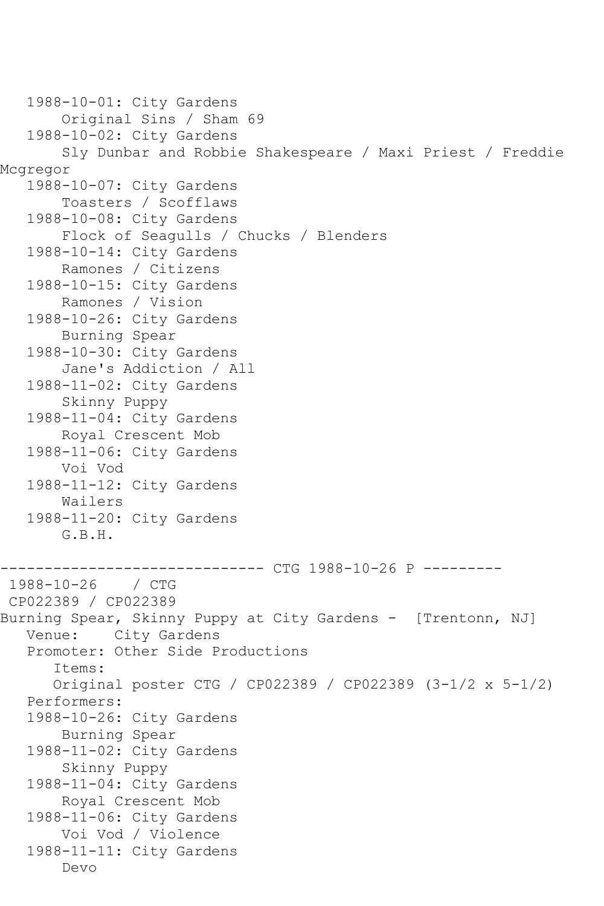```
 1988-10-01: City Gardens
        Original Sins / Sham 69
    1988-10-02: City Gardens
        Sly Dunbar and Robbie Shakespeare / Maxi Priest / Freddie 
Mcgregor
    1988-10-07: City Gardens
        Toasters / Scofflaws
    1988-10-08: City Gardens
        Flock of Seagulls / Chucks / Blenders
    1988-10-14: City Gardens
        Ramones / Citizens
    1988-10-15: City Gardens
        Ramones / Vision
    1988-10-26: City Gardens
        Burning Spear
    1988-10-30: City Gardens
        Jane's Addiction / All
   1988-11-02: City Gardens
        Skinny Puppy
    1988-11-04: City Gardens
        Royal Crescent Mob
    1988-11-06: City Gardens
        Voi Vod
    1988-11-12: City Gardens
        Wailers
    1988-11-20: City Gardens
        G.B.H.
                          ------ CTG 1988-10-26 P ---------
1988-10-26 / CTG 
CP022389 / CP022389
Burning Spear, Skinny Puppy at City Gardens - [Trentonn, NJ]
   Venue: City Gardens
    Promoter: Other Side Productions
       Items:
       Original poster CTG / CP022389 / CP022389 (3-1/2 x 5-1/2)
    Performers:
    1988-10-26: City Gardens
        Burning Spear
    1988-11-02: City Gardens
        Skinny Puppy
    1988-11-04: City Gardens
        Royal Crescent Mob
    1988-11-06: City Gardens
        Voi Vod / Violence
    1988-11-11: City Gardens
        Devo
```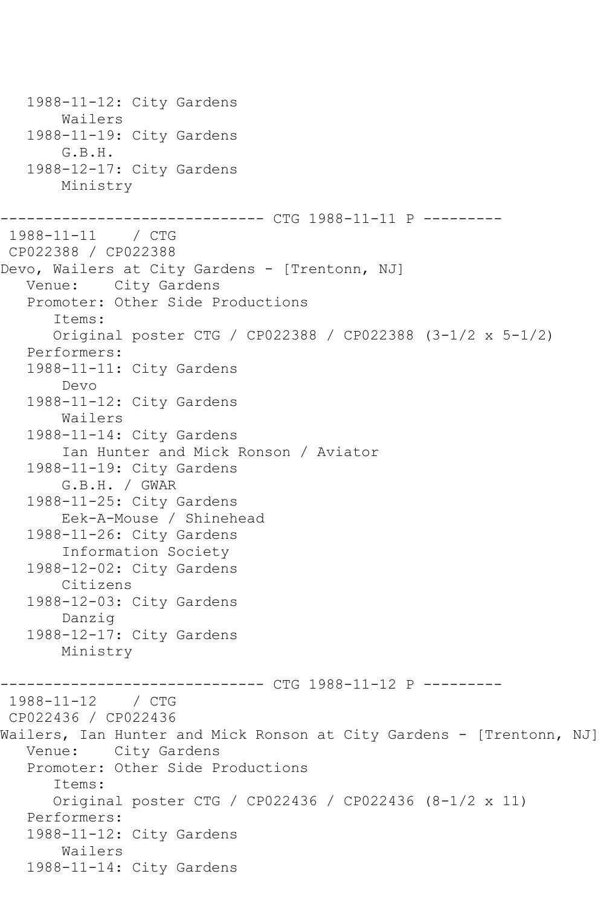1988-11-12: City Gardens Wailers 1988-11-19: City Gardens G.B.H. 1988-12-17: City Gardens Ministry ------------------------------ CTG 1988-11-11 P --------- 1988-11-11 / CTG CP022388 / CP022388 Devo, Wailers at City Gardens - [Trentonn, NJ] Venue: City Gardens Promoter: Other Side Productions Items: Original poster CTG / CP022388 / CP022388 (3-1/2 x 5-1/2) Performers: 1988-11-11: City Gardens Devo 1988-11-12: City Gardens Wailers 1988-11-14: City Gardens Ian Hunter and Mick Ronson / Aviator 1988-11-19: City Gardens G.B.H. / GWAR 1988-11-25: City Gardens Eek-A-Mouse / Shinehead 1988-11-26: City Gardens Information Society 1988-12-02: City Gardens Citizens 1988-12-03: City Gardens Danzig 1988-12-17: City Gardens Ministry ------------------------------ CTG 1988-11-12 P --------- 1988-11-12 / CTG CP022436 / CP022436 Wailers, Ian Hunter and Mick Ronson at City Gardens - [Trentonn, NJ] Venue: City Gardens Promoter: Other Side Productions Items: Original poster CTG / CP022436 / CP022436 (8-1/2 x 11) Performers: 1988-11-12: City Gardens Wailers 1988-11-14: City Gardens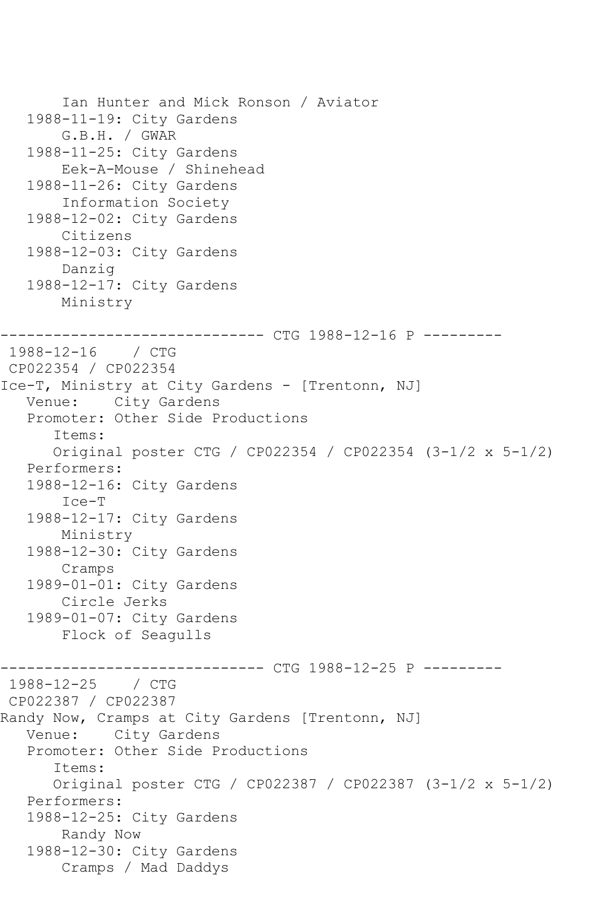```
 Ian Hunter and Mick Ronson / Aviator
    1988-11-19: City Gardens
        G.B.H. / GWAR
   1988-11-25: City Gardens
        Eek-A-Mouse / Shinehead
    1988-11-26: City Gardens
        Information Society
    1988-12-02: City Gardens
        Citizens
    1988-12-03: City Gardens
        Danzig
    1988-12-17: City Gardens
        Ministry
                     ----------- CTG 1988-12-16 P ----------
1988-12-16 / CTG 
CP022354 / CP022354
Ice-T, Ministry at City Gardens - [Trentonn, NJ]
   Venue: City Gardens
    Promoter: Other Side Productions
       Items:
       Original poster CTG / CP022354 / CP022354 (3-1/2 x 5-1/2)
   Performers:
    1988-12-16: City Gardens
        Ice-T
    1988-12-17: City Gardens
        Ministry
    1988-12-30: City Gardens
        Cramps
    1989-01-01: City Gardens
        Circle Jerks
   1989-01-07: City Gardens
        Flock of Seagulls
                       ------------------------------ CTG 1988-12-25 P ---------
1988-12-25 / CTG 
CP022387 / CP022387
Randy Now, Cramps at City Gardens [Trentonn, NJ]
   Venue: City Gardens
    Promoter: Other Side Productions
       Items:
       Original poster CTG / CP022387 / CP022387 (3-1/2 x 5-1/2)
    Performers:
    1988-12-25: City Gardens
        Randy Now
    1988-12-30: City Gardens
        Cramps / Mad Daddys
```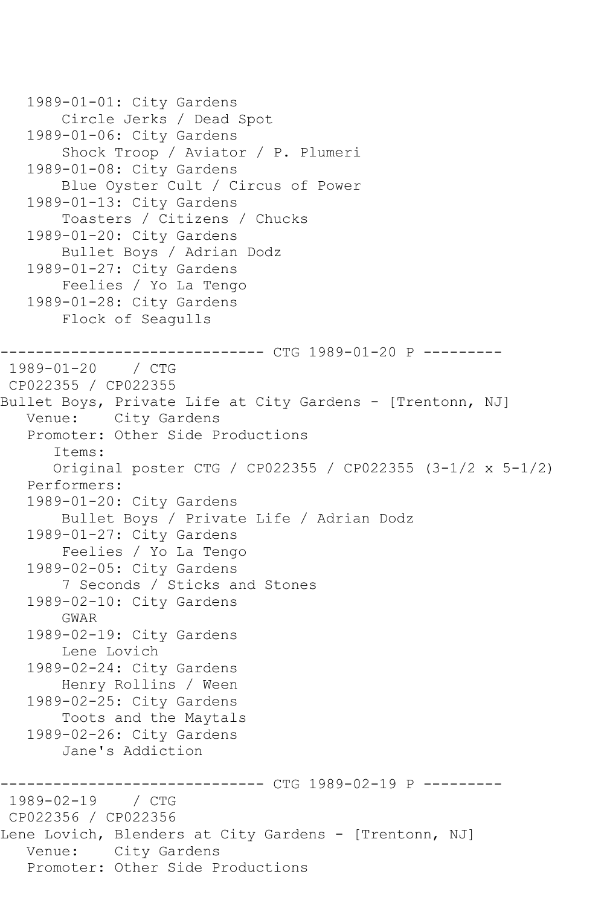```
 1989-01-01: City Gardens
        Circle Jerks / Dead Spot
    1989-01-06: City Gardens
        Shock Troop / Aviator / P. Plumeri
    1989-01-08: City Gardens
        Blue Oyster Cult / Circus of Power
    1989-01-13: City Gardens
        Toasters / Citizens / Chucks
    1989-01-20: City Gardens
        Bullet Boys / Adrian Dodz
    1989-01-27: City Gardens
        Feelies / Yo La Tengo
    1989-01-28: City Gardens
        Flock of Seagulls
                     ---------- CTG 1989-01-20 P ---------
1989-01-20 / CTG 
CP022355 / CP022355
Bullet Boys, Private Life at City Gardens - [Trentonn, NJ]
   Venue: City Gardens
    Promoter: Other Side Productions
       Items:
       Original poster CTG / CP022355 / CP022355 (3-1/2 x 5-1/2)
    Performers:
    1989-01-20: City Gardens
        Bullet Boys / Private Life / Adrian Dodz
    1989-01-27: City Gardens
        Feelies / Yo La Tengo
    1989-02-05: City Gardens
        7 Seconds / Sticks and Stones
    1989-02-10: City Gardens
        GWAR
    1989-02-19: City Gardens
        Lene Lovich
    1989-02-24: City Gardens
        Henry Rollins / Ween
    1989-02-25: City Gardens
        Toots and the Maytals
    1989-02-26: City Gardens
        Jane's Addiction
                        ------- CTG 1989-02-19 P ---------
1989-02-19 / CTG 
CP022356 / CP022356
Lene Lovich, Blenders at City Gardens - [Trentonn, NJ]
   Venue: City Gardens
   Promoter: Other Side Productions
```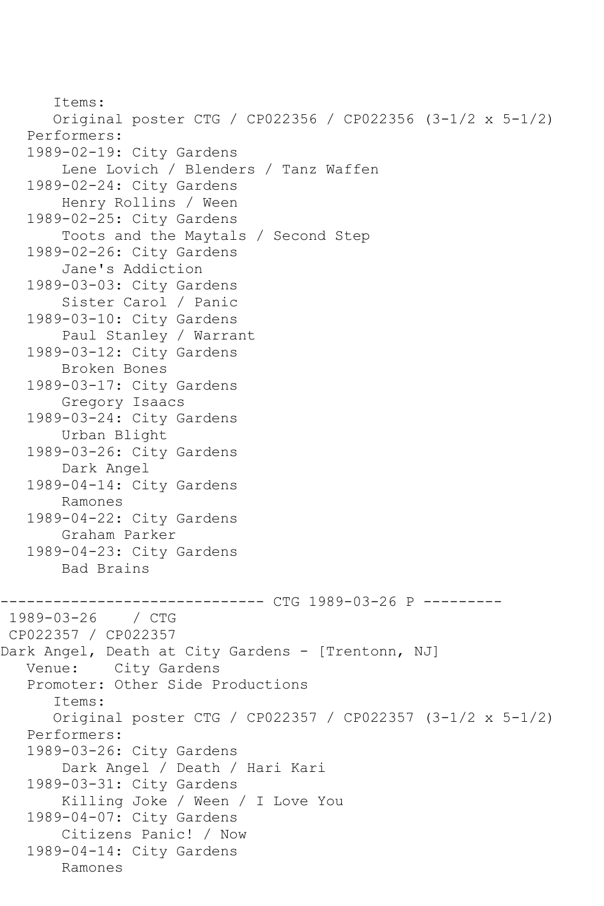```
 Items:
       Original poster CTG / CP022356 / CP022356 (3-1/2 x 5-1/2)
    Performers:
    1989-02-19: City Gardens
        Lene Lovich / Blenders / Tanz Waffen
    1989-02-24: City Gardens
        Henry Rollins / Ween
    1989-02-25: City Gardens
        Toots and the Maytals / Second Step
    1989-02-26: City Gardens
        Jane's Addiction
    1989-03-03: City Gardens
        Sister Carol / Panic
    1989-03-10: City Gardens
        Paul Stanley / Warrant
    1989-03-12: City Gardens
        Broken Bones
    1989-03-17: City Gardens
        Gregory Isaacs
    1989-03-24: City Gardens
        Urban Blight
    1989-03-26: City Gardens
        Dark Angel
    1989-04-14: City Gardens
        Ramones
    1989-04-22: City Gardens
        Graham Parker
    1989-04-23: City Gardens
        Bad Brains
             ------------------------------ CTG 1989-03-26 P ---------
1989 - 03 - 26CP022357 / CP022357
Dark Angel, Death at City Gardens - [Trentonn, NJ]<br>Venue: City Gardens
           City Gardens
    Promoter: Other Side Productions
       Items:
       Original poster CTG / CP022357 / CP022357 (3-1/2 x 5-1/2)
    Performers:
    1989-03-26: City Gardens
        Dark Angel / Death / Hari Kari
    1989-03-31: City Gardens
        Killing Joke / Ween / I Love You
    1989-04-07: City Gardens
        Citizens Panic! / Now
    1989-04-14: City Gardens
        Ramones
```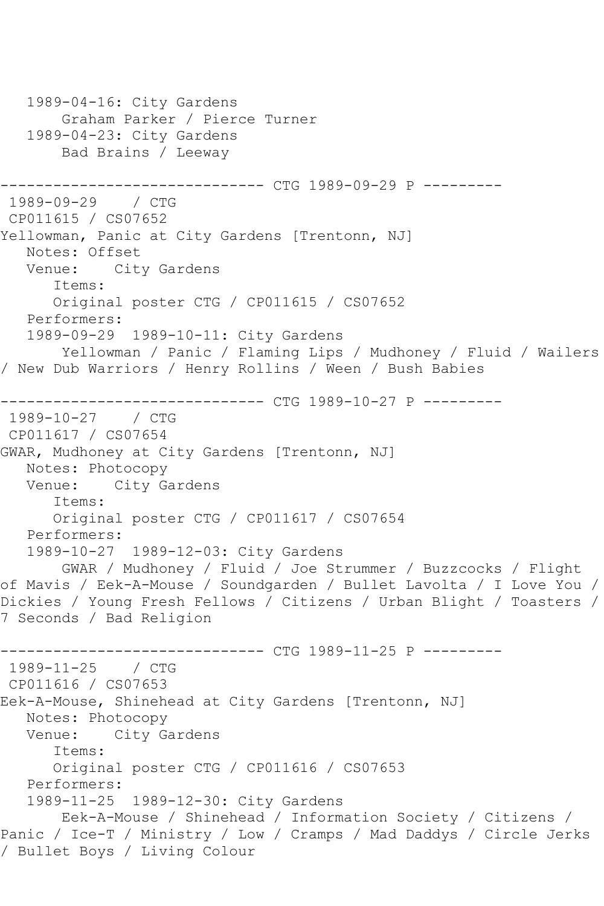```
 1989-04-16: City Gardens
        Graham Parker / Pierce Turner
   1989-04-23: City Gardens
        Bad Brains / Leeway
         ------------------------------ CTG 1989-09-29 P ---------
1989-09-29 / CTG 
CP011615 / CS07652
Yellowman, Panic at City Gardens [Trentonn, NJ]
  Notes: Offset<br>Venue: City
           City Gardens
       Items:
       Original poster CTG / CP011615 / CS07652
   Performers:
    1989-09-29 1989-10-11: City Gardens
        Yellowman / Panic / Flaming Lips / Mudhoney / Fluid / Wailers 
/ New Dub Warriors / Henry Rollins / Ween / Bush Babies
         ------------------------------ CTG 1989-10-27 P ---------
1989-10-27 / CTG 
CP011617 / CS07654
GWAR, Mudhoney at City Gardens [Trentonn, NJ]
  Notes: Photocopy<br>Venue: City Ga
           City Gardens
       Items:
       Original poster CTG / CP011617 / CS07654
   Performers:
   1989-10-27 1989-12-03: City Gardens
        GWAR / Mudhoney / Fluid / Joe Strummer / Buzzcocks / Flight 
of Mavis / Eek-A-Mouse / Soundgarden / Bullet Lavolta / I Love You / 
Dickies / Young Fresh Fellows / Citizens / Urban Blight / Toasters / 
7 Seconds / Bad Religion
------------------------------ CTG 1989-11-25 P ---------
1989-11-25 / CTG 
CP011616 / CS07653
Eek-A-Mouse, Shinehead at City Gardens [Trentonn, NJ]
   Notes: Photocopy
   Venue: City Gardens
       Items:
       Original poster CTG / CP011616 / CS07653
   Performers:
    1989-11-25 1989-12-30: City Gardens
        Eek-A-Mouse / Shinehead / Information Society / Citizens / 
Panic / Ice-T / Ministry / Low / Cramps / Mad Daddys / Circle Jerks 
/ Bullet Boys / Living Colour
```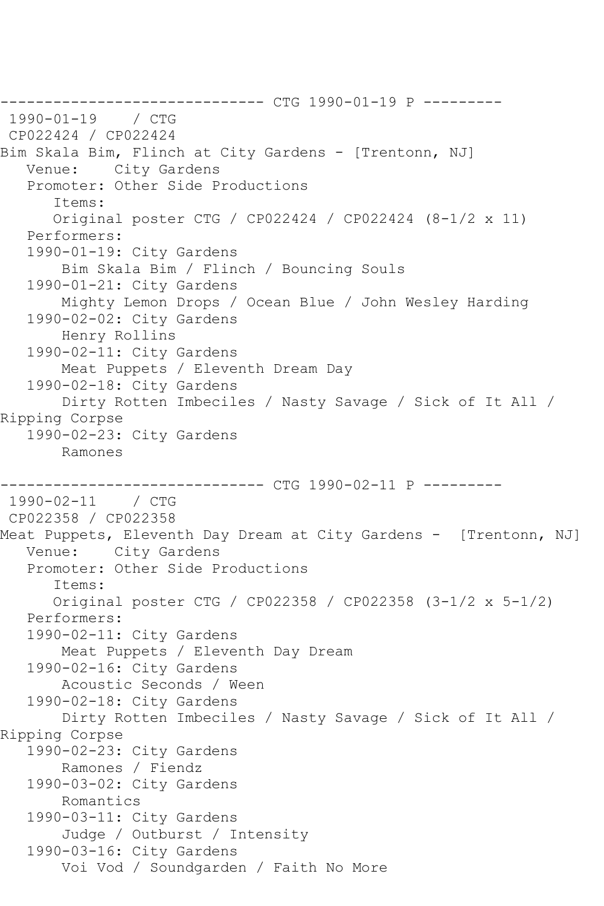------------------------------ CTG 1990-01-19 P ---------  $1990 - 01 - 19$ CP022424 / CP022424 Bim Skala Bim, Flinch at City Gardens - [Trentonn, NJ] Venue: City Gardens Promoter: Other Side Productions Items: Original poster CTG / CP022424 / CP022424 (8-1/2 x 11) Performers: 1990-01-19: City Gardens Bim Skala Bim / Flinch / Bouncing Souls 1990-01-21: City Gardens Mighty Lemon Drops / Ocean Blue / John Wesley Harding 1990-02-02: City Gardens Henry Rollins 1990-02-11: City Gardens Meat Puppets / Eleventh Dream Day 1990-02-18: City Gardens Dirty Rotten Imbeciles / Nasty Savage / Sick of It All / Ripping Corpse 1990-02-23: City Gardens Ramones ------------------------------ CTG 1990-02-11 P --------- 1990-02-11 / CTG CP022358 / CP022358 Meat Puppets, Eleventh Day Dream at City Gardens - [Trentonn, NJ] Venue: City Gardens Promoter: Other Side Productions Items: Original poster CTG / CP022358 / CP022358 (3-1/2 x 5-1/2) Performers: 1990-02-11: City Gardens Meat Puppets / Eleventh Day Dream 1990-02-16: City Gardens Acoustic Seconds / Ween 1990-02-18: City Gardens Dirty Rotten Imbeciles / Nasty Savage / Sick of It All / Ripping Corpse 1990-02-23: City Gardens Ramones / Fiendz 1990-03-02: City Gardens Romantics 1990-03-11: City Gardens Judge / Outburst / Intensity 1990-03-16: City Gardens Voi Vod / Soundgarden / Faith No More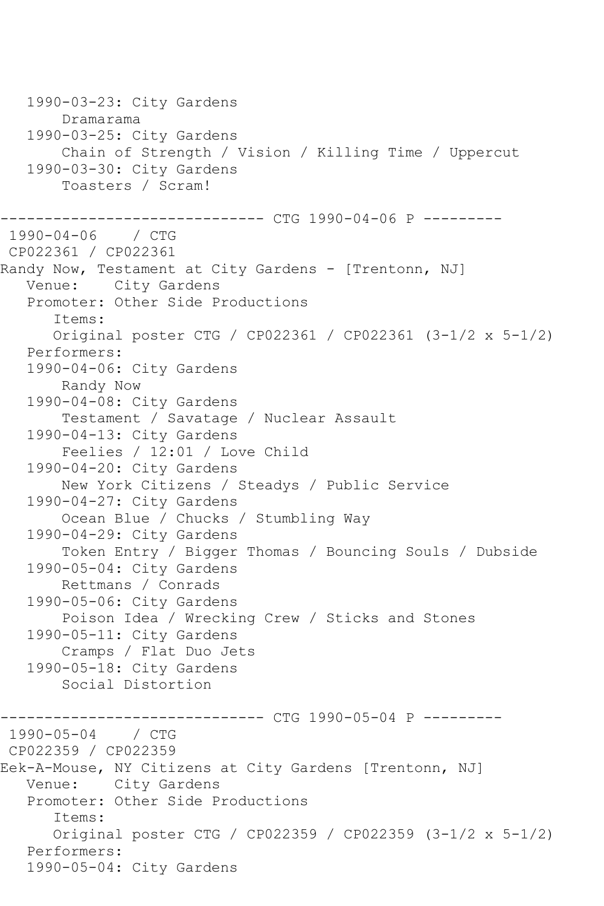1990-03-23: City Gardens Dramarama 1990-03-25: City Gardens Chain of Strength / Vision / Killing Time / Uppercut 1990-03-30: City Gardens Toasters / Scram! ------------------------------ CTG 1990-04-06 P --------- 1990-04-06 / CTG CP022361 / CP022361 Randy Now, Testament at City Gardens - [Trentonn, NJ] Venue: City Gardens Promoter: Other Side Productions Items: Original poster CTG / CP022361 / CP022361 (3-1/2 x 5-1/2) Performers: 1990-04-06: City Gardens Randy Now 1990-04-08: City Gardens Testament / Savatage / Nuclear Assault 1990-04-13: City Gardens Feelies / 12:01 / Love Child 1990-04-20: City Gardens New York Citizens / Steadys / Public Service 1990-04-27: City Gardens Ocean Blue / Chucks / Stumbling Way 1990-04-29: City Gardens Token Entry / Bigger Thomas / Bouncing Souls / Dubside 1990-05-04: City Gardens Rettmans / Conrads 1990-05-06: City Gardens Poison Idea / Wrecking Crew / Sticks and Stones 1990-05-11: City Gardens Cramps / Flat Duo Jets 1990-05-18: City Gardens Social Distortion ------------ CTG 1990-05-04 P ----------1990-05-04 / CTG CP022359 / CP022359 Eek-A-Mouse, NY Citizens at City Gardens [Trentonn, NJ] Venue: City Gardens Promoter: Other Side Productions Items: Original poster CTG / CP022359 / CP022359 (3-1/2 x 5-1/2) Performers: 1990-05-04: City Gardens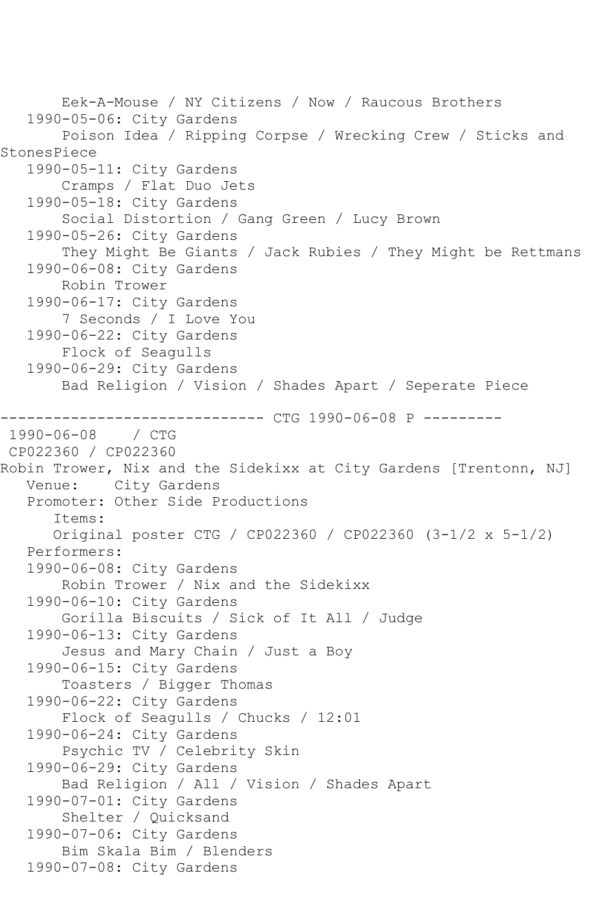Eek-A-Mouse / NY Citizens / Now / Raucous Brothers 1990-05-06: City Gardens Poison Idea / Ripping Corpse / Wrecking Crew / Sticks and StonesPiece 1990-05-11: City Gardens Cramps / Flat Duo Jets 1990-05-18: City Gardens Social Distortion / Gang Green / Lucy Brown 1990-05-26: City Gardens They Might Be Giants / Jack Rubies / They Might be Rettmans 1990-06-08: City Gardens Robin Trower 1990-06-17: City Gardens 7 Seconds / I Love You 1990-06-22: City Gardens Flock of Seagulls 1990-06-29: City Gardens Bad Religion / Vision / Shades Apart / Seperate Piece ------------------------------ CTG 1990-06-08 P ---------  $1990 - 06 - 08$ CP022360 / CP022360 Robin Trower, Nix and the Sidekixx at City Gardens [Trentonn, NJ] Venue: City Gardens Promoter: Other Side Productions Items: Original poster CTG / CP022360 / CP022360 (3-1/2 x 5-1/2) Performers: 1990-06-08: City Gardens Robin Trower / Nix and the Sidekixx 1990-06-10: City Gardens Gorilla Biscuits / Sick of It All / Judge 1990-06-13: City Gardens Jesus and Mary Chain / Just a Boy 1990-06-15: City Gardens Toasters / Bigger Thomas 1990-06-22: City Gardens Flock of Seagulls / Chucks / 12:01 1990-06-24: City Gardens Psychic TV / Celebrity Skin 1990-06-29: City Gardens Bad Religion / All / Vision / Shades Apart 1990-07-01: City Gardens Shelter / Quicksand 1990-07-06: City Gardens Bim Skala Bim / Blenders 1990-07-08: City Gardens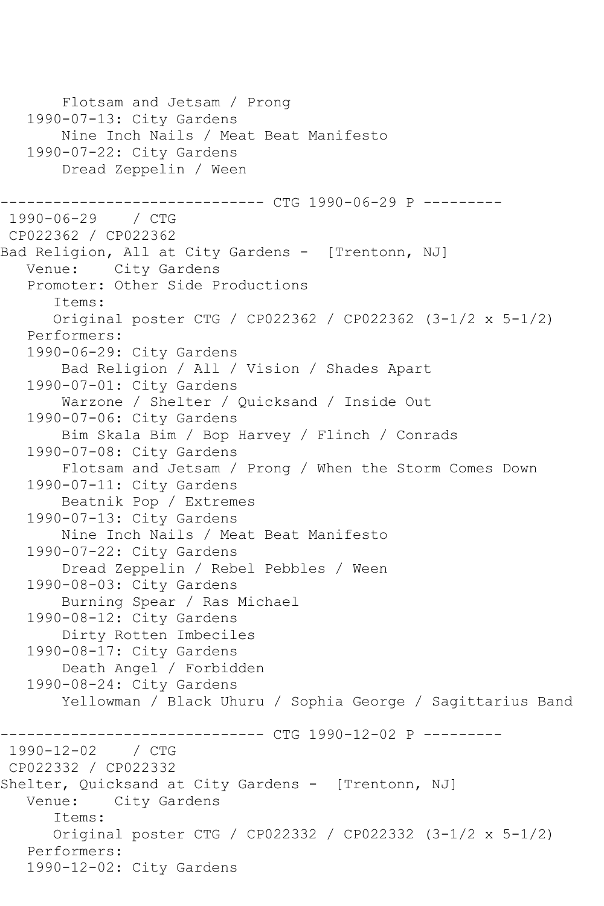```
 Flotsam and Jetsam / Prong
    1990-07-13: City Gardens
        Nine Inch Nails / Meat Beat Manifesto
    1990-07-22: City Gardens
        Dread Zeppelin / Ween
------------------------------ CTG 1990-06-29 P ---------
1990-06-29 / CTG 
CP022362 / CP022362
Bad Religion, All at City Gardens - [Trentonn, NJ]
   Venue: City Gardens
    Promoter: Other Side Productions
       Items:
       Original poster CTG / CP022362 / CP022362 (3-1/2 x 5-1/2)
    Performers:
    1990-06-29: City Gardens
        Bad Religion / All / Vision / Shades Apart
    1990-07-01: City Gardens
        Warzone / Shelter / Quicksand / Inside Out
    1990-07-06: City Gardens
        Bim Skala Bim / Bop Harvey / Flinch / Conrads
    1990-07-08: City Gardens
        Flotsam and Jetsam / Prong / When the Storm Comes Down
    1990-07-11: City Gardens
        Beatnik Pop / Extremes
    1990-07-13: City Gardens
        Nine Inch Nails / Meat Beat Manifesto
    1990-07-22: City Gardens
        Dread Zeppelin / Rebel Pebbles / Ween
    1990-08-03: City Gardens
        Burning Spear / Ras Michael
    1990-08-12: City Gardens
        Dirty Rotten Imbeciles
   1990-08-17: City Gardens
        Death Angel / Forbidden
    1990-08-24: City Gardens
        Yellowman / Black Uhuru / Sophia George / Sagittarius Band
------------------------------ CTG 1990-12-02 P ---------
1990-12-02 / CTG 
CP022332 / CP022332
Shelter, Quicksand at City Gardens - [Trentonn, NJ]<br>Venue: City Gardens
           City Gardens
       Items:
       Original poster CTG / CP022332 / CP022332 (3-1/2 x 5-1/2)
    Performers:
    1990-12-02: City Gardens
```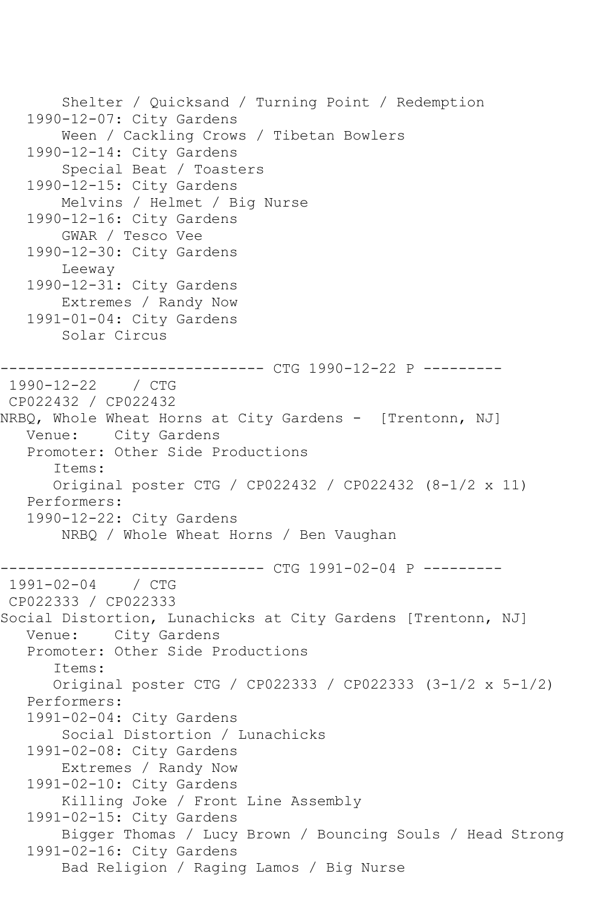```
 Shelter / Quicksand / Turning Point / Redemption
    1990-12-07: City Gardens
        Ween / Cackling Crows / Tibetan Bowlers
    1990-12-14: City Gardens
        Special Beat / Toasters
    1990-12-15: City Gardens
        Melvins / Helmet / Big Nurse
    1990-12-16: City Gardens
        GWAR / Tesco Vee
    1990-12-30: City Gardens
        Leeway
    1990-12-31: City Gardens
        Extremes / Randy Now
    1991-01-04: City Gardens
        Solar Circus
------------------------------ CTG 1990-12-22 P ---------
1990-12-22 / CTG 
CP022432 / CP022432
NRBQ, Whole Wheat Horns at City Gardens - [Trentonn, NJ]
   Venue: City Gardens
    Promoter: Other Side Productions
       Items:
       Original poster CTG / CP022432 / CP022432 (8-1/2 x 11)
    Performers:
    1990-12-22: City Gardens
        NRBQ / Whole Wheat Horns / Ben Vaughan
                ------------------------------ CTG 1991-02-04 P ---------
1991-02-04 / CTG 
CP022333 / CP022333
Social Distortion, Lunachicks at City Gardens [Trentonn, NJ]
   Venue: City Gardens
    Promoter: Other Side Productions
       Items:
       Original poster CTG / CP022333 / CP022333 (3-1/2 x 5-1/2)
    Performers:
    1991-02-04: City Gardens
        Social Distortion / Lunachicks
    1991-02-08: City Gardens
        Extremes / Randy Now
    1991-02-10: City Gardens
        Killing Joke / Front Line Assembly
    1991-02-15: City Gardens
        Bigger Thomas / Lucy Brown / Bouncing Souls / Head Strong
   1991-02-16: City Gardens
        Bad Religion / Raging Lamos / Big Nurse
```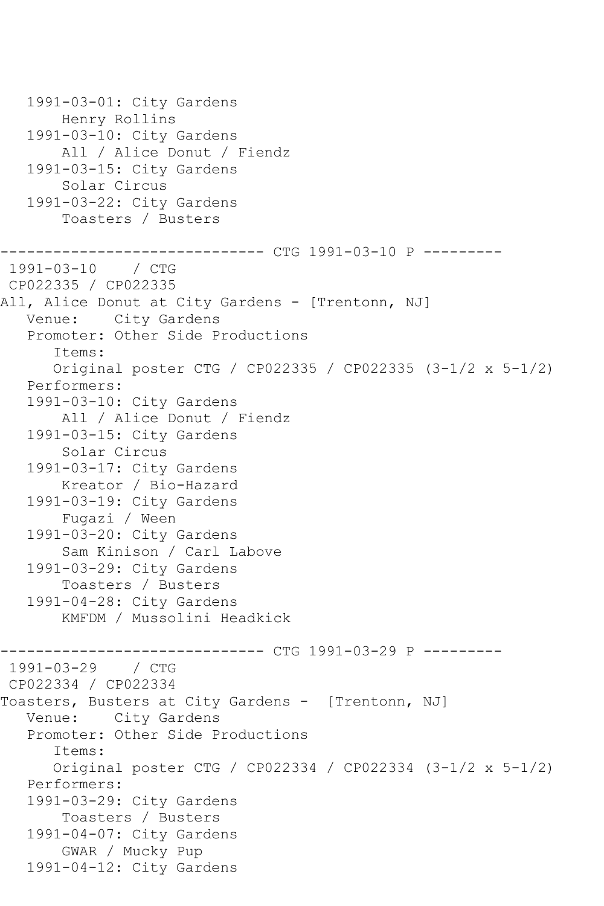1991-03-01: City Gardens Henry Rollins 1991-03-10: City Gardens All / Alice Donut / Fiendz 1991-03-15: City Gardens Solar Circus 1991-03-22: City Gardens Toasters / Busters ------------ CTG 1991-03-10 P ---------1991-03-10 / CTG CP022335 / CP022335 All, Alice Donut at City Gardens - [Trentonn, NJ] Venue: City Gardens Promoter: Other Side Productions Items: Original poster CTG / CP022335 / CP022335 (3-1/2 x 5-1/2) Performers: 1991-03-10: City Gardens All / Alice Donut / Fiendz 1991-03-15: City Gardens Solar Circus 1991-03-17: City Gardens Kreator / Bio-Hazard 1991-03-19: City Gardens Fugazi / Ween 1991-03-20: City Gardens Sam Kinison / Carl Labove 1991-03-29: City Gardens Toasters / Busters 1991-04-28: City Gardens KMFDM / Mussolini Headkick ------------------------------ CTG 1991-03-29 P --------- 1991-03-29 / CTG CP022334 / CP022334 Toasters, Busters at City Gardens - [Trentonn, NJ] Venue: City Gardens Promoter: Other Side Productions Items: Original poster CTG / CP022334 / CP022334 (3-1/2 x 5-1/2) Performers: 1991-03-29: City Gardens Toasters / Busters 1991-04-07: City Gardens GWAR / Mucky Pup 1991-04-12: City Gardens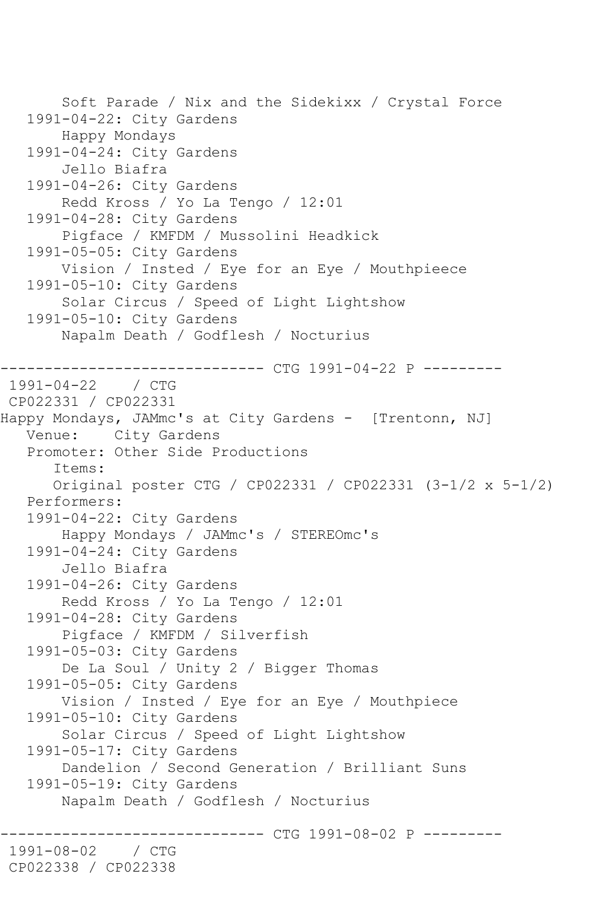```
 Soft Parade / Nix and the Sidekixx / Crystal Force
    1991-04-22: City Gardens
        Happy Mondays
    1991-04-24: City Gardens
        Jello Biafra
    1991-04-26: City Gardens
        Redd Kross / Yo La Tengo / 12:01
    1991-04-28: City Gardens
        Pigface / KMFDM / Mussolini Headkick
    1991-05-05: City Gardens
        Vision / Insted / Eye for an Eye / Mouthpieece
    1991-05-10: City Gardens
        Solar Circus / Speed of Light Lightshow
    1991-05-10: City Gardens
        Napalm Death / Godflesh / Nocturius
------------------------------ CTG 1991-04-22 P ---------
1991 - 04 - 22CP022331 / CP022331
Happy Mondays, JAMmc's at City Gardens - [Trentonn, NJ]
    Venue: City Gardens
    Promoter: Other Side Productions
       Items:
       Original poster CTG / CP022331 / CP022331 (3-1/2 x 5-1/2)
    Performers:
    1991-04-22: City Gardens
        Happy Mondays / JAMmc's / STEREOmc's
    1991-04-24: City Gardens
        Jello Biafra
    1991-04-26: City Gardens
        Redd Kross / Yo La Tengo / 12:01
    1991-04-28: City Gardens
        Pigface / KMFDM / Silverfish
    1991-05-03: City Gardens
        De La Soul / Unity 2 / Bigger Thomas
    1991-05-05: City Gardens
        Vision / Insted / Eye for an Eye / Mouthpiece
    1991-05-10: City Gardens
        Solar Circus / Speed of Light Lightshow
    1991-05-17: City Gardens
        Dandelion / Second Generation / Brilliant Suns
    1991-05-19: City Gardens
        Napalm Death / Godflesh / Nocturius
               ------------------------------ CTG 1991-08-02 P ---------
1991-08-02
CP022338 / CP022338
```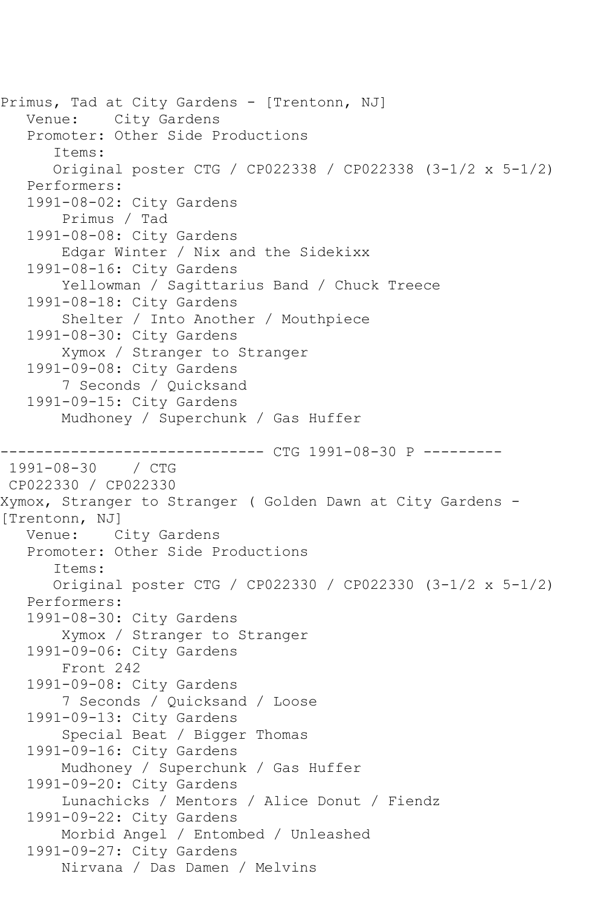```
Primus, Tad at City Gardens - [Trentonn, NJ]
    Venue: City Gardens
    Promoter: Other Side Productions
       Items:
       Original poster CTG / CP022338 / CP022338 (3-1/2 x 5-1/2)
    Performers:
    1991-08-02: City Gardens
        Primus / Tad
   1991-08-08: City Gardens
        Edgar Winter / Nix and the Sidekixx
    1991-08-16: City Gardens
        Yellowman / Sagittarius Band / Chuck Treece
    1991-08-18: City Gardens
        Shelter / Into Another / Mouthpiece
    1991-08-30: City Gardens
        Xymox / Stranger to Stranger
    1991-09-08: City Gardens
        7 Seconds / Quicksand
    1991-09-15: City Gardens
        Mudhoney / Superchunk / Gas Huffer
              ----------------- CTG 1991-08-30 P ----------<br>/ CTG
1991 - 08 - 30CP022330 / CP022330
Xymox, Stranger to Stranger ( Golden Dawn at City Gardens -
[Trentonn, NJ]
   Venue: City Gardens
    Promoter: Other Side Productions
       Items:
       Original poster CTG / CP022330 / CP022330 (3-1/2 x 5-1/2)
    Performers:
    1991-08-30: City Gardens
        Xymox / Stranger to Stranger
    1991-09-06: City Gardens
        Front 242
    1991-09-08: City Gardens
        7 Seconds / Quicksand / Loose
    1991-09-13: City Gardens
        Special Beat / Bigger Thomas
    1991-09-16: City Gardens
        Mudhoney / Superchunk / Gas Huffer
    1991-09-20: City Gardens
        Lunachicks / Mentors / Alice Donut / Fiendz
    1991-09-22: City Gardens
        Morbid Angel / Entombed / Unleashed
    1991-09-27: City Gardens
        Nirvana / Das Damen / Melvins
```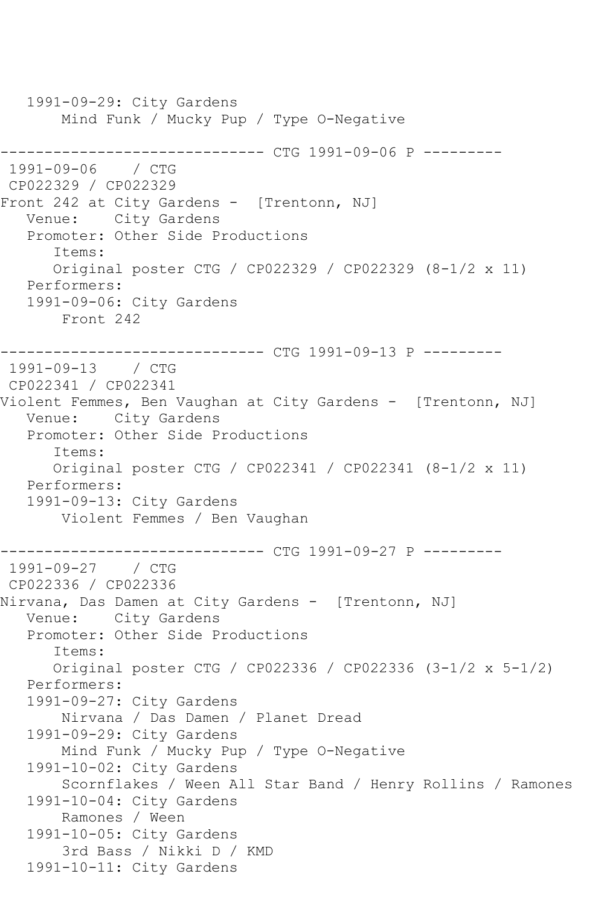1991-09-29: City Gardens Mind Funk / Mucky Pup / Type O-Negative ------------------------------ CTG 1991-09-06 P --------- 1991-09-06 / CTG CP022329 / CP022329 Front 242 at City Gardens - [Trentonn, NJ] Venue: City Gardens Promoter: Other Side Productions Items: Original poster CTG / CP022329 / CP022329 (8-1/2 x 11) Performers: 1991-09-06: City Gardens Front 242 ------------------------------ CTG 1991-09-13 P --------- 1991-09-13 / CTG CP022341 / CP022341 Violent Femmes, Ben Vaughan at City Gardens - [Trentonn, NJ] Venue: City Gardens Promoter: Other Side Productions Items: Original poster CTG / CP022341 / CP022341 (8-1/2 x 11) Performers: 1991-09-13: City Gardens Violent Femmes / Ben Vaughan ----------------- CTG 1991-09-27 P ----------<br>/ CTG 1991-09-27 CP022336 / CP022336 Nirvana, Das Damen at City Gardens - [Trentonn, NJ] Venue: City Gardens Promoter: Other Side Productions Items: Original poster CTG / CP022336 / CP022336 (3-1/2 x 5-1/2) Performers: 1991-09-27: City Gardens Nirvana / Das Damen / Planet Dread 1991-09-29: City Gardens Mind Funk / Mucky Pup / Type O-Negative 1991-10-02: City Gardens Scornflakes / Ween All Star Band / Henry Rollins / Ramones 1991-10-04: City Gardens Ramones / Ween 1991-10-05: City Gardens 3rd Bass / Nikki D / KMD 1991-10-11: City Gardens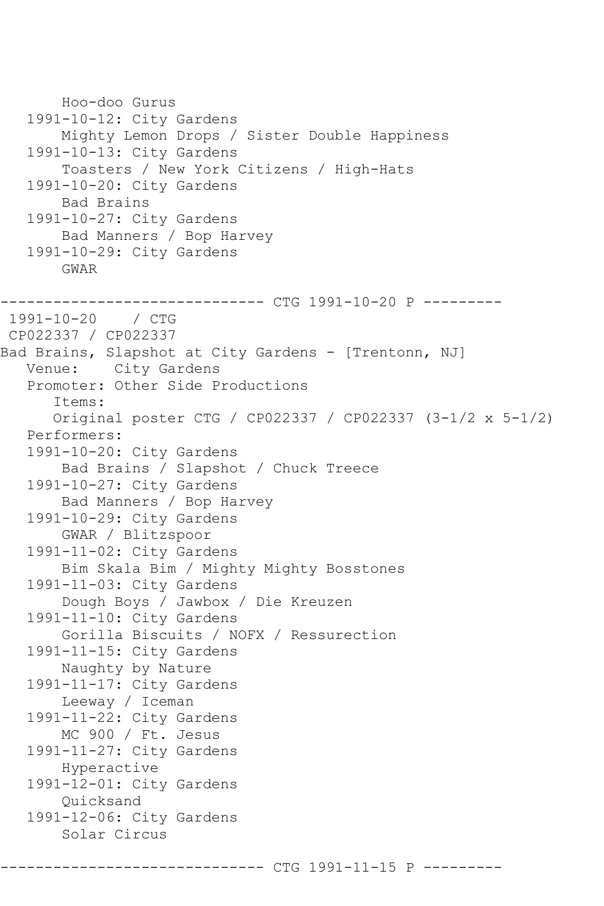Hoo-doo Gurus 1991-10-12: City Gardens Mighty Lemon Drops / Sister Double Happiness 1991-10-13: City Gardens Toasters / New York Citizens / High-Hats 1991-10-20: City Gardens Bad Brains 1991-10-27: City Gardens Bad Manners / Bop Harvey 1991-10-29: City Gardens GWAR ------------------------------ CTG 1991-10-20 P --------- 1991-10-20 / CTG CP022337 / CP022337 Bad Brains, Slapshot at City Gardens - [Trentonn, NJ] Venue: City Gardens Promoter: Other Side Productions Items: Original poster CTG / CP022337 / CP022337 (3-1/2 x 5-1/2) Performers: 1991-10-20: City Gardens Bad Brains / Slapshot / Chuck Treece 1991-10-27: City Gardens Bad Manners / Bop Harvey 1991-10-29: City Gardens GWAR / Blitzspoor 1991-11-02: City Gardens Bim Skala Bim / Mighty Mighty Bosstones 1991-11-03: City Gardens Dough Boys / Jawbox / Die Kreuzen 1991-11-10: City Gardens Gorilla Biscuits / NOFX / Ressurection 1991-11-15: City Gardens Naughty by Nature 1991-11-17: City Gardens Leeway / Iceman 1991-11-22: City Gardens MC 900 / Ft. Jesus 1991-11-27: City Gardens Hyperactive 1991-12-01: City Gardens Quicksand 1991-12-06: City Gardens Solar Circus

------- CTG 1991-11-15 P ------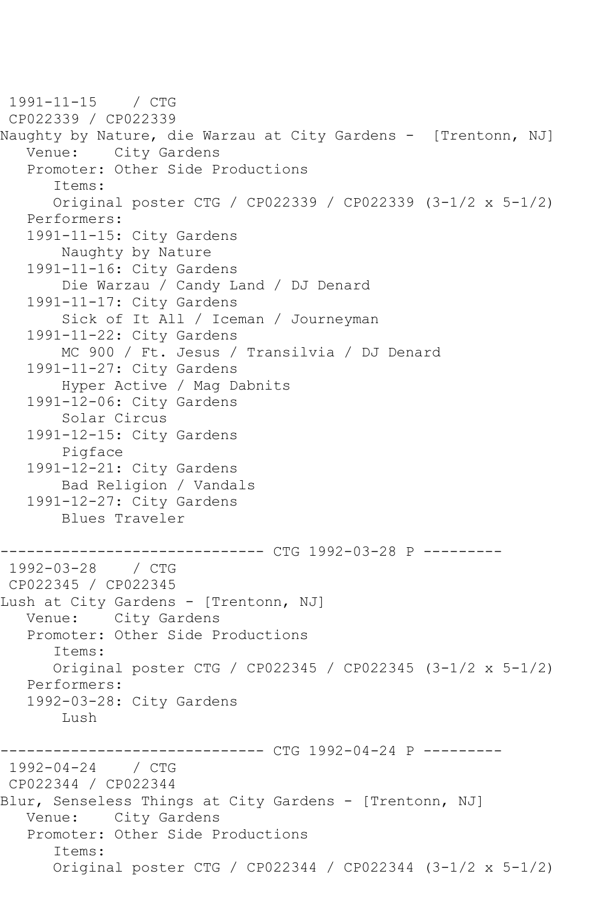1991-11-15 / CTG CP022339 / CP022339 Naughty by Nature, die Warzau at City Gardens - [Trentonn, NJ] Venue: City Gardens Promoter: Other Side Productions Items: Original poster CTG / CP022339 / CP022339 (3-1/2 x 5-1/2) Performers: 1991-11-15: City Gardens Naughty by Nature 1991-11-16: City Gardens Die Warzau / Candy Land / DJ Denard 1991-11-17: City Gardens Sick of It All / Iceman / Journeyman 1991-11-22: City Gardens MC 900 / Ft. Jesus / Transilvia / DJ Denard 1991-11-27: City Gardens Hyper Active / Mag Dabnits 1991-12-06: City Gardens Solar Circus 1991-12-15: City Gardens Pigface 1991-12-21: City Gardens Bad Religion / Vandals 1991-12-27: City Gardens Blues Traveler ------------------------------ CTG 1992-03-28 P ---------  $1992 - 03 - 28$ CP022345 / CP022345 Lush at City Gardens - [Trentonn, NJ] Venue: City Gardens Promoter: Other Side Productions Items: Original poster CTG / CP022345 / CP022345 (3-1/2 x 5-1/2) Performers: 1992-03-28: City Gardens Lush ------------------------------ CTG 1992-04-24 P --------- 1992-04-24 / CTG CP022344 / CP022344 Blur, Senseless Things at City Gardens - [Trentonn, NJ] Venue: City Gardens Promoter: Other Side Productions Items: Original poster CTG / CP022344 / CP022344 (3-1/2 x 5-1/2)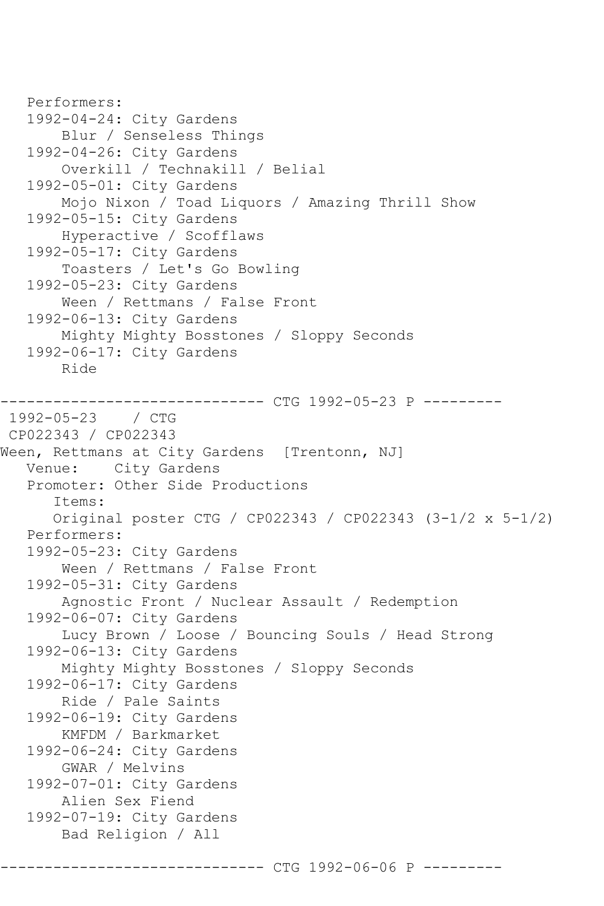```
 Performers:
   1992-04-24: City Gardens
        Blur / Senseless Things
    1992-04-26: City Gardens
        Overkill / Technakill / Belial
    1992-05-01: City Gardens
        Mojo Nixon / Toad Liquors / Amazing Thrill Show
    1992-05-15: City Gardens
        Hyperactive / Scofflaws
    1992-05-17: City Gardens
        Toasters / Let's Go Bowling
    1992-05-23: City Gardens
       Ween / Rettmans / False Front
    1992-06-13: City Gardens
        Mighty Mighty Bosstones / Sloppy Seconds
    1992-06-17: City Gardens
        Ride
          ------------------------------ CTG 1992-05-23 P ---------
1992-05-23 / CTG 
CP022343 / CP022343
Ween, Rettmans at City Gardens [Trentonn, NJ]
   Venue: City Gardens
    Promoter: Other Side Productions
       Items:
       Original poster CTG / CP022343 / CP022343 (3-1/2 x 5-1/2)
    Performers:
    1992-05-23: City Gardens
        Ween / Rettmans / False Front
    1992-05-31: City Gardens
        Agnostic Front / Nuclear Assault / Redemption
    1992-06-07: City Gardens
        Lucy Brown / Loose / Bouncing Souls / Head Strong
    1992-06-13: City Gardens
        Mighty Mighty Bosstones / Sloppy Seconds
    1992-06-17: City Gardens
        Ride / Pale Saints
    1992-06-19: City Gardens
        KMFDM / Barkmarket
   1992-06-24: City Gardens
        GWAR / Melvins
    1992-07-01: City Gardens
        Alien Sex Fiend
    1992-07-19: City Gardens
        Bad Religion / All
```
------- CTG 1992-06-06 P -----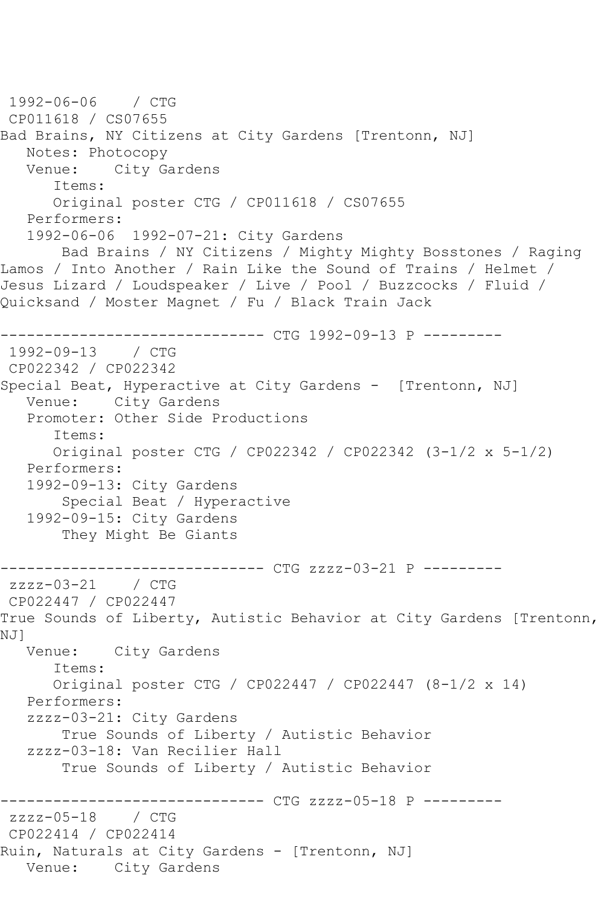```
1992-06-06 / CTG 
CP011618 / CS07655
Bad Brains, NY Citizens at City Gardens [Trentonn, NJ]
  Notes: Photocopy<br>Venue: City Ga
            City Gardens
       Items:
       Original poster CTG / CP011618 / CS07655
   Performers:
    1992-06-06 1992-07-21: City Gardens
        Bad Brains / NY Citizens / Mighty Mighty Bosstones / Raging 
Lamos / Into Another / Rain Like the Sound of Trains / Helmet / 
Jesus Lizard / Loudspeaker / Live / Pool / Buzzcocks / Fluid / 
Quicksand / Moster Magnet / Fu / Black Train Jack
                    ----------- CTG 1992-09-13 P ---------
1992-09-13 / CTG 
CP022342 / CP022342
Special Beat, Hyperactive at City Gardens - [Trentonn, NJ]
   Venue: City Gardens
   Promoter: Other Side Productions
       Items:
       Original poster CTG / CP022342 / CP022342 (3-1/2 x 5-1/2)
   Performers:
    1992-09-13: City Gardens
        Special Beat / Hyperactive
    1992-09-15: City Gardens
        They Might Be Giants
------------------------------ CTG zzzz-03-21 P ---------
zzzz-03-21 / CTG 
CP022447 / CP022447
True Sounds of Liberty, Autistic Behavior at City Gardens [Trentonn, 
NJ]<br>Venue:
            City Gardens
       Items:
       Original poster CTG / CP022447 / CP022447 (8-1/2 x 14)
   Performers:
    zzzz-03-21: City Gardens
        True Sounds of Liberty / Autistic Behavior
    zzzz-03-18: Van Recilier Hall
        True Sounds of Liberty / Autistic Behavior
              ------------------------------ CTG zzzz-05-18 P ---------
zzzz-05-18
CP022414 / CP022414
Ruin, Naturals at City Gardens - [Trentonn, NJ]
   Venue: City Gardens
```